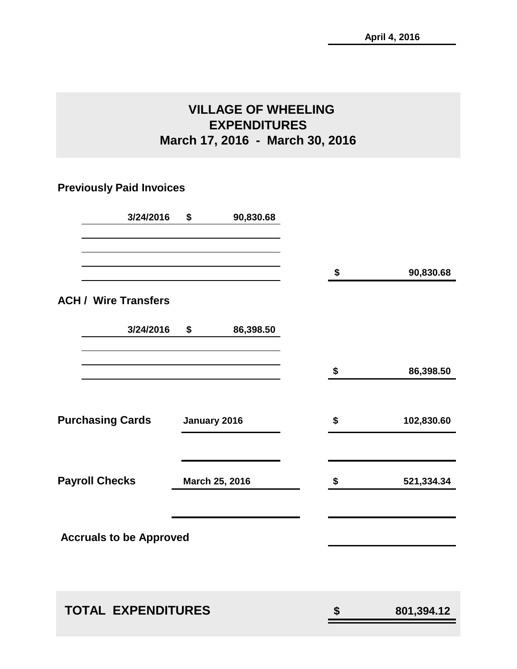# **VILLAGE OF WHEELING EXPENDITURES March 17, 2016 - March 30, 2016**

# **Previously Paid Invoices**

| 3/24/2016                      | \$<br>90,830.68 |                  |
|--------------------------------|-----------------|------------------|
|                                |                 | \$<br>90,830.68  |
| <b>ACH / Wire Transfers</b>    |                 |                  |
| 3/24/2016                      | \$<br>86,398.50 |                  |
|                                |                 | \$<br>86,398.50  |
| <b>Purchasing Cards</b>        | January 2016    | \$<br>102,830.60 |
| <b>Payroll Checks</b>          | March 25, 2016  | \$<br>521,334.34 |
| <b>Accruals to be Approved</b> |                 |                  |
| <b>TOTAL EXPENDITURES</b>      |                 | \$<br>801,394.12 |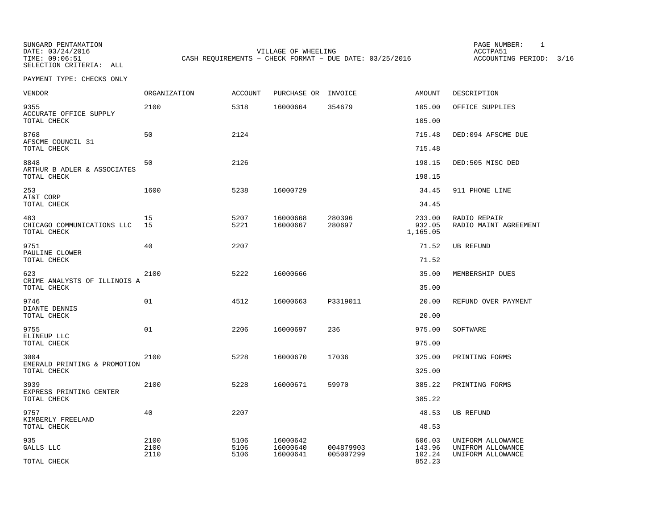SUNGARD PENTAMATION PAGE NUMBER: 1SELECTION CRITERIA: ALL

VILLAGE OF WHEELING **ACCTPA51** TIME: 09:06:51 CASH REQUIREMENTS - CHECK FORMAT - DUE DATE: 03/25/2016

ACCOUNTING PERIOD: 3/16

| VENDOR                                           | ORGANIZATION | <b>ACCOUNT</b> | PURCHASE OR          | INVOICE                | AMOUNT                       | DESCRIPTION                            |
|--------------------------------------------------|--------------|----------------|----------------------|------------------------|------------------------------|----------------------------------------|
| 9355<br>ACCURATE OFFICE SUPPLY                   | 2100         | 5318           | 16000664             | 354679                 | 105.00                       | OFFICE SUPPLIES                        |
| TOTAL CHECK                                      |              |                |                      |                        | 105.00                       |                                        |
| 8768<br>AFSCME COUNCIL 31<br>TOTAL CHECK         | 50           | 2124           |                      |                        | 715.48<br>715.48             | DED:094 AFSCME DUE                     |
| 8848<br>ARTHUR B ADLER & ASSOCIATES              | 50           | 2126           |                      |                        | 198.15                       | DED:505 MISC DED                       |
| TOTAL CHECK                                      |              |                |                      |                        | 198.15                       |                                        |
| 253<br>AT&T CORP<br>TOTAL CHECK                  | 1600         | 5238           | 16000729             |                        | 34.45<br>34.45               | 911 PHONE LINE                         |
|                                                  |              |                |                      |                        |                              |                                        |
| 483<br>CHICAGO COMMUNICATIONS LLC<br>TOTAL CHECK | 15<br>15     | 5207<br>5221   | 16000668<br>16000667 | 280396<br>280697       | 233.00<br>932.05<br>1,165.05 | RADIO REPAIR<br>RADIO MAINT AGREEMENT  |
| 9751                                             | 40           | 2207           |                      |                        | 71.52                        | UB REFUND                              |
| PAULINE CLOWER<br>TOTAL CHECK                    |              |                |                      |                        | 71.52                        |                                        |
| 623                                              | 2100         | 5222           | 16000666             |                        | 35.00                        | MEMBERSHIP DUES                        |
| CRIME ANALYSTS OF ILLINOIS A<br>TOTAL CHECK      |              |                |                      |                        | 35.00                        |                                        |
| 9746                                             | 01           | 4512           | 16000663             | P3319011               | 20.00                        | REFUND OVER PAYMENT                    |
| DIANTE DENNIS<br>TOTAL CHECK                     |              |                |                      |                        | 20.00                        |                                        |
| 9755                                             | 01           | 2206           | 16000697             | 236                    | 975.00                       | SOFTWARE                               |
| ELINEUP LLC<br>TOTAL CHECK                       |              |                |                      |                        | 975.00                       |                                        |
| 3004                                             | 2100         | 5228           | 16000670             | 17036                  | 325.00                       | PRINTING FORMS                         |
| EMERALD PRINTING & PROMOTION<br>TOTAL CHECK      |              |                |                      |                        | 325.00                       |                                        |
| 3939                                             | 2100         | 5228           | 16000671             | 59970                  | 385.22                       | PRINTING FORMS                         |
| EXPRESS PRINTING CENTER<br>TOTAL CHECK           |              |                |                      |                        | 385.22                       |                                        |
| 9757<br>KIMBERLY FREELAND                        | 40           | 2207           |                      |                        | 48.53                        | <b>UB REFUND</b>                       |
| TOTAL CHECK                                      |              |                |                      |                        | 48.53                        |                                        |
| 935                                              | 2100         | 5106           | 16000642             |                        | 606.03                       | UNIFORM ALLOWANCE                      |
| GALLS LLC                                        | 2100<br>2110 | 5106<br>5106   | 16000640<br>16000641 | 004879903<br>005007299 | 143.96<br>102.24             | UNIFROM ALLOWANCE<br>UNIFORM ALLOWANCE |
| TOTAL CHECK                                      |              |                |                      |                        | 852.23                       |                                        |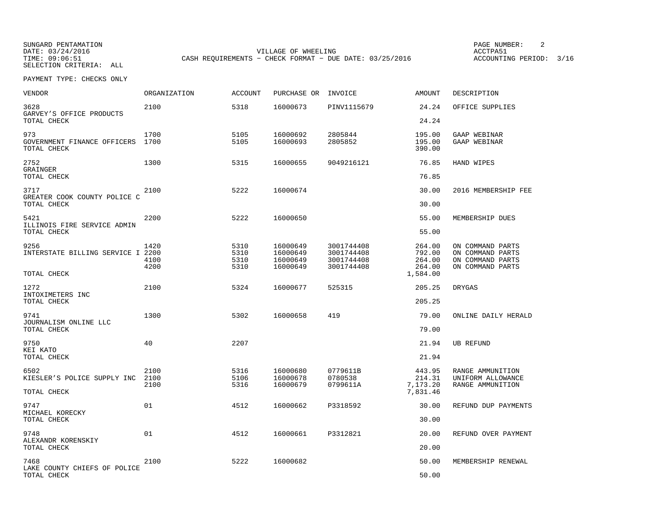SUNGARD PENTAMATION PAGE NUMBER: 2VILLAGE OF WHEELING **ACCTPA51** TIME: 09:06:51 CASH REQUIREMENTS - CHECK FORMAT - DUE DATE: 03/25/2016

ACCOUNTING PERIOD: 3/16

| <b>VENDOR</b>                                     | ORGANIZATION         | <b>ACCOUNT</b>               | PURCHASE OR INVOICE                          |                                                      | AMOUNT                               | DESCRIPTION                                                                  |
|---------------------------------------------------|----------------------|------------------------------|----------------------------------------------|------------------------------------------------------|--------------------------------------|------------------------------------------------------------------------------|
| 3628<br>GARVEY'S OFFICE PRODUCTS                  | 2100                 | 5318                         | 16000673                                     | PINV1115679                                          | 24.24                                | OFFICE SUPPLIES                                                              |
| TOTAL CHECK                                       |                      |                              |                                              |                                                      | 24.24                                |                                                                              |
| 973<br>GOVERNMENT FINANCE OFFICERS<br>TOTAL CHECK | 1700<br>1700         | 5105<br>5105                 | 16000692<br>16000693                         | 2805844<br>2805852                                   | 195.00<br>195.00<br>390.00           | GAAP WEBINAR<br>GAAP WEBINAR                                                 |
| 2752<br>GRAINGER                                  | 1300                 | 5315                         | 16000655                                     | 9049216121                                           | 76.85                                | HAND WIPES                                                                   |
| TOTAL CHECK                                       |                      |                              |                                              |                                                      | 76.85                                |                                                                              |
| 3717<br>GREATER COOK COUNTY POLICE C              | 2100                 | 5222                         | 16000674                                     |                                                      | 30.00                                | 2016 MEMBERSHIP FEE                                                          |
| TOTAL CHECK                                       |                      |                              |                                              |                                                      | 30.00                                |                                                                              |
| 5421<br>ILLINOIS FIRE SERVICE ADMIN               | 2200                 | 5222                         | 16000650                                     |                                                      | 55.00                                | MEMBERSHIP DUES                                                              |
| TOTAL CHECK                                       |                      |                              |                                              |                                                      | 55.00                                |                                                                              |
| 9256<br>INTERSTATE BILLING SERVICE I 2200         | 1420<br>4100<br>4200 | 5310<br>5310<br>5310<br>5310 | 16000649<br>16000649<br>16000649<br>16000649 | 3001744408<br>3001744408<br>3001744408<br>3001744408 | 264.00<br>792.00<br>264.00<br>264.00 | ON COMMAND PARTS<br>ON COMMAND PARTS<br>ON COMMAND PARTS<br>ON COMMAND PARTS |
| TOTAL CHECK                                       |                      |                              |                                              |                                                      | 1,584.00                             |                                                                              |
| 1272<br>INTOXIMETERS INC                          | 2100                 | 5324                         | 16000677                                     | 525315                                               | 205.25                               | <b>DRYGAS</b>                                                                |
| TOTAL CHECK                                       |                      |                              |                                              |                                                      | 205.25                               |                                                                              |
| 9741<br>JOURNALISM ONLINE LLC                     | 1300                 | 5302                         | 16000658                                     | 419                                                  | 79.00                                | ONLINE DAILY HERALD                                                          |
| TOTAL CHECK                                       |                      |                              |                                              |                                                      | 79.00                                |                                                                              |
| 9750                                              | 40                   | 2207                         |                                              |                                                      | 21.94                                | <b>UB REFUND</b>                                                             |
| KEI KATO<br>TOTAL CHECK                           |                      |                              |                                              |                                                      | 21.94                                |                                                                              |
| 6502<br>KIESLER'S POLICE SUPPLY INC               | 2100<br>2100         | 5316<br>5106                 | 16000680<br>16000678                         | 0779611B<br>0780538                                  | 443.95<br>214.31                     | RANGE AMMUNITION<br>UNIFORM ALLOWANCE                                        |
| TOTAL CHECK                                       | 2100                 | 5316                         | 16000679                                     | 0799611A                                             | 7,173.20<br>7,831.46                 | RANGE AMMUNITION                                                             |
| 9747<br>MICHAEL KORECKY                           | 01                   | 4512                         | 16000662                                     | P3318592                                             | 30.00                                | REFUND DUP PAYMENTS                                                          |
| TOTAL CHECK                                       |                      |                              |                                              |                                                      | 30.00                                |                                                                              |
| 9748<br>ALEXANDR KORENSKIY                        | 01                   | 4512                         | 16000661                                     | P3312821                                             | 20.00                                | REFUND OVER PAYMENT                                                          |
| TOTAL CHECK                                       |                      |                              |                                              |                                                      | 20.00                                |                                                                              |
| 7468<br>LAKE COUNTY CHIEFS OF POLICE              | 2100                 | 5222                         | 16000682                                     |                                                      | 50.00                                | MEMBERSHIP RENEWAL                                                           |
| TOTAL CHECK                                       |                      |                              |                                              |                                                      | 50.00                                |                                                                              |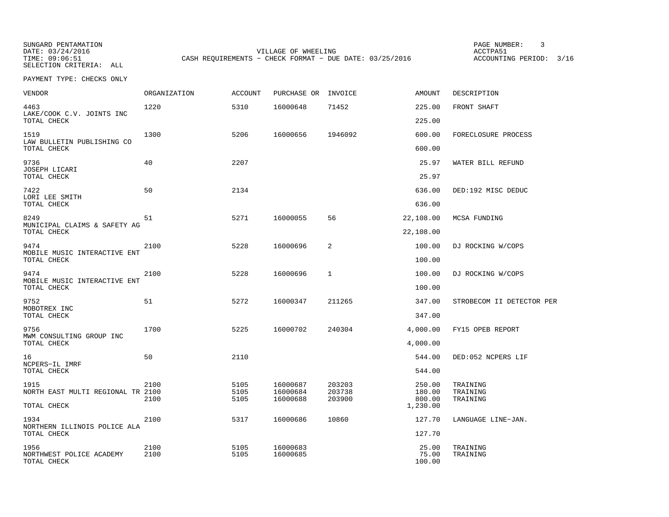SUNGARD PENTAMATION PAGE NUMBER: 3SELECTION CRITERIA: ALL

VILLAGE OF WHEELING **ACCTPA51** 

TIME: 09:06:51 CASH REQUIREMENTS - CHECK FORMAT - DUE DATE: 03/25/2016

ACCOUNTING PERIOD: 3/16

| VENDOR                                            | ORGANIZATION | <b>ACCOUNT</b> | PURCHASE OR INVOICE  |                  | AMOUNT           | DESCRIPTION               |
|---------------------------------------------------|--------------|----------------|----------------------|------------------|------------------|---------------------------|
| 4463<br>LAKE/COOK C.V. JOINTS INC                 | 1220         | 5310           | 16000648             | 71452            | 225.00           | FRONT SHAFT               |
| TOTAL CHECK                                       |              |                |                      |                  | 225.00           |                           |
| 1519<br>LAW BULLETIN PUBLISHING CO<br>TOTAL CHECK | 1300         | 5206           | 16000656             | 1946092          | 600.00<br>600.00 | FORECLOSURE PROCESS       |
|                                                   |              |                |                      |                  |                  |                           |
| 9736<br>JOSEPH LICARI<br>TOTAL CHECK              | 40           | 2207           |                      |                  | 25.97<br>25.97   | WATER BILL REFUND         |
| 7422                                              | 50           | 2134           |                      |                  | 636.00           |                           |
| LORI LEE SMITH<br>TOTAL CHECK                     |              |                |                      |                  | 636.00           | DED:192 MISC DEDUC        |
| 8249<br>MUNICIPAL CLAIMS & SAFETY AG              | 51           | 5271           | 16000055             | 56               | 22,108.00        | MCSA FUNDING              |
| TOTAL CHECK                                       |              |                |                      |                  | 22,108.00        |                           |
| 9474<br>MOBILE MUSIC INTERACTIVE ENT              | 2100         | 5228           | 16000696             | 2                | 100.00           | DJ ROCKING W/COPS         |
| TOTAL CHECK                                       |              |                |                      |                  | 100.00           |                           |
| 9474<br>MOBILE MUSIC INTERACTIVE ENT              | 2100         | 5228           | 16000696             | $\mathbf{1}$     | 100.00           | DJ ROCKING W/COPS         |
| TOTAL CHECK                                       |              |                |                      |                  | 100.00           |                           |
| 9752                                              | 51           | 5272           | 16000347             | 211265           | 347.00           | STROBECOM II DETECTOR PER |
| MOBOTREX INC<br>TOTAL CHECK                       |              |                |                      |                  | 347.00           |                           |
| 9756<br>MWM CONSULTING GROUP INC                  | 1700         | 5225           | 16000702             | 240304           | 4,000.00         | FY15 OPEB REPORT          |
| TOTAL CHECK                                       |              |                |                      |                  | 4,000.00         |                           |
| 16<br>NCPERS-IL IMRF                              | 50           | 2110           |                      |                  | 544.00           | DED:052 NCPERS LIF        |
| TOTAL CHECK                                       |              |                |                      |                  | 544.00           |                           |
| 1915                                              | 2100         | 5105           | 16000687             | 203203           | 250.00           | TRAINING                  |
| NORTH EAST MULTI REGIONAL TR 2100                 | 2100         | 5105<br>5105   | 16000684<br>16000688 | 203738<br>203900 | 180.00<br>800.00 | TRAINING<br>TRAINING      |
| TOTAL CHECK                                       |              |                |                      |                  | 1,230.00         |                           |
| 1934<br>NORTHERN ILLINOIS POLICE ALA              | 2100         | 5317           | 16000686             | 10860            | 127.70           | LANGUAGE LINE-JAN.        |
| TOTAL CHECK                                       |              |                |                      |                  | 127.70           |                           |
| 1956<br>NORTHWEST POLICE ACADEMY                  | 2100<br>2100 | 5105<br>5105   | 16000683<br>16000685 |                  | 25.00<br>75.00   | TRAINING<br>TRAINING      |
| TOTAL CHECK                                       |              |                |                      |                  | 100.00           |                           |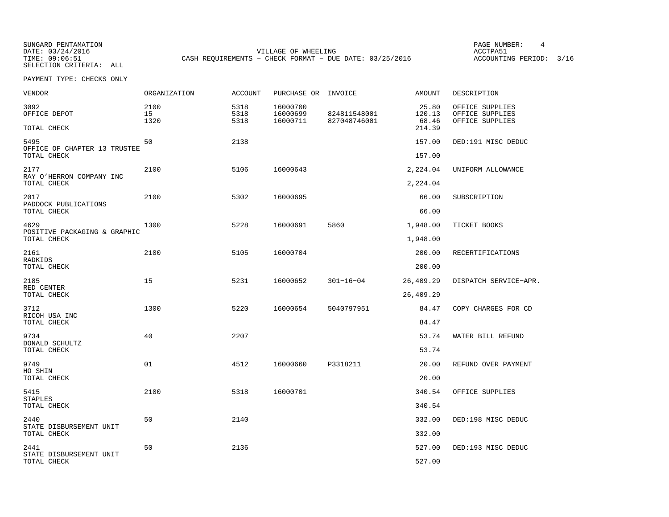SUNGARD PENTAMATION PAGE NUMBER: 4VILLAGE OF WHEELING **ACCTPA51** TIME: 09:06:51 CASH REQUIREMENTS - CHECK FORMAT - DUE DATE: 03/25/2016

ACCOUNTING PERIOD: 3/16

| <b>VENDOR</b>                               | <b>ORGANIZATION</b> | <b>ACCOUNT</b>       | PURCHASE OR INVOICE              |                              | AMOUNT                             | DESCRIPTION                                           |
|---------------------------------------------|---------------------|----------------------|----------------------------------|------------------------------|------------------------------------|-------------------------------------------------------|
| 3092<br>OFFICE DEPOT<br>TOTAL CHECK         | 2100<br>15<br>1320  | 5318<br>5318<br>5318 | 16000700<br>16000699<br>16000711 | 824811548001<br>827048746001 | 25.80<br>120.13<br>68.46<br>214.39 | OFFICE SUPPLIES<br>OFFICE SUPPLIES<br>OFFICE SUPPLIES |
| 5495                                        | 50                  | 2138                 |                                  |                              | 157.00                             | DED:191 MISC DEDUC                                    |
| OFFICE OF CHAPTER 13 TRUSTEE<br>TOTAL CHECK |                     |                      |                                  |                              | 157.00                             |                                                       |
| 2177<br>RAY O'HERRON COMPANY INC            | 2100                | 5106                 | 16000643                         |                              | 2,224.04                           | UNIFORM ALLOWANCE                                     |
| TOTAL CHECK                                 |                     |                      |                                  |                              | 2,224.04                           |                                                       |
| 2017<br>PADDOCK PUBLICATIONS                | 2100                | 5302                 | 16000695                         |                              | 66.00                              | SUBSCRIPTION                                          |
| TOTAL CHECK                                 |                     |                      |                                  |                              | 66.00                              |                                                       |
| 4629<br>POSITIVE PACKAGING & GRAPHIC        | 1300                | 5228                 | 16000691                         | 5860                         | 1,948.00                           | TICKET BOOKS                                          |
| TOTAL CHECK                                 |                     |                      |                                  |                              | 1,948.00                           |                                                       |
| 2161<br>RADKIDS                             | 2100                | 5105                 | 16000704                         |                              | 200.00                             | RECERTIFICATIONS                                      |
| TOTAL CHECK                                 |                     |                      |                                  |                              | 200.00                             |                                                       |
| 2185<br>RED CENTER                          | 15                  | 5231                 | 16000652                         | $301 - 16 - 04$              | 26,409.29                          | DISPATCH SERVICE-APR.                                 |
| TOTAL CHECK                                 |                     |                      |                                  |                              | 26,409.29                          |                                                       |
| 3712<br>RICOH USA INC                       | 1300                | 5220                 | 16000654                         | 5040797951                   | 84.47                              | COPY CHARGES FOR CD                                   |
| TOTAL CHECK                                 |                     |                      |                                  |                              | 84.47                              |                                                       |
| 9734                                        | 40                  | 2207                 |                                  |                              | 53.74                              | WATER BILL REFUND                                     |
| DONALD SCHULTZ<br>TOTAL CHECK               |                     |                      |                                  |                              | 53.74                              |                                                       |
| 9749                                        | 01                  | 4512                 | 16000660                         | P3318211                     | 20.00                              | REFUND OVER PAYMENT                                   |
| HO SHIN<br>TOTAL CHECK                      |                     |                      |                                  |                              | 20.00                              |                                                       |
| 5415<br><b>STAPLES</b>                      | 2100                | 5318                 | 16000701                         |                              | 340.54                             | OFFICE SUPPLIES                                       |
| TOTAL CHECK                                 |                     |                      |                                  |                              | 340.54                             |                                                       |
| 2440<br>STATE DISBURSEMENT UNIT             | 50                  | 2140                 |                                  |                              | 332.00                             | DED:198 MISC DEDUC                                    |
| TOTAL CHECK                                 |                     |                      |                                  |                              | 332.00                             |                                                       |
| 2441                                        | 50                  | 2136                 |                                  |                              | 527.00                             | DED:193 MISC DEDUC                                    |
| STATE DISBURSEMENT UNIT<br>TOTAL CHECK      |                     |                      |                                  |                              | 527.00                             |                                                       |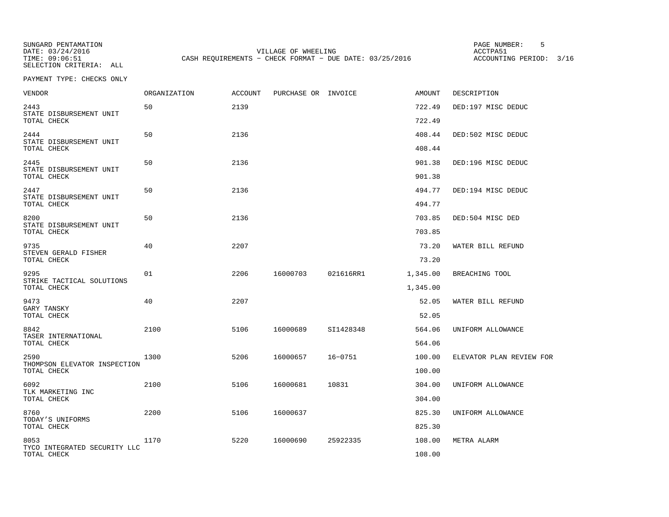SUNGARD PENTAMATION PAGE NUMBER: 5VILLAGE OF WHEELING **ACCTPA51** TIME: 09:06:51 CASH REQUIREMENTS - CHECK FORMAT - DUE DATE: 03/25/2016

ACCOUNTING PERIOD: 3/16

| <b>VENDOR</b>                                  | <b>ORGANIZATION</b> | <b>ACCOUNT</b> | PURCHASE OR INVOICE |             | AMOUNT           | DESCRIPTION              |
|------------------------------------------------|---------------------|----------------|---------------------|-------------|------------------|--------------------------|
| 2443<br>STATE DISBURSEMENT UNIT<br>TOTAL CHECK | 50                  | 2139           |                     |             | 722.49<br>722.49 | DED:197 MISC DEDUC       |
| 2444<br>STATE DISBURSEMENT UNIT                | 50                  | 2136           |                     |             | 408.44           | DED:502 MISC DEDUC       |
| TOTAL CHECK                                    |                     |                |                     |             | 408.44           |                          |
| 2445<br>STATE DISBURSEMENT UNIT<br>TOTAL CHECK | 50                  | 2136           |                     |             | 901.38<br>901.38 | DED:196 MISC DEDUC       |
| 2447<br>STATE DISBURSEMENT UNIT                | 50                  | 2136           |                     |             | 494.77           | DED:194 MISC DEDUC       |
| TOTAL CHECK                                    |                     |                |                     |             | 494.77           |                          |
| 8200<br>STATE DISBURSEMENT UNIT                | 50                  | 2136           |                     |             | 703.85           | DED:504 MISC DED         |
| TOTAL CHECK                                    |                     |                |                     |             | 703.85           |                          |
| 9735                                           | 40                  | 2207           |                     |             | 73.20            | WATER BILL REFUND        |
| STEVEN GERALD FISHER<br>TOTAL CHECK            |                     |                |                     |             | 73.20            |                          |
| 9295                                           | 01                  | 2206           | 16000703            | 021616RR1   | 1,345.00         | BREACHING TOOL           |
| STRIKE TACTICAL SOLUTIONS<br>TOTAL CHECK       |                     |                |                     |             | 1,345.00         |                          |
| 9473                                           | 40                  | 2207           |                     |             | 52.05            | WATER BILL REFUND        |
| GARY TANSKY<br>TOTAL CHECK                     |                     |                |                     |             | 52.05            |                          |
| 8842                                           | 2100                | 5106           | 16000689            | SI1428348   | 564.06           | UNIFORM ALLOWANCE        |
| TASER INTERNATIONAL<br>TOTAL CHECK             |                     |                |                     |             | 564.06           |                          |
| 2590                                           | 1300                | 5206           | 16000657            | $16 - 0751$ | 100.00           | ELEVATOR PLAN REVIEW FOR |
| THOMPSON ELEVATOR INSPECTION<br>TOTAL CHECK    |                     |                |                     |             | 100.00           |                          |
| 6092<br>TLK MARKETING INC                      | 2100                | 5106           | 16000681            | 10831       | 304.00           | UNIFORM ALLOWANCE        |
| TOTAL CHECK                                    |                     |                |                     |             | 304.00           |                          |
| 8760<br>TODAY'S UNIFORMS                       | 2200                | 5106           | 16000637            |             | 825.30           | UNIFORM ALLOWANCE        |
| TOTAL CHECK                                    |                     |                |                     |             | 825.30           |                          |
| 8053                                           | 1170                | 5220           | 16000690            | 25922335    | 108.00           | METRA ALARM              |
| TYCO INTEGRATED SECURITY LLC<br>TOTAL CHECK    |                     |                |                     |             | 108.00           |                          |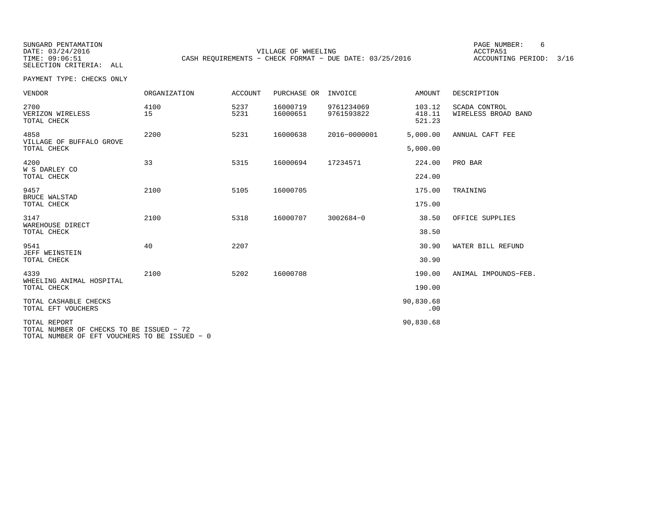SUNGARD PENTAMATION PAGE NUMBER: 6VILLAGE OF WHEELING **ACCTPA51** TIME: 09:06:51 CASH REQUIREMENTS - CHECK FORMAT - DUE DATE: 03/25/2016

ACCOUNTING PERIOD: 3/16

PAYMENT TYPE: CHECKS ONLY

| <b>VENDOR</b>                                            | <b>ORGANIZATION</b> | <b>ACCOUNT</b> | PURCHASE OR          | INVOICE                  | <b>AMOUNT</b>              | DESCRIPTION                          |
|----------------------------------------------------------|---------------------|----------------|----------------------|--------------------------|----------------------------|--------------------------------------|
| 2700<br>VERIZON WIRELESS<br>TOTAL CHECK                  | 4100<br>15          | 5237<br>5231   | 16000719<br>16000651 | 9761234069<br>9761593822 | 103.12<br>418.11<br>521.23 | SCADA CONTROL<br>WIRELESS BROAD BAND |
| 4858                                                     | 2200                | 5231           | 16000638             | 2016-0000001             | 5,000.00                   | ANNUAL CAFT FEE                      |
| VILLAGE OF BUFFALO GROVE<br>TOTAL CHECK                  |                     |                |                      |                          | 5,000.00                   |                                      |
| 4200                                                     | 33                  | 5315           | 16000694             | 17234571                 | 224.00                     | PRO BAR                              |
| W S DARLEY CO<br>TOTAL CHECK                             |                     |                |                      |                          | 224.00                     |                                      |
| 9457                                                     | 2100                | 5105           | 16000705             |                          | 175.00                     | TRAINING                             |
| <b>BRUCE WALSTAD</b><br>TOTAL CHECK                      |                     |                |                      |                          | 175.00                     |                                      |
| 3147                                                     | 2100                | 5318           | 16000707             | 3002684-0                | 38.50                      | OFFICE SUPPLIES                      |
| WAREHOUSE DIRECT<br>TOTAL CHECK                          |                     |                |                      |                          | 38.50                      |                                      |
| 9541<br><b>JEFF WEINSTEIN</b>                            | 40                  | 2207           |                      |                          | 30.90                      | WATER BILL REFUND                    |
| TOTAL CHECK                                              |                     |                |                      |                          | 30.90                      |                                      |
| 4339<br>WHEELING ANIMAL HOSPITAL                         | 2100                | 5202           | 16000708             |                          | 190.00                     | ANIMAL IMPOUNDS-FEB.                 |
| TOTAL CHECK                                              |                     |                |                      |                          | 190.00                     |                                      |
| TOTAL CASHABLE CHECKS<br>TOTAL EFT VOUCHERS              |                     |                |                      |                          | 90,830.68<br>.00           |                                      |
| TOTAL REPORT<br>TOTAL NUMBER OF CHECKS TO BE ISSUED - 72 |                     |                |                      |                          | 90,830.68                  |                                      |

TOTAL NUMBER OF EFT VOUCHERS TO BE ISSUED − 0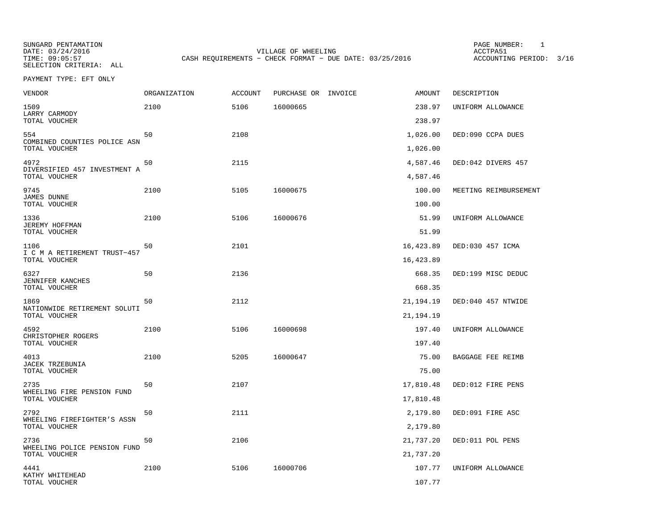SUNGARD PENTAMATION PAGE NUMBER: 1VILLAGE OF WHEELING **ACCTPA51** TIME: 09:05:57 CASH REQUIREMENTS - CHECK FORMAT - DUE DATE: 03/25/2016

ACCOUNTING PERIOD: 3/16

PAYMENT TYPE: EFT ONLY

| <b>VENDOR</b>                                  | ORGANIZATION | <b>ACCOUNT</b> | PURCHASE OR INVOICE | <b>AMOUNT</b>    | DESCRIPTION           |
|------------------------------------------------|--------------|----------------|---------------------|------------------|-----------------------|
| 1509<br>LARRY CARMODY                          | 2100         | 5106           | 16000665            | 238.97           | UNIFORM ALLOWANCE     |
| TOTAL VOUCHER                                  |              |                |                     | 238.97           |                       |
| 554<br>COMBINED COUNTIES POLICE ASN            | 50           | 2108           |                     | 1,026.00         | DED:090 CCPA DUES     |
| TOTAL VOUCHER                                  |              |                |                     | 1,026.00         |                       |
| 4972<br>DIVERSIFIED 457 INVESTMENT A           | 50           | 2115           |                     | 4,587.46         | DED:042 DIVERS 457    |
| TOTAL VOUCHER                                  |              |                |                     | 4,587.46         |                       |
| 9745<br>JAMES DUNNE<br>TOTAL VOUCHER           | 2100         | 5105           | 16000675            | 100.00<br>100.00 | MEETING REIMBURSEMENT |
|                                                |              |                |                     |                  |                       |
| 1336<br><b>JEREMY HOFFMAN</b><br>TOTAL VOUCHER | 2100         | 5106           | 16000676            | 51.99<br>51.99   | UNIFORM ALLOWANCE     |
| 1106                                           | 50           | 2101           |                     | 16,423.89        | DED:030 457 ICMA      |
| I C M A RETIREMENT TRUST-457<br>TOTAL VOUCHER  |              |                |                     | 16,423.89        |                       |
| 6327                                           | 50           | 2136           |                     | 668.35           | DED:199 MISC DEDUC    |
| JENNIFER KANCHES<br>TOTAL VOUCHER              |              |                |                     | 668.35           |                       |
| 1869                                           | 50           | 2112           |                     | 21, 194. 19      | DED:040 457 NTWIDE    |
| NATIONWIDE RETIREMENT SOLUTI<br>TOTAL VOUCHER  |              |                |                     | 21, 194. 19      |                       |
| 4592                                           | 2100         | 5106           | 16000698            | 197.40           | UNIFORM ALLOWANCE     |
| CHRISTOPHER ROGERS<br>TOTAL VOUCHER            |              |                |                     | 197.40           |                       |
| 4013                                           | 2100         | 5205           | 16000647            | 75.00            | BAGGAGE FEE REIMB     |
| JACEK TRZEBUNIA<br>TOTAL VOUCHER               |              |                |                     | 75.00            |                       |
| 2735                                           | 50           | 2107           |                     | 17,810.48        | DED:012 FIRE PENS     |
| WHEELING FIRE PENSION FUND<br>TOTAL VOUCHER    |              |                |                     | 17,810.48        |                       |
| 2792                                           | 50           | 2111           |                     | 2,179.80         | DED:091 FIRE ASC      |
| WHEELING FIREFIGHTER'S ASSN<br>TOTAL VOUCHER   |              |                |                     | 2,179.80         |                       |
| 2736                                           | 50           | 2106           |                     | 21,737.20        | DED:011 POL PENS      |
| WHEELING POLICE PENSION FUND<br>TOTAL VOUCHER  |              |                |                     | 21,737.20        |                       |
| 4441                                           | 2100         | 5106           | 16000706            | 107.77           | UNIFORM ALLOWANCE     |
| KATHY WHITEHEAD<br>TOTAL VOUCHER               |              |                |                     | 107.77           |                       |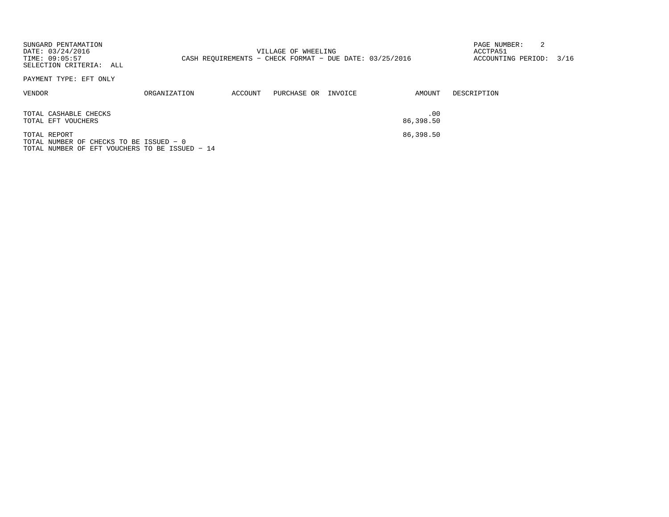| SUNGARD PENTAMATION<br>DATE: 03/24/2016<br>TIME: 09:05:57<br>SELECTION CRITERIA: ALL                      |              |         | VILLAGE OF WHEELING<br>CASH REOUIREMENTS - CHECK FORMAT - DUE DATE: 03/25/2016 |         |                  | PAGE NUMBER:<br>ACCTPA51<br>ACCOUNTING PERIOD: | 3/16 |
|-----------------------------------------------------------------------------------------------------------|--------------|---------|--------------------------------------------------------------------------------|---------|------------------|------------------------------------------------|------|
| PAYMENT TYPE: EFT ONLY                                                                                    |              |         |                                                                                |         |                  |                                                |      |
| VENDOR                                                                                                    | ORGANIZATION | ACCOUNT | PURCHASE OR                                                                    | INVOICE | AMOUNT           | DESCRIPTION                                    |      |
| TOTAL CASHABLE CHECKS<br>TOTAL EFT VOUCHERS                                                               |              |         |                                                                                |         | .00<br>86,398.50 |                                                |      |
| TOTAL REPORT<br>TOTAL NUMBER OF CHECKS TO BE ISSUED - 0<br>TOTAL NUMBER OF EFT VOUCHERS TO BE ISSUED - 14 |              |         |                                                                                |         | 86,398.50        |                                                |      |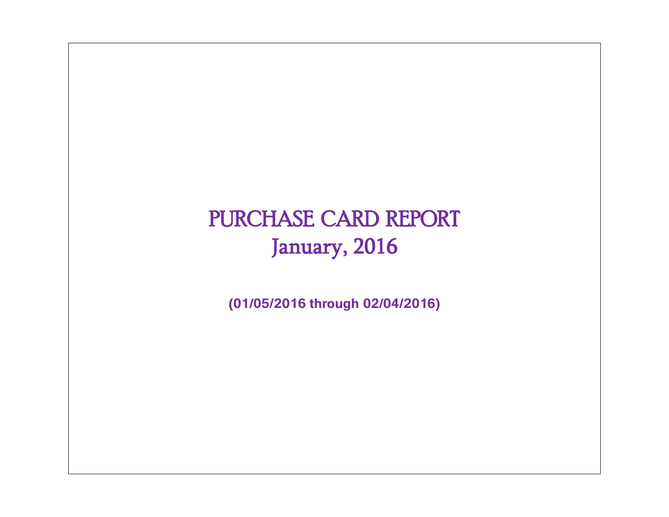# PURCHASE CARD REPORT January, 2016

**(01/05/2016 through 02/04/2016)**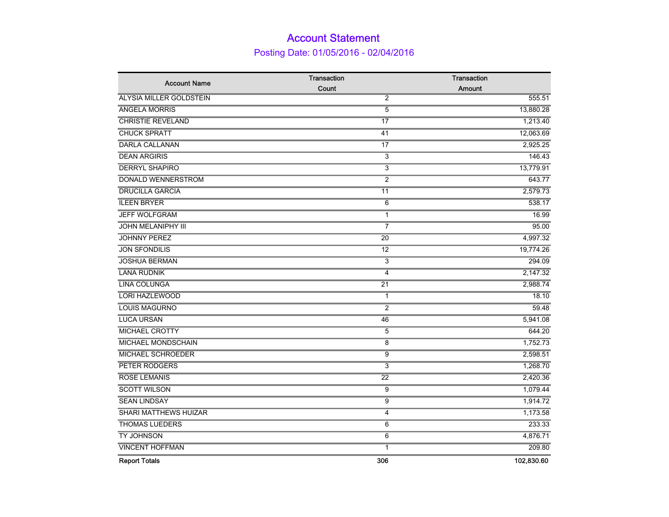## Account Statement Posting Date: 01/05/2016 - 02/04/2016

|                                | Transaction     | Transaction   |
|--------------------------------|-----------------|---------------|
| <b>Account Name</b>            | Count           | <b>Amount</b> |
| <b>ALYSIA MILLER GOLDSTEIN</b> | $\overline{2}$  | 555.51        |
| <b>ANGELA MORRIS</b>           | 5               | 13,880.28     |
| <b>CHRISTIE REVELAND</b>       | $\overline{17}$ | 1,213.40      |
| <b>CHUCK SPRATT</b>            | 41              | 12,063.69     |
| <b>DARLA CALLANAN</b>          | 17              | 2,925.25      |
| <b>DEAN ARGIRIS</b>            | 3               | 146.43        |
| <b>DERRYL SHAPIRO</b>          | $\overline{3}$  | 13,779.91     |
| <b>DONALD WENNERSTROM</b>      | $\overline{2}$  | 643.77        |
| <b>DRUCILLA GARCIA</b>         | 11              | 2,579.73      |
| <b>ILEEN BRYER</b>             | 6               | 538.17        |
| <b>JEFF WOLFGRAM</b>           | $\mathbf{1}$    | 16.99         |
| <b>JOHN MELANIPHY III</b>      | $\overline{7}$  | 95.00         |
| <b>JOHNNY PEREZ</b>            | $\overline{20}$ | 4,997.32      |
| <b>JON SFONDILIS</b>           | $\overline{12}$ | 19,774.26     |
| <b>JOSHUA BERMAN</b>           | 3               | 294.09        |
| <b>LANA RUDNIK</b>             | 4               | 2,147.32      |
| <b>LINA COLUNGA</b>            | 21              | 2,988.74      |
| <b>LORI HAZLEWOOD</b>          | $\mathbf{1}$    | 18.10         |
| <b>LOUIS MAGURNO</b>           | $\overline{2}$  | 59.48         |
| <b>LUCA URSAN</b>              | 46              | 5,941.08      |
| <b>MICHAEL CROTTY</b>          | $\overline{5}$  | 644.20        |
| <b>MICHAEL MONDSCHAIN</b>      | 8               | 1,752.73      |
| <b>MICHAEL SCHROEDER</b>       | 9               | 2,598.51      |
| PETER RODGERS                  | 3               | 1,268.70      |
| <b>ROSE LEMANIS</b>            | $\overline{22}$ | 2,420.36      |
| <b>SCOTT WILSON</b>            | $\overline{9}$  | 1,079.44      |
| <b>SEAN LINDSAY</b>            | 9               | 1,914.72      |
| SHARI MATTHEWS HUIZAR          | 4               | 1,173.58      |
| <b>THOMAS LUEDERS</b>          | 6               | 233.33        |
| <b>TY JOHNSON</b>              | 6               | 4,876.71      |
| <b>VINCENT HOFFMAN</b>         | $\overline{1}$  | 209.80        |
| <b>Report Totals</b>           | 306             | 102,830.60    |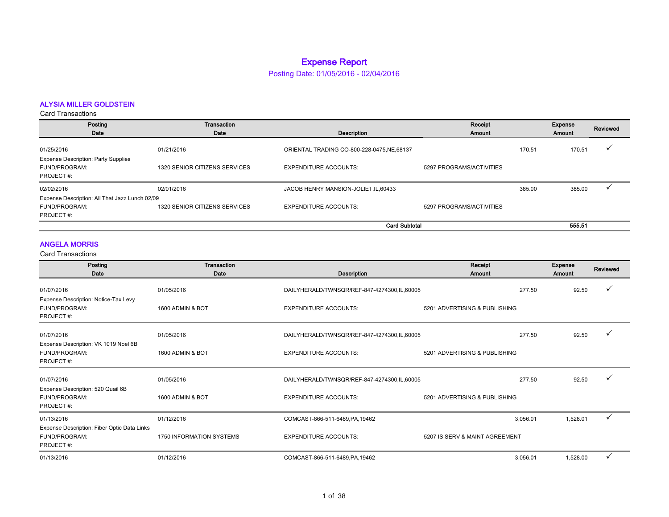### Expense Report

Posting Date: 01/05/2016 - 02/04/2016

### ALYSIA MILLER GOLDSTEIN

Card Transactions

| Posting                                                                  | Transaction                          |                                             | Receipt                  |        | Expense | Reviewed |
|--------------------------------------------------------------------------|--------------------------------------|---------------------------------------------|--------------------------|--------|---------|----------|
| Date                                                                     | Date                                 | Description                                 | Amount                   |        | Amount  |          |
| 01/25/2016                                                               | 01/21/2016                           | ORIENTAL TRADING CO-800-228-0475, NE, 68137 |                          | 170.51 | 170.51  |          |
| <b>Expense Description: Party Supplies</b><br>FUND/PROGRAM:<br>PROJECT#: | 1320 SENIOR CITIZENS SERVICES        | <b>EXPENDITURE ACCOUNTS:</b>                | 5297 PROGRAMS/ACTIVITIES |        |         |          |
| 02/02/2016                                                               | 02/01/2016                           | JACOB HENRY MANSION-JOLIET, IL, 60433       |                          | 385.00 | 385.00  |          |
| Expense Description: All That Jazz Lunch 02/09                           |                                      |                                             |                          |        |         |          |
| FUND/PROGRAM:<br>PROJECT#:                                               | <b>1320 SENIOR CITIZENS SERVICES</b> | <b>EXPENDITURE ACCOUNTS:</b>                | 5297 PROGRAMS/ACTIVITIES |        |         |          |
|                                                                          |                                      | <b>Card Subtotal</b>                        |                          |        | 555.51  |          |

### ANGELA MORRIS

| Posting<br>Date                                                                         | Transaction<br>Date                    | <b>Description</b>                                                          | Receipt<br>Amount                          | <b>Expense</b><br>Amount | Reviewed |
|-----------------------------------------------------------------------------------------|----------------------------------------|-----------------------------------------------------------------------------|--------------------------------------------|--------------------------|----------|
| 01/07/2016<br>Expense Description: Notice-Tax Levy<br>FUND/PROGRAM:<br>PROJECT#:        | 01/05/2016<br>1600 ADMIN & BOT         | DAILYHERALD/TWNSQR/REF-847-4274300,IL,60005<br><b>EXPENDITURE ACCOUNTS:</b> | 277.50<br>5201 ADVERTISING & PUBLISHING    | 92.50                    |          |
| 01/07/2016<br>Expense Description: VK 1019 Noel 6B<br>FUND/PROGRAM:<br>PROJECT#:        | 01/05/2016<br>1600 ADMIN & BOT         | DAILYHERALD/TWNSQR/REF-847-4274300,IL,60005<br><b>EXPENDITURE ACCOUNTS:</b> | 277.50<br>5201 ADVERTISING & PUBLISHING    | 92.50                    |          |
| 01/07/2016<br>Expense Description: 520 Quail 6B<br>FUND/PROGRAM:<br>PROJECT#:           | 01/05/2016<br>1600 ADMIN & BOT         | DAILYHERALD/TWNSQR/REF-847-4274300,IL,60005<br><b>EXPENDITURE ACCOUNTS:</b> | 277.50<br>5201 ADVERTISING & PUBLISHING    | 92.50                    |          |
| 01/13/2016<br>Expense Description: Fiber Optic Data Links<br>FUND/PROGRAM:<br>PROJECT#: | 01/12/2016<br>1750 INFORMATION SYSTEMS | COMCAST-866-511-6489, PA, 19462<br><b>EXPENDITURE ACCOUNTS:</b>             | 3.056.01<br>5207 IS SERV & MAINT AGREEMENT | 1,528.01                 | ✓        |
| 01/13/2016                                                                              | 01/12/2016                             | COMCAST-866-511-6489, PA, 19462                                             | 3.056.01                                   | 1,528.00                 | ✓        |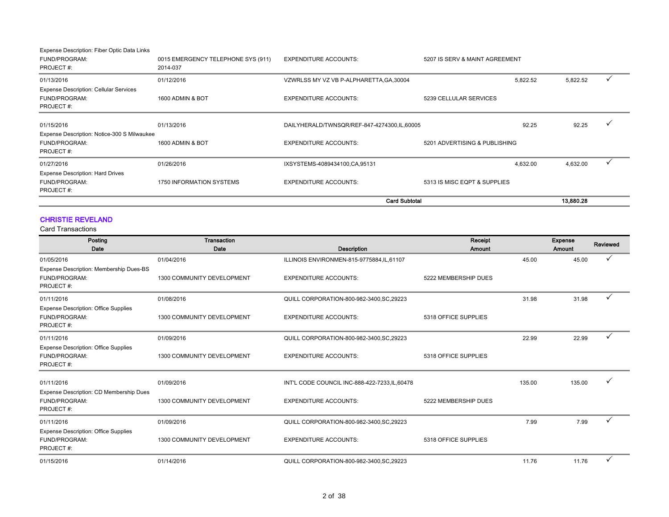| Expense Description: Fiber Optic Data Links                                 |                                                |                                             |                                |           |  |
|-----------------------------------------------------------------------------|------------------------------------------------|---------------------------------------------|--------------------------------|-----------|--|
| FUND/PROGRAM:<br>PROJECT#:                                                  | 0015 EMERGENCY TELEPHONE SYS (911)<br>2014-037 | <b>EXPENDITURE ACCOUNTS:</b>                | 5207 IS SERV & MAINT AGREEMENT |           |  |
| 01/13/2016                                                                  | 01/12/2016                                     | VZWRLSS MY VZ VB P-ALPHARETTA, GA, 30004    | 5,822.52                       | 5,822.52  |  |
| <b>Expense Description: Cellular Services</b><br>FUND/PROGRAM:<br>PROJECT#: | 1600 ADMIN & BOT                               | <b>EXPENDITURE ACCOUNTS:</b>                | 5239 CELLULAR SERVICES         |           |  |
| 01/15/2016                                                                  | 01/13/2016                                     | DAILYHERALD/TWNSQR/REF-847-4274300,IL,60005 | 92.25                          | 92.25     |  |
| Expense Description: Notice-300 S Milwaukee<br>FUND/PROGRAM:<br>PROJECT#:   | 1600 ADMIN & BOT                               | <b>EXPENDITURE ACCOUNTS:</b>                | 5201 ADVERTISING & PUBLISHING  |           |  |
| 01/27/2016                                                                  | 01/26/2016                                     | IXSYSTEMS-4089434100,CA,95131               | 4,632.00                       | 4,632.00  |  |
| Expense Description: Hard Drives<br>FUND/PROGRAM:<br>PROJECT#:              | 1750 INFORMATION SYSTEMS                       | <b>EXPENDITURE ACCOUNTS:</b>                | 5313 IS MISC EQPT & SUPPLIES   |           |  |
|                                                                             |                                                | <b>Card Subtotal</b>                        |                                | 13.880.28 |  |

### CHRISTIE REVELAND

| Posting                                                                   | <b>Transaction</b>         |                                                | Receipt              |        | <b>Expense</b> | <b>Reviewed</b> |
|---------------------------------------------------------------------------|----------------------------|------------------------------------------------|----------------------|--------|----------------|-----------------|
| Date                                                                      | Date                       | <b>Description</b>                             | Amount               |        | Amount         |                 |
| 01/05/2016                                                                | 01/04/2016                 | ILLINOIS ENVIRONMEN-815-9775884,IL,61107       |                      | 45.00  | 45.00          |                 |
| Expense Description: Membership Dues-BS<br>FUND/PROGRAM:<br>PROJECT#:     | 1300 COMMUNITY DEVELOPMENT | <b>EXPENDITURE ACCOUNTS:</b>                   | 5222 MEMBERSHIP DUES |        |                |                 |
| 01/11/2016                                                                | 01/08/2016                 | QUILL CORPORATION-800-982-3400, SC, 29223      |                      | 31.98  | 31.98          | ✓               |
| <b>Expense Description: Office Supplies</b><br>FUND/PROGRAM:<br>PROJECT#: | 1300 COMMUNITY DEVELOPMENT | <b>EXPENDITURE ACCOUNTS:</b>                   | 5318 OFFICE SUPPLIES |        |                |                 |
| 01/11/2016                                                                | 01/09/2016                 | QUILL CORPORATION-800-982-3400, SC, 29223      |                      | 22.99  | 22.99          |                 |
| <b>Expense Description: Office Supplies</b><br>FUND/PROGRAM:<br>PROJECT#: | 1300 COMMUNITY DEVELOPMENT | <b>EXPENDITURE ACCOUNTS:</b>                   | 5318 OFFICE SUPPLIES |        |                |                 |
| 01/11/2016                                                                | 01/09/2016                 | INT'L CODE COUNCIL INC-888-422-7233, IL, 60478 |                      | 135.00 | 135.00         |                 |
| Expense Description: CD Membership Dues<br>FUND/PROGRAM:<br>PROJECT#:     | 1300 COMMUNITY DEVELOPMENT | <b>EXPENDITURE ACCOUNTS:</b>                   | 5222 MEMBERSHIP DUES |        |                |                 |
| 01/11/2016                                                                | 01/09/2016                 | QUILL CORPORATION-800-982-3400, SC, 29223      |                      | 7.99   | 7.99           |                 |
| <b>Expense Description: Office Supplies</b><br>FUND/PROGRAM:<br>PROJECT#: | 1300 COMMUNITY DEVELOPMENT | <b>EXPENDITURE ACCOUNTS:</b>                   | 5318 OFFICE SUPPLIES |        |                |                 |
| 01/15/2016                                                                | 01/14/2016                 | QUILL CORPORATION-800-982-3400, SC, 29223      |                      | 11.76  | 11.76          | $\checkmark$    |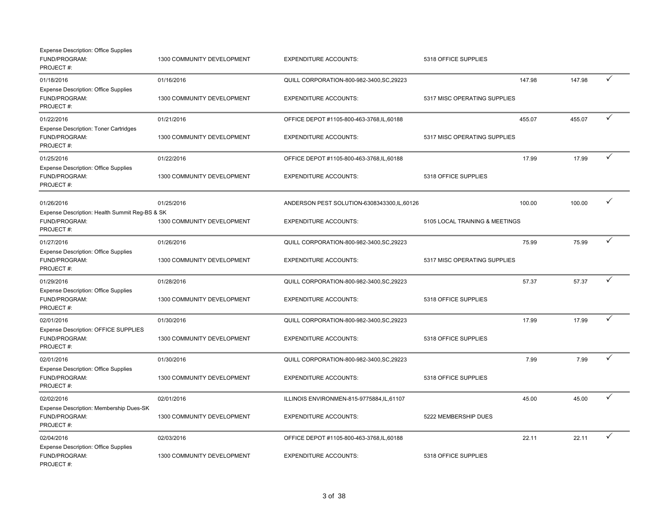| <b>Expense Description: Office Supplies</b><br>FUND/PROGRAM:<br>PROJECT#:    | 1300 COMMUNITY DEVELOPMENT | <b>EXPENDITURE ACCOUNTS:</b>               | 5318 OFFICE SUPPLIES           |        |        |              |
|------------------------------------------------------------------------------|----------------------------|--------------------------------------------|--------------------------------|--------|--------|--------------|
| 01/18/2016                                                                   | 01/16/2016                 | QUILL CORPORATION-800-982-3400, SC, 29223  |                                | 147.98 | 147.98 | $\checkmark$ |
| <b>Expense Description: Office Supplies</b><br>FUND/PROGRAM:<br>PROJECT#:    | 1300 COMMUNITY DEVELOPMENT | <b>EXPENDITURE ACCOUNTS:</b>               | 5317 MISC OPERATING SUPPLIES   |        |        |              |
| 01/22/2016                                                                   | 01/21/2016                 | OFFICE DEPOT #1105-800-463-3768,IL,60188   |                                | 455.07 | 455.07 | ✓            |
| <b>Expense Description: Toner Cartridges</b><br>FUND/PROGRAM:<br>PROJECT#:   | 1300 COMMUNITY DEVELOPMENT | <b>EXPENDITURE ACCOUNTS:</b>               | 5317 MISC OPERATING SUPPLIES   |        |        |              |
| 01/25/2016                                                                   | 01/22/2016                 | OFFICE DEPOT #1105-800-463-3768,IL,60188   |                                | 17.99  | 17.99  | $\checkmark$ |
| <b>Expense Description: Office Supplies</b><br>FUND/PROGRAM:<br>PROJECT#:    | 1300 COMMUNITY DEVELOPMENT | <b>EXPENDITURE ACCOUNTS:</b>               | 5318 OFFICE SUPPLIES           |        |        |              |
| 01/26/2016                                                                   | 01/25/2016                 | ANDERSON PEST SOLUTION-6308343300,IL,60126 |                                | 100.00 | 100.00 | ✓            |
| Expense Description: Health Summit Reg-BS & SK<br>FUND/PROGRAM:<br>PROJECT#: | 1300 COMMUNITY DEVELOPMENT | <b>EXPENDITURE ACCOUNTS:</b>               | 5105 LOCAL TRAINING & MEETINGS |        |        |              |
| 01/27/2016                                                                   | 01/26/2016                 | QUILL CORPORATION-800-982-3400, SC, 29223  |                                | 75.99  | 75.99  | ✓            |
| <b>Expense Description: Office Supplies</b><br>FUND/PROGRAM:<br>PROJECT#:    | 1300 COMMUNITY DEVELOPMENT | <b>EXPENDITURE ACCOUNTS:</b>               | 5317 MISC OPERATING SUPPLIES   |        |        |              |
| 01/29/2016                                                                   | 01/28/2016                 | QUILL CORPORATION-800-982-3400, SC, 29223  |                                | 57.37  | 57.37  | $\checkmark$ |
| <b>Expense Description: Office Supplies</b><br>FUND/PROGRAM:<br>PROJECT#:    | 1300 COMMUNITY DEVELOPMENT | <b>EXPENDITURE ACCOUNTS:</b>               | 5318 OFFICE SUPPLIES           |        |        |              |
| 02/01/2016                                                                   | 01/30/2016                 | QUILL CORPORATION-800-982-3400, SC, 29223  |                                | 17.99  | 17.99  | ✓            |
| Expense Description: OFFICE SUPPLIES<br>FUND/PROGRAM:<br>PROJECT#:           | 1300 COMMUNITY DEVELOPMENT | <b>EXPENDITURE ACCOUNTS:</b>               | 5318 OFFICE SUPPLIES           |        |        |              |
| 02/01/2016                                                                   | 01/30/2016                 | QUILL CORPORATION-800-982-3400, SC, 29223  |                                | 7.99   | 7.99   | $\checkmark$ |
| <b>Expense Description: Office Supplies</b><br>FUND/PROGRAM:<br>PROJECT#:    | 1300 COMMUNITY DEVELOPMENT | <b>EXPENDITURE ACCOUNTS:</b>               | 5318 OFFICE SUPPLIES           |        |        |              |
| 02/02/2016                                                                   | 02/01/2016                 | ILLINOIS ENVIRONMEN-815-9775884,IL,61107   |                                | 45.00  | 45.00  | ✓            |
| Expense Description: Membership Dues-SK<br>FUND/PROGRAM:<br>PROJECT#:        | 1300 COMMUNITY DEVELOPMENT | <b>EXPENDITURE ACCOUNTS:</b>               | 5222 MEMBERSHIP DUES           |        |        |              |
| 02/04/2016                                                                   | 02/03/2016                 | OFFICE DEPOT #1105-800-463-3768,IL,60188   |                                | 22.11  | 22.11  | ✓            |
| <b>Expense Description: Office Supplies</b><br>FUND/PROGRAM:<br>PROJECT#:    | 1300 COMMUNITY DEVELOPMENT | <b>EXPENDITURE ACCOUNTS:</b>               | 5318 OFFICE SUPPLIES           |        |        |              |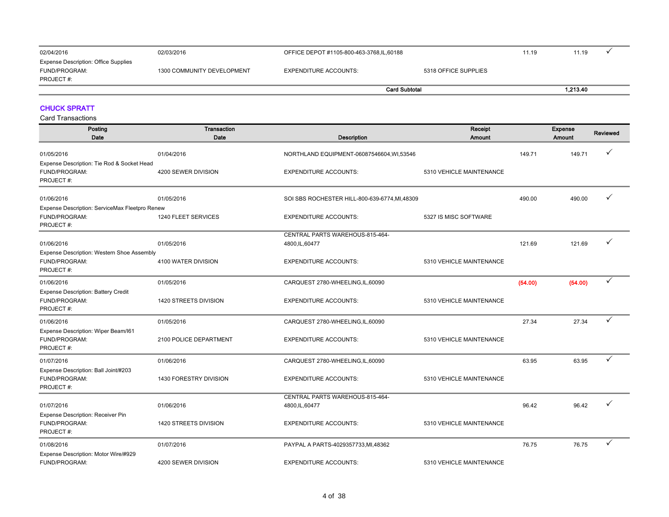| 02/04/2016                                                                 | 02/03/2016                 |                       | OFFICE DEPOT #1105-800-463-3768,IL,60188 |  | 11.19 |  |
|----------------------------------------------------------------------------|----------------------------|-----------------------|------------------------------------------|--|-------|--|
| <b>Expense Description: Office Supplies</b><br>FUND/PROGRAM:<br>PROJECT #: | 1300 COMMUNITY DEVELOPMENT | EXPENDITURE ACCOUNTS: | 5318 OFFICE SUPPLIES                     |  |       |  |
|                                                                            |                            |                       | <b>Card Subtotal</b>                     |  |       |  |
|                                                                            |                            |                       |                                          |  |       |  |

### CHUCK SPRATT

| Posting<br>Date                                                          | <b>Transaction</b><br>Date | <b>Description</b>                                 | Receipt<br>Amount        |         | Expense<br>Amount | Reviewed     |
|--------------------------------------------------------------------------|----------------------------|----------------------------------------------------|--------------------------|---------|-------------------|--------------|
| 01/05/2016                                                               | 01/04/2016                 | NORTHLAND EQUIPMENT-06087546604, WI,53546          |                          | 149.71  | 149.71            | ✓            |
| Expense Description: Tie Rod & Socket Head<br>FUND/PROGRAM:<br>PROJECT#: | 4200 SEWER DIVISION        | <b>EXPENDITURE ACCOUNTS:</b>                       | 5310 VEHICLE MAINTENANCE |         |                   |              |
| 01/06/2016                                                               | 01/05/2016                 | SOI SBS ROCHESTER HILL-800-639-6774, MI, 48309     |                          | 490.00  | 490.00            | ✓            |
| Expense Description: ServiceMax Fleetpro Renew                           |                            |                                                    |                          |         |                   |              |
| FUND/PROGRAM:<br>PROJECT#:                                               | 1240 FLEET SERVICES        | <b>EXPENDITURE ACCOUNTS:</b>                       | 5327 IS MISC SOFTWARE    |         |                   |              |
|                                                                          |                            | CENTRAL PARTS WAREHOUS-815-464-                    |                          |         |                   |              |
| 01/06/2016                                                               | 01/05/2016                 | 4800, IL, 60477                                    |                          | 121.69  | 121.69            | ✓            |
| Expense Description: Western Shoe Assembly<br>FUND/PROGRAM:<br>PROJECT#: | 4100 WATER DIVISION        | <b>EXPENDITURE ACCOUNTS:</b>                       | 5310 VEHICLE MAINTENANCE |         |                   |              |
| 01/06/2016                                                               | 01/05/2016                 | CARQUEST 2780-WHEELING, IL, 60090                  |                          | (54.00) | (54.00)           | ✓            |
| <b>Expense Description: Battery Credit</b><br>FUND/PROGRAM:<br>PROJECT#: | 1420 STREETS DIVISION      | <b>EXPENDITURE ACCOUNTS:</b>                       | 5310 VEHICLE MAINTENANCE |         |                   |              |
| 01/06/2016                                                               | 01/05/2016                 | CARQUEST 2780-WHEELING,IL,60090                    |                          | 27.34   | 27.34             | $\checkmark$ |
| Expense Description: Wiper Beam/I61<br>FUND/PROGRAM:<br>PROJECT#:        | 2100 POLICE DEPARTMENT     | <b>EXPENDITURE ACCOUNTS:</b>                       | 5310 VEHICLE MAINTENANCE |         |                   |              |
| 01/07/2016                                                               | 01/06/2016                 | CARQUEST 2780-WHEELING,IL,60090                    |                          | 63.95   | 63.95             | ✓            |
| Expense Description: Ball Joint/#203<br>FUND/PROGRAM:<br>PROJECT#:       | 1430 FORESTRY DIVISION     | <b>EXPENDITURE ACCOUNTS:</b>                       | 5310 VEHICLE MAINTENANCE |         |                   |              |
| 01/07/2016                                                               | 01/06/2016                 | CENTRAL PARTS WAREHOUS-815-464-<br>4800, IL, 60477 |                          | 96.42   | 96.42             |              |
| Expense Description: Receiver Pin<br>FUND/PROGRAM:<br>PROJECT#:          | 1420 STREETS DIVISION      | <b>EXPENDITURE ACCOUNTS:</b>                       | 5310 VEHICLE MAINTENANCE |         |                   |              |
| 01/08/2016                                                               | 01/07/2016                 | PAYPAL A PARTS-4029357733, MI, 48362               |                          | 76.75   | 76.75             | ✓            |
| Expense Description: Motor Wire/#929<br>FUND/PROGRAM:                    | 4200 SEWER DIVISION        | <b>EXPENDITURE ACCOUNTS:</b>                       | 5310 VEHICLE MAINTENANCE |         |                   |              |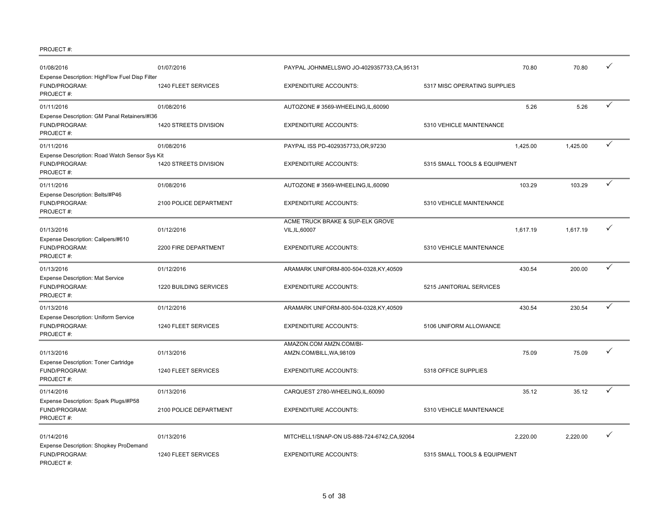| 01/08/2016                                                                   | 01/07/2016             | PAYPAL JOHNMELLSWO JO-4029357733,CA,95131           |                              | 70.80    | 70.80    | ✓ |
|------------------------------------------------------------------------------|------------------------|-----------------------------------------------------|------------------------------|----------|----------|---|
| Expense Description: HighFlow Fuel Disp Filter<br>FUND/PROGRAM:<br>PROJECT#: | 1240 FLEET SERVICES    | <b>EXPENDITURE ACCOUNTS:</b>                        | 5317 MISC OPERATING SUPPLIES |          |          |   |
| 01/11/2016                                                                   | 01/08/2016             | AUTOZONE #3569-WHEELING,IL,60090                    |                              | 5.26     | 5.26     | ✓ |
| Expense Description: GM Panal Retainers/#I36<br>FUND/PROGRAM:<br>PROJECT#:   | 1420 STREETS DIVISION  | <b>EXPENDITURE ACCOUNTS:</b>                        | 5310 VEHICLE MAINTENANCE     |          |          |   |
| 01/11/2016                                                                   | 01/08/2016             | PAYPAL ISS PD-4029357733, OR, 97230                 |                              | 1,425.00 | 1,425.00 | ✓ |
| Expense Description: Road Watch Sensor Sys Kit<br>FUND/PROGRAM:<br>PROJECT#: | 1420 STREETS DIVISION  | <b>EXPENDITURE ACCOUNTS:</b>                        | 5315 SMALL TOOLS & EQUIPMENT |          |          |   |
| 01/11/2016                                                                   | 01/08/2016             | AUTOZONE #3569-WHEELING,IL,60090                    |                              | 103.29   | 103.29   | ✓ |
| Expense Description: Belts/#P46<br>FUND/PROGRAM:<br>PROJECT#:                | 2100 POLICE DEPARTMENT | <b>EXPENDITURE ACCOUNTS:</b>                        | 5310 VEHICLE MAINTENANCE     |          |          |   |
| 01/13/2016<br>Expense Description: Calipers/#610                             | 01/12/2016             | ACME TRUCK BRAKE & SUP-ELK GROVE<br>VIL, IL, 60007  |                              | 1,617.19 | 1,617.19 | ✓ |
| FUND/PROGRAM:<br>PROJECT#:                                                   | 2200 FIRE DEPARTMENT   | <b>EXPENDITURE ACCOUNTS:</b>                        | 5310 VEHICLE MAINTENANCE     |          |          |   |
| 01/13/2016                                                                   | 01/12/2016             | ARAMARK UNIFORM-800-504-0328.KY.40509               |                              | 430.54   | 200.00   | ✓ |
| Expense Description: Mat Service<br>FUND/PROGRAM:<br>PROJECT#:               | 1220 BUILDING SERVICES | <b>EXPENDITURE ACCOUNTS:</b>                        | 5215 JANITORIAL SERVICES     |          |          |   |
| 01/13/2016                                                                   | 01/12/2016             | ARAMARK UNIFORM-800-504-0328, KY, 40509             |                              | 430.54   | 230.54   | ✓ |
| Expense Description: Uniform Service<br>FUND/PROGRAM:<br>PROJECT#:           | 1240 FLEET SERVICES    | <b>EXPENDITURE ACCOUNTS:</b>                        | 5106 UNIFORM ALLOWANCE       |          |          |   |
| 01/13/2016                                                                   | 01/13/2016             | AMAZON.COM AMZN.COM/BI-<br>AMZN.COM/BILL, WA, 98109 |                              | 75.09    | 75.09    | ✓ |
| Expense Description: Toner Cartridge<br>FUND/PROGRAM:<br>PROJECT#:           | 1240 FLEET SERVICES    | <b>EXPENDITURE ACCOUNTS:</b>                        | 5318 OFFICE SUPPLIES         |          |          |   |
| 01/14/2016                                                                   | 01/13/2016             | CARQUEST 2780-WHEELING, IL, 60090                   |                              | 35.12    | 35.12    | ✓ |
| Expense Description: Spark Plugs/#P58<br>FUND/PROGRAM:<br>PROJECT#:          | 2100 POLICE DEPARTMENT | <b>EXPENDITURE ACCOUNTS:</b>                        | 5310 VEHICLE MAINTENANCE     |          |          |   |
| 01/14/2016                                                                   | 01/13/2016             | MITCHELL1/SNAP-ON US-888-724-6742,CA,92064          |                              | 2,220.00 | 2,220.00 | ✓ |
| Expense Description: Shopkey ProDemand<br>FUND/PROGRAM:<br>PROJECT#:         | 1240 FLEET SERVICES    | <b>EXPENDITURE ACCOUNTS:</b>                        | 5315 SMALL TOOLS & EQUIPMENT |          |          |   |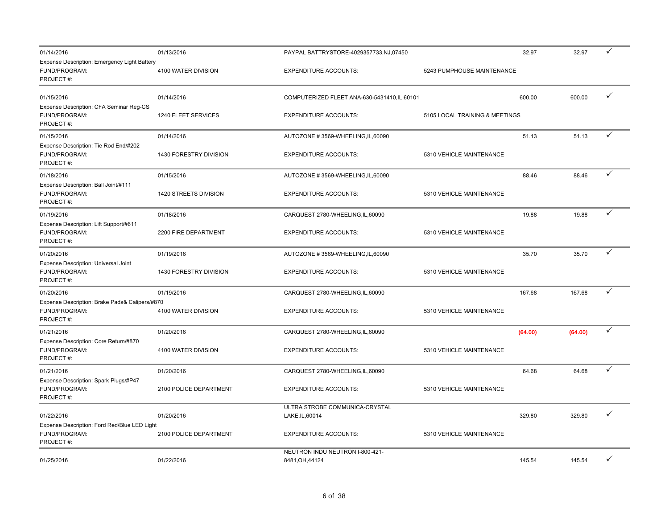| 01/14/2016                                                                   | 01/13/2016                    | PAYPAL BATTRYSTORE-4029357733,NJ,07450             |                                | 32.97   | 32.97   | ✓ |
|------------------------------------------------------------------------------|-------------------------------|----------------------------------------------------|--------------------------------|---------|---------|---|
| Expense Description: Emergency Light Battery<br>FUND/PROGRAM:<br>PROJECT#:   | 4100 WATER DIVISION           | <b>EXPENDITURE ACCOUNTS:</b>                       | 5243 PUMPHOUSE MAINTENANCE     |         |         |   |
| 01/15/2016<br>Expense Description: CFA Seminar Reg-CS                        | 01/14/2016                    | COMPUTERIZED FLEET ANA-630-5431410, IL, 60101      |                                | 600.00  | 600.00  | ✓ |
| FUND/PROGRAM:<br>PROJECT#:                                                   | 1240 FLEET SERVICES           | <b>EXPENDITURE ACCOUNTS:</b>                       | 5105 LOCAL TRAINING & MEETINGS |         |         |   |
| 01/15/2016                                                                   | 01/14/2016                    | AUTOZONE #3569-WHEELING,IL,60090                   |                                | 51.13   | 51.13   | ✓ |
| Expense Description: Tie Rod End/#202<br>FUND/PROGRAM:<br>PROJECT#:          | 1430 FORESTRY DIVISION        | <b>EXPENDITURE ACCOUNTS:</b>                       | 5310 VEHICLE MAINTENANCE       |         |         |   |
| 01/18/2016                                                                   | 01/15/2016                    | AUTOZONE #3569-WHEELING,IL,60090                   |                                | 88.46   | 88.46   | ✓ |
| Expense Description: Ball Joint/#111<br>FUND/PROGRAM:<br>PROJECT#:           | 1420 STREETS DIVISION         | <b>EXPENDITURE ACCOUNTS:</b>                       | 5310 VEHICLE MAINTENANCE       |         |         |   |
| 01/19/2016                                                                   | 01/18/2016                    | CARQUEST 2780-WHEELING,IL,60090                    |                                | 19.88   | 19.88   | ✓ |
| Expense Description: Lift Support/#611<br>FUND/PROGRAM:<br>PROJECT#:         | 2200 FIRE DEPARTMENT          | <b>EXPENDITURE ACCOUNTS:</b>                       | 5310 VEHICLE MAINTENANCE       |         |         |   |
| 01/20/2016                                                                   | 01/19/2016                    | AUTOZONE #3569-WHEELING,IL,60090                   |                                | 35.70   | 35.70   | ✓ |
| Expense Description: Universal Joint<br>FUND/PROGRAM:<br>PROJECT#:           | <b>1430 FORESTRY DIVISION</b> | <b>EXPENDITURE ACCOUNTS:</b>                       | 5310 VEHICLE MAINTENANCE       |         |         |   |
| 01/20/2016                                                                   | 01/19/2016                    | CARQUEST 2780-WHEELING, IL, 60090                  |                                | 167.68  | 167.68  | ✓ |
| Expense Description: Brake Pads& Calipers/#870<br>FUND/PROGRAM:<br>PROJECT#: | 4100 WATER DIVISION           | <b>EXPENDITURE ACCOUNTS:</b>                       | 5310 VEHICLE MAINTENANCE       |         |         |   |
| 01/21/2016                                                                   | 01/20/2016                    | CARQUEST 2780-WHEELING, IL, 60090                  |                                | (64.00) | (64.00) | ✓ |
| Expense Description: Core Return/#870<br>FUND/PROGRAM:<br>PROJECT#:          | 4100 WATER DIVISION           | <b>EXPENDITURE ACCOUNTS:</b>                       | 5310 VEHICLE MAINTENANCE       |         |         |   |
| 01/21/2016                                                                   | 01/20/2016                    | CARQUEST 2780-WHEELING, IL, 60090                  |                                | 64.68   | 64.68   | ✓ |
| Expense Description: Spark Plugs/#P47<br>FUND/PROGRAM:<br>PROJECT#:          | 2100 POLICE DEPARTMENT        | <b>EXPENDITURE ACCOUNTS:</b>                       | 5310 VEHICLE MAINTENANCE       |         |         |   |
| 01/22/2016                                                                   | 01/20/2016                    | ULTRA STROBE COMMUNICA-CRYSTAL<br>LAKE, IL, 60014  |                                | 329.80  | 329.80  | ✓ |
| Expense Description: Ford Red/Blue LED Light<br>FUND/PROGRAM:<br>PROJECT#:   | 2100 POLICE DEPARTMENT        | <b>EXPENDITURE ACCOUNTS:</b>                       | 5310 VEHICLE MAINTENANCE       |         |         |   |
| 01/25/2016                                                                   | 01/22/2016                    | NEUTRON INDU NEUTRON I-800-421-<br>8481, OH, 44124 |                                | 145.54  | 145.54  | ✓ |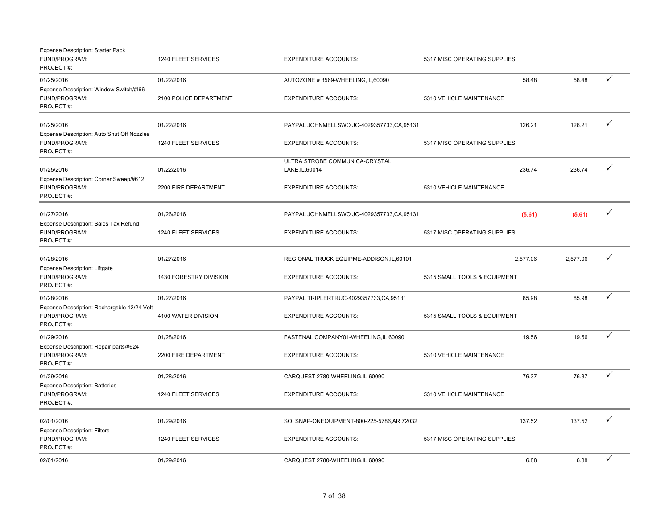| <b>Expense Description: Starter Pack</b><br>FUND/PROGRAM:<br>PROJECT#:    | 1240 FLEET SERVICES    | <b>EXPENDITURE ACCOUNTS:</b>                      | 5317 MISC OPERATING SUPPLIES |          |          |              |
|---------------------------------------------------------------------------|------------------------|---------------------------------------------------|------------------------------|----------|----------|--------------|
| 01/25/2016                                                                | 01/22/2016             | AUTOZONE #3569-WHEELING,IL,60090                  |                              | 58.48    | 58.48    | $\checkmark$ |
| Expense Description: Window Switch/#166<br>FUND/PROGRAM:<br>PROJECT#:     | 2100 POLICE DEPARTMENT | <b>EXPENDITURE ACCOUNTS:</b>                      | 5310 VEHICLE MAINTENANCE     |          |          |              |
| 01/25/2016                                                                | 01/22/2016             | PAYPAL JOHNMELLSWO JO-4029357733,CA,95131         |                              | 126.21   | 126.21   | ✓            |
| Expense Description: Auto Shut Off Nozzles<br>FUND/PROGRAM:<br>PROJECT#:  | 1240 FLEET SERVICES    | <b>EXPENDITURE ACCOUNTS:</b>                      | 5317 MISC OPERATING SUPPLIES |          |          |              |
| 01/25/2016                                                                | 01/22/2016             | ULTRA STROBE COMMUNICA-CRYSTAL<br>LAKE, IL, 60014 |                              | 236.74   | 236.74   | ✓            |
| Expense Description: Corner Sweep/#612<br>FUND/PROGRAM:<br>PROJECT#:      | 2200 FIRE DEPARTMENT   | <b>EXPENDITURE ACCOUNTS:</b>                      | 5310 VEHICLE MAINTENANCE     |          |          |              |
| 01/27/2016                                                                | 01/26/2016             | PAYPAL JOHNMELLSWO JO-4029357733,CA,95131         |                              | (5.61)   | (5.61)   | $\checkmark$ |
| Expense Description: Sales Tax Refund<br>FUND/PROGRAM:<br>PROJECT#:       | 1240 FLEET SERVICES    | <b>EXPENDITURE ACCOUNTS:</b>                      | 5317 MISC OPERATING SUPPLIES |          |          |              |
| 01/28/2016                                                                | 01/27/2016             | REGIONAL TRUCK EQUIPME-ADDISON, IL, 60101         |                              | 2,577.06 | 2,577.06 | ✓            |
| <b>Expense Description: Liftgate</b><br>FUND/PROGRAM:<br>PROJECT#:        | 1430 FORESTRY DIVISION | <b>EXPENDITURE ACCOUNTS:</b>                      | 5315 SMALL TOOLS & EQUIPMENT |          |          |              |
| 01/28/2016                                                                | 01/27/2016             | PAYPAL TRIPLERTRUC-4029357733,CA,95131            |                              | 85.98    | 85.98    | ✓            |
| Expense Description: Rechargsble 12/24 Volt<br>FUND/PROGRAM:<br>PROJECT#: | 4100 WATER DIVISION    | <b>EXPENDITURE ACCOUNTS:</b>                      | 5315 SMALL TOOLS & EQUIPMENT |          |          |              |
| 01/29/2016                                                                | 01/28/2016             | FASTENAL COMPANY01-WHEELING,IL,60090              |                              | 19.56    | 19.56    | $\checkmark$ |
| Expense Description: Repair parts/#624<br>FUND/PROGRAM:<br>PROJECT#:      | 2200 FIRE DEPARTMENT   | <b>EXPENDITURE ACCOUNTS:</b>                      | 5310 VEHICLE MAINTENANCE     |          |          |              |
| 01/29/2016                                                                | 01/28/2016             | CARQUEST 2780-WHEELING,IL,60090                   |                              | 76.37    | 76.37    | ✓            |
| <b>Expense Description: Batteries</b><br>FUND/PROGRAM:<br>PROJECT#:       | 1240 FLEET SERVICES    | <b>EXPENDITURE ACCOUNTS:</b>                      | 5310 VEHICLE MAINTENANCE     |          |          |              |
| 02/01/2016                                                                | 01/29/2016             | SOI SNAP-ONEQUIPMENT-800-225-5786,AR,72032        |                              | 137.52   | 137.52   | ✓            |
| <b>Expense Description: Filters</b><br>FUND/PROGRAM:<br>PROJECT#:         | 1240 FLEET SERVICES    | <b>EXPENDITURE ACCOUNTS:</b>                      | 5317 MISC OPERATING SUPPLIES |          |          |              |
| 02/01/2016                                                                | 01/29/2016             | CARQUEST 2780-WHEELING, IL, 60090                 |                              | 6.88     | 6.88     | $\checkmark$ |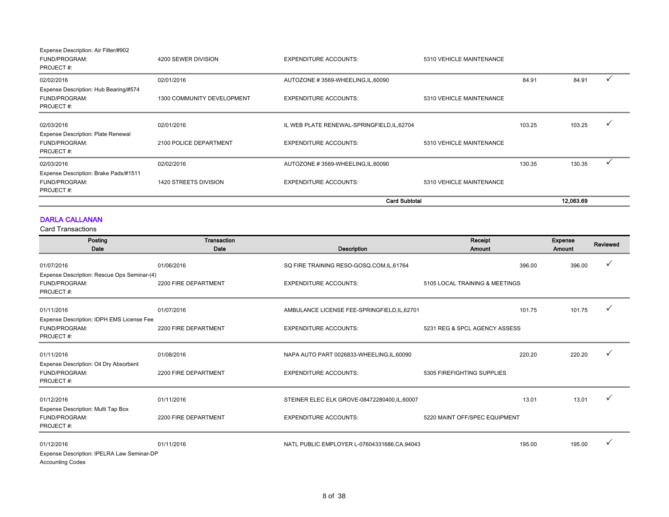| Expense Description: Air Filter/#902  |                            |                                             |                          |        |           |  |
|---------------------------------------|----------------------------|---------------------------------------------|--------------------------|--------|-----------|--|
| FUND/PROGRAM:                         | 4200 SEWER DIVISION        | <b>EXPENDITURE ACCOUNTS:</b>                | 5310 VEHICLE MAINTENANCE |        |           |  |
| PROJECT#:                             |                            |                                             |                          |        |           |  |
| 02/02/2016                            | 02/01/2016                 | AUTOZONE #3569-WHEELING, IL, 60090          |                          | 84.91  | 84.91     |  |
| Expense Description: Hub Bearing/#574 |                            |                                             |                          |        |           |  |
| FUND/PROGRAM:                         | 1300 COMMUNITY DEVELOPMENT | <b>EXPENDITURE ACCOUNTS:</b>                | 5310 VEHICLE MAINTENANCE |        |           |  |
| PROJECT#:                             |                            |                                             |                          |        |           |  |
| 02/03/2016                            | 02/01/2016                 | IL WEB PLATE RENEWAL-SPRINGFIELD, IL, 62704 |                          | 103.25 | 103.25    |  |
| Expense Description: Plate Renewal    |                            |                                             |                          |        |           |  |
| FUND/PROGRAM:                         | 2100 POLICE DEPARTMENT     | <b>EXPENDITURE ACCOUNTS:</b>                | 5310 VEHICLE MAINTENANCE |        |           |  |
| PROJECT#:                             |                            |                                             |                          |        |           |  |
| 02/03/2016                            | 02/02/2016                 | AUTOZONE #3569-WHEELING, IL, 60090          |                          | 130.35 | 130.35    |  |
| Expense Description: Brake Pads/#1511 |                            |                                             |                          |        |           |  |
| FUND/PROGRAM:                         | 1420 STREETS DIVISION      | <b>EXPENDITURE ACCOUNTS:</b>                | 5310 VEHICLE MAINTENANCE |        |           |  |
| PROJECT#:                             |                            |                                             |                          |        |           |  |
|                                       |                            | <b>Card Subtotal</b>                        |                          |        | 12.063.69 |  |

### DARLA CALLANAN

| Posting<br>Date                                                                     | Transaction<br>Date  | Description                                   | Receipt<br><b>Amount</b>       | <b>Expense</b><br>Amount | Reviewed |
|-------------------------------------------------------------------------------------|----------------------|-----------------------------------------------|--------------------------------|--------------------------|----------|
| 01/07/2016                                                                          | 01/06/2016           | SQ FIRE TRAINING RESO-GOSQ.COM,IL,61764       | 396.00                         | 396.00                   |          |
| Expense Description: Rescue Ops Seminar-(4)<br>FUND/PROGRAM:<br>PROJECT#:           | 2200 FIRE DEPARTMENT | <b>EXPENDITURE ACCOUNTS:</b>                  | 5105 LOCAL TRAINING & MEETINGS |                          |          |
| 01/11/2016                                                                          | 01/07/2016           | AMBULANCE LICENSE FEE-SPRINGFIELD, IL, 62701  | 101.75                         | 101.75                   |          |
| Expense Description: IDPH EMS License Fee<br>FUND/PROGRAM:<br>PROJECT#:             | 2200 FIRE DEPARTMENT | <b>EXPENDITURE ACCOUNTS:</b>                  | 5231 REG & SPCL AGENCY ASSESS  |                          |          |
| 01/11/2016                                                                          | 01/08/2016           | NAPA AUTO PART 0026833-WHEELING,IL,60090      | 220.20                         | 220.20                   |          |
| Expense Description: Oil Dry Absorbent<br>FUND/PROGRAM:<br>PROJECT#:                | 2200 FIRE DEPARTMENT | <b>EXPENDITURE ACCOUNTS:</b>                  | 5305 FIREFIGHTING SUPPLIES     |                          |          |
| 01/12/2016                                                                          | 01/11/2016           | STEINER ELEC ELK GROVE-08472280400,IL,60007   | 13.01                          | 13.01                    |          |
| Expense Description: Multi Tap Box<br>FUND/PROGRAM:<br>PROJECT#:                    | 2200 FIRE DEPARTMENT | <b>EXPENDITURE ACCOUNTS:</b>                  | 5220 MAINT OFF/SPEC EQUIPMENT  |                          |          |
| 01/12/2016<br>Expense Description: IPELRA Law Seminar-DP<br><b>Accounting Codes</b> | 01/11/2016           | NATL PUBLIC EMPLOYER L-07604331686, CA, 94043 | 195.00                         | 195.00                   |          |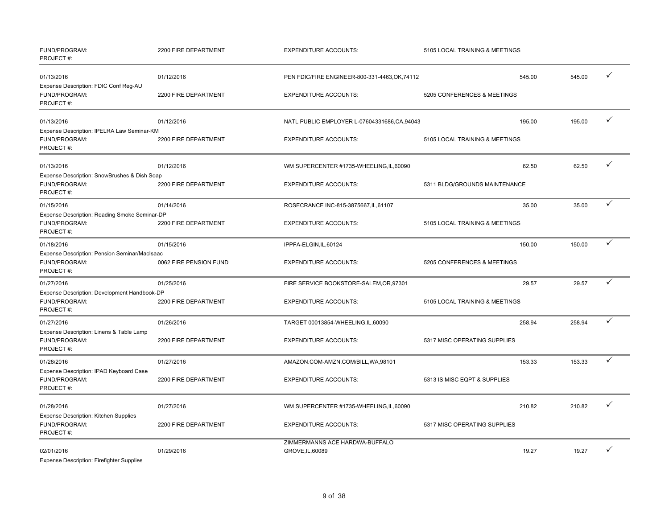| FUND/PROGRAM:<br>PROJECT#:                                                  | 2200 FIRE DEPARTMENT   | <b>EXPENDITURE ACCOUNTS:</b>                       | 5105 LOCAL TRAINING & MEETINGS |        |   |
|-----------------------------------------------------------------------------|------------------------|----------------------------------------------------|--------------------------------|--------|---|
| 01/13/2016<br>Expense Description: FDIC Conf Reg-AU                         | 01/12/2016             | PEN FDIC/FIRE ENGINEER-800-331-4463, OK, 74112     | 545.00                         | 545.00 |   |
| FUND/PROGRAM:<br>PROJECT#:                                                  | 2200 FIRE DEPARTMENT   | <b>EXPENDITURE ACCOUNTS:</b>                       | 5205 CONFERENCES & MEETINGS    |        |   |
| 01/13/2016                                                                  | 01/12/2016             | NATL PUBLIC EMPLOYER L-07604331686, CA, 94043      | 195.00                         | 195.00 |   |
| Expense Description: IPELRA Law Seminar-KM<br>FUND/PROGRAM:<br>PROJECT#:    | 2200 FIRE DEPARTMENT   | <b>EXPENDITURE ACCOUNTS:</b>                       | 5105 LOCAL TRAINING & MEETINGS |        |   |
| 01/13/2016<br>Expense Description: SnowBrushes & Dish Soap                  | 01/12/2016             | WM SUPERCENTER #1735-WHEELING,IL,60090             | 62.50                          | 62.50  |   |
| FUND/PROGRAM:<br>PROJECT#:                                                  | 2200 FIRE DEPARTMENT   | <b>EXPENDITURE ACCOUNTS:</b>                       | 5311 BLDG/GROUNDS MAINTENANCE  |        |   |
| 01/15/2016                                                                  | 01/14/2016             | ROSECRANCE INC-815-3875667, IL, 61107              | 35.00                          | 35.00  | ✓ |
| Expense Description: Reading Smoke Seminar-DP<br>FUND/PROGRAM:<br>PROJECT#: | 2200 FIRE DEPARTMENT   | <b>EXPENDITURE ACCOUNTS:</b>                       | 5105 LOCAL TRAINING & MEETINGS |        |   |
| 01/18/2016                                                                  | 01/15/2016             | IPPFA-ELGIN,IL,60124                               | 150.00                         | 150.00 | ✓ |
| Expense Description: Pension Seminar/MacIsaac<br>FUND/PROGRAM:<br>PROJECT#: | 0062 FIRE PENSION FUND | <b>EXPENDITURE ACCOUNTS:</b>                       | 5205 CONFERENCES & MEETINGS    |        |   |
| 01/27/2016                                                                  | 01/25/2016             | FIRE SERVICE BOOKSTORE-SALEM, OR, 97301            | 29.57                          | 29.57  |   |
| Expense Description: Development Handbook-DP<br>FUND/PROGRAM:<br>PROJECT#:  | 2200 FIRE DEPARTMENT   | <b>EXPENDITURE ACCOUNTS:</b>                       | 5105 LOCAL TRAINING & MEETINGS |        |   |
| 01/27/2016                                                                  | 01/26/2016             | TARGET 00013854-WHEELING,IL,60090                  | 258.94                         | 258.94 |   |
| Expense Description: Linens & Table Lamp<br>FUND/PROGRAM:<br>PROJECT#:      | 2200 FIRE DEPARTMENT   | <b>EXPENDITURE ACCOUNTS:</b>                       | 5317 MISC OPERATING SUPPLIES   |        |   |
| 01/28/2016                                                                  | 01/27/2016             | AMAZON.COM-AMZN.COM/BILL, WA, 98101                | 153.33                         | 153.33 |   |
| Expense Description: IPAD Keyboard Case<br>FUND/PROGRAM:<br>PROJECT#:       | 2200 FIRE DEPARTMENT   | <b>EXPENDITURE ACCOUNTS:</b>                       | 5313 IS MISC EQPT & SUPPLIES   |        |   |
| 01/28/2016                                                                  | 01/27/2016             | WM SUPERCENTER #1735-WHEELING,IL,60090             | 210.82                         | 210.82 | ✓ |
| Expense Description: Kitchen Supplies<br>FUND/PROGRAM:<br>PROJECT#:         | 2200 FIRE DEPARTMENT   | <b>EXPENDITURE ACCOUNTS:</b>                       | 5317 MISC OPERATING SUPPLIES   |        |   |
| 02/01/2016<br><b>Expense Description: Firefighter Supplies</b>              | 01/29/2016             | ZIMMERMANNS ACE HARDWA-BUFFALO<br>GROVE, IL, 60089 | 19.27                          | 19.27  |   |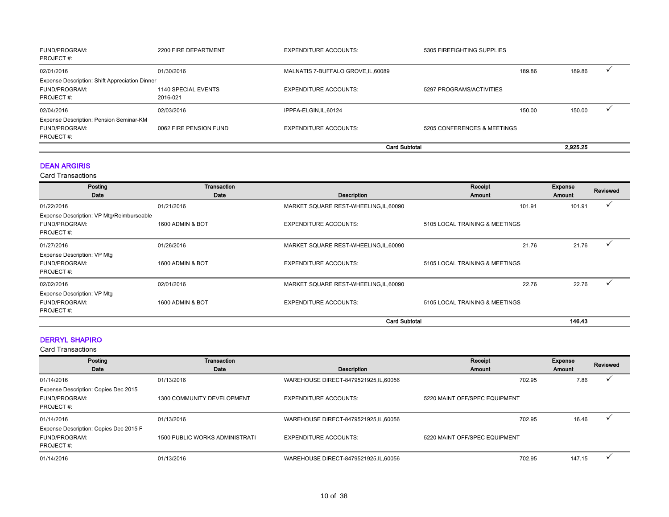| FUND/PROGRAM:<br>PROJECT#:                     | 2200 FIRE DEPARTMENT   | <b>EXPENDITURE ACCOUNTS:</b>        | 5305 FIREFIGHTING SUPPLIES  |        |          |  |
|------------------------------------------------|------------------------|-------------------------------------|-----------------------------|--------|----------|--|
| 02/01/2016                                     | 01/30/2016             | MALNATIS 7-BUFFALO GROVE, IL, 60089 |                             | 189.86 | 189.86   |  |
| Expense Description: Shift Appreciation Dinner |                        |                                     |                             |        |          |  |
| FUND/PROGRAM:                                  | 1140 SPECIAL EVENTS    | <b>EXPENDITURE ACCOUNTS:</b>        | 5297 PROGRAMS/ACTIVITIES    |        |          |  |
| PROJECT#:                                      | 2016-021               |                                     |                             |        |          |  |
| 02/04/2016                                     | 02/03/2016             | IPPFA-ELGIN, IL, 60124              |                             | 150.00 | 150.00   |  |
| Expense Description: Pension Seminar-KM        |                        |                                     |                             |        |          |  |
| FUND/PROGRAM:                                  | 0062 FIRE PENSION FUND | <b>EXPENDITURE ACCOUNTS:</b>        | 5205 CONFERENCES & MEETINGS |        |          |  |
| PROJECT#:                                      |                        |                                     |                             |        |          |  |
|                                                |                        | <b>Card Subtotal</b>                |                             |        | 2.925.25 |  |

### DEAN ARGIRIS

Card Transactions

| Posting                                   | Transaction      |                                        | Receipt                        | Expense | Reviewed |
|-------------------------------------------|------------------|----------------------------------------|--------------------------------|---------|----------|
| Date                                      | Date             | Description                            | <b>Amount</b>                  | Amount  |          |
| 01/22/2016                                | 01/21/2016       | MARKET SQUARE REST-WHEELING, IL, 60090 | 101.91                         | 101.91  |          |
| Expense Description: VP Mtg/Reimburseable |                  |                                        |                                |         |          |
| FUND/PROGRAM:                             | 1600 ADMIN & BOT | <b>EXPENDITURE ACCOUNTS:</b>           | 5105 LOCAL TRAINING & MEETINGS |         |          |
| PROJECT#:                                 |                  |                                        |                                |         |          |
| 01/27/2016                                | 01/26/2016       | MARKET SQUARE REST-WHEELING, IL, 60090 | 21.76                          | 21.76   |          |
| Expense Description: VP Mtg               |                  |                                        |                                |         |          |
| FUND/PROGRAM:                             | 1600 ADMIN & BOT | <b>EXPENDITURE ACCOUNTS:</b>           | 5105 LOCAL TRAINING & MEETINGS |         |          |
| PROJECT#:                                 |                  |                                        |                                |         |          |
| 02/02/2016                                | 02/01/2016       | MARKET SQUARE REST-WHEELING, IL, 60090 | 22.76                          | 22.76   |          |
| Expense Description: VP Mtg               |                  |                                        |                                |         |          |
| FUND/PROGRAM:                             | 1600 ADMIN & BOT | <b>EXPENDITURE ACCOUNTS:</b>           | 5105 LOCAL TRAINING & MEETINGS |         |          |
| PROJECT#:                                 |                  |                                        |                                |         |          |
|                                           |                  | <b>Card Subtotal</b>                   |                                | 146.43  |          |

### DERRYL SHAPIRO

| Posting                                | Transaction                           |                                        | Receipt                       | Expense | Reviewed |
|----------------------------------------|---------------------------------------|----------------------------------------|-------------------------------|---------|----------|
| Date                                   | Date                                  | <b>Description</b>                     | <b>Amount</b>                 | Amount  |          |
| 01/14/2016                             | 01/13/2016                            | WAREHOUSE DIRECT-8479521925, IL, 60056 | 702.95                        | 7.86    |          |
| Expense Description: Copies Dec 2015   |                                       |                                        |                               |         |          |
| FUND/PROGRAM:                          | 1300 COMMUNITY DEVELOPMENT            | <b>EXPENDITURE ACCOUNTS:</b>           | 5220 MAINT OFF/SPEC EQUIPMENT |         |          |
| PROJECT#:                              |                                       |                                        |                               |         |          |
| 01/14/2016                             | 01/13/2016                            | WAREHOUSE DIRECT-8479521925, IL, 60056 | 702.95                        | 16.46   |          |
| Expense Description: Copies Dec 2015 F |                                       |                                        |                               |         |          |
| FUND/PROGRAM:                          | <b>1500 PUBLIC WORKS ADMINISTRATI</b> | <b>EXPENDITURE ACCOUNTS:</b>           | 5220 MAINT OFF/SPEC EQUIPMENT |         |          |
| PROJECT#:                              |                                       |                                        |                               |         |          |
| 01/14/2016                             | 01/13/2016                            | WAREHOUSE DIRECT-8479521925, IL, 60056 | 702.95                        | 147.15  |          |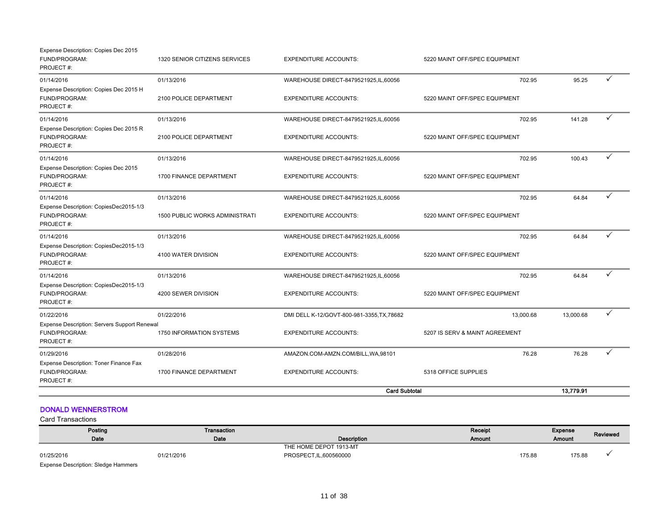|                                                                                          |                                                     | <b>Card Subtotal</b>                                                       |                                             | 13,779.91 |              |
|------------------------------------------------------------------------------------------|-----------------------------------------------------|----------------------------------------------------------------------------|---------------------------------------------|-----------|--------------|
| 01/29/2016<br>Expense Description: Toner Finance Fax<br>FUND/PROGRAM:<br>PROJECT#:       | 01/28/2016<br>1700 FINANCE DEPARTMENT               | AMAZON.COM-AMZN.COM/BILL, WA, 98101<br><b>EXPENDITURE ACCOUNTS:</b>        | 76.28<br>5318 OFFICE SUPPLIES               | 76.28     | ✓            |
| 01/22/2016<br>Expense Description: Servers Support Renewal<br>FUND/PROGRAM:<br>PROJECT#: | 01/22/2016<br>1750 INFORMATION SYSTEMS              | DMI DELL K-12/GOVT-800-981-3355, TX, 78682<br><b>EXPENDITURE ACCOUNTS:</b> | 13,000.68<br>5207 IS SERV & MAINT AGREEMENT | 13,000.68 | $\checkmark$ |
| 01/14/2016<br>Expense Description: CopiesDec2015-1/3<br>FUND/PROGRAM:<br>PROJECT#:       | 01/13/2016<br>4200 SEWER DIVISION                   | WAREHOUSE DIRECT-8479521925,IL,60056<br><b>EXPENDITURE ACCOUNTS:</b>       | 702.95<br>5220 MAINT OFF/SPEC EQUIPMENT     | 64.84     |              |
| 01/14/2016<br>Expense Description: CopiesDec2015-1/3<br>FUND/PROGRAM:<br>PROJECT#:       | 01/13/2016<br>4100 WATER DIVISION                   | WAREHOUSE DIRECT-8479521925,IL,60056<br><b>EXPENDITURE ACCOUNTS:</b>       | 702.95<br>5220 MAINT OFF/SPEC EQUIPMENT     | 64.84     | ✓            |
| 01/14/2016<br>Expense Description: CopiesDec2015-1/3<br>FUND/PROGRAM:<br>PROJECT#:       | 01/13/2016<br><b>1500 PUBLIC WORKS ADMINISTRATI</b> | WAREHOUSE DIRECT-8479521925,IL,60056<br><b>EXPENDITURE ACCOUNTS:</b>       | 702.95<br>5220 MAINT OFF/SPEC EQUIPMENT     | 64.84     | ✓            |
| 01/14/2016<br>Expense Description: Copies Dec 2015<br>FUND/PROGRAM:<br>PROJECT#:         | 01/13/2016<br>1700 FINANCE DEPARTMENT               | WAREHOUSE DIRECT-8479521925,IL,60056<br><b>EXPENDITURE ACCOUNTS:</b>       | 702.95<br>5220 MAINT OFF/SPEC EQUIPMENT     | 100.43    | ✓            |
| 01/14/2016<br>Expense Description: Copies Dec 2015 R<br>FUND/PROGRAM:<br>PROJECT#:       | 01/13/2016<br>2100 POLICE DEPARTMENT                | WAREHOUSE DIRECT-8479521925,IL,60056<br><b>EXPENDITURE ACCOUNTS:</b>       | 702.95<br>5220 MAINT OFF/SPEC EQUIPMENT     | 141.28    | ✓            |
| 01/14/2016<br>Expense Description: Copies Dec 2015 H<br>FUND/PROGRAM:<br>PROJECT#:       | 01/13/2016<br>2100 POLICE DEPARTMENT                | WAREHOUSE DIRECT-8479521925,IL,60056<br><b>EXPENDITURE ACCOUNTS:</b>       | 702.95<br>5220 MAINT OFF/SPEC EQUIPMENT     | 95.25     | ✓            |
| Expense Description: Copies Dec 2015<br>FUND/PROGRAM:<br>PROJECT#:                       | 1320 SENIOR CITIZENS SERVICES                       | <b>EXPENDITURE ACCOUNTS:</b>                                               | 5220 MAINT OFF/SPEC EQUIPMENT               |           |              |

### DONALD WENNERSTROM

| Posting                                    | Transaction |                         | <b>Receipt</b> | Expense | Reviewed |
|--------------------------------------------|-------------|-------------------------|----------------|---------|----------|
| Date                                       | Date        | Description             | Amount         | Amount  |          |
|                                            |             | THE HOME DEPOT 1913-MT  |                |         |          |
| 01/25/2016                                 | 01/21/2016  | PROSPECT, IL, 600560000 | 175.88         | 175.88  |          |
| <b>Expense Description: Sledge Hammers</b> |             |                         |                |         |          |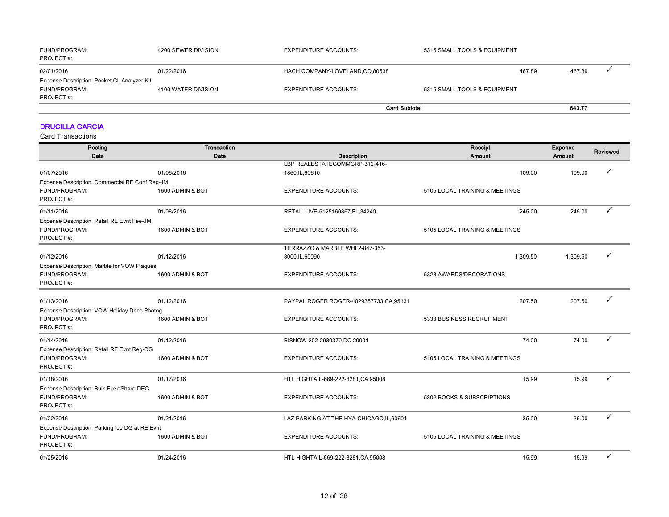| <b>FUND/PROGRAM:</b><br>PROJECT#:            | 4200 SEWER DIVISION | <b>EXPENDITURE ACCOUNTS:</b>   | 5315 SMALL TOOLS & EQUIPMENT |        |        |  |
|----------------------------------------------|---------------------|--------------------------------|------------------------------|--------|--------|--|
| 02/01/2016                                   | 01/22/2016          | HACH COMPANY-LOVELAND,CO,80538 |                              | 467.89 | 467.89 |  |
| Expense Description: Pocket Cl. Analyzer Kit |                     |                                |                              |        |        |  |
| <b>FUND/PROGRAM:</b>                         | 4100 WATER DIVISION | <b>EXPENDITURE ACCOUNTS:</b>   | 5315 SMALL TOOLS & EQUIPMENT |        |        |  |
| PROJECT#:                                    |                     |                                |                              |        |        |  |
|                                              |                     |                                | <b>Card Subtotal</b>         |        | 643.77 |  |

### DRUCILLA GARCIA

| Posting                                        | Transaction      |                                                   | Receipt                        | <b>Expense</b> | Reviewed |
|------------------------------------------------|------------------|---------------------------------------------------|--------------------------------|----------------|----------|
| Date                                           | Date             | Description                                       | Amount                         | Amount         |          |
| 01/07/2016                                     | 01/06/2016       | LBP REALESTATECOMMGRP-312-416-<br>1860, IL, 60610 | 109.00                         | 109.00         |          |
| Expense Description: Commercial RE Conf Reg-JM |                  |                                                   |                                |                |          |
| FUND/PROGRAM:                                  | 1600 ADMIN & BOT | <b>EXPENDITURE ACCOUNTS:</b>                      | 5105 LOCAL TRAINING & MEETINGS |                |          |
| PROJECT#:                                      |                  |                                                   |                                |                |          |
| 01/11/2016                                     | 01/08/2016       | RETAIL LIVE-5125160867,FL,34240                   | 245.00                         | 245.00         | ✓        |
| Expense Description: Retail RE Evnt Fee-JM     |                  |                                                   |                                |                |          |
| FUND/PROGRAM:                                  | 1600 ADMIN & BOT | <b>EXPENDITURE ACCOUNTS:</b>                      | 5105 LOCAL TRAINING & MEETINGS |                |          |
| PROJECT#:                                      |                  |                                                   |                                |                |          |
|                                                |                  | TERRAZZO & MARBLE WHL2-847-353-                   |                                |                |          |
| 01/12/2016                                     | 01/12/2016       | 8000,IL,60090                                     | 1,309.50                       | 1,309.50       | ✓        |
| Expense Description: Marble for VOW Plaques    |                  |                                                   |                                |                |          |
| FUND/PROGRAM:                                  | 1600 ADMIN & BOT | <b>EXPENDITURE ACCOUNTS:</b>                      | 5323 AWARDS/DECORATIONS        |                |          |
| PROJECT#:                                      |                  |                                                   |                                |                |          |
| 01/13/2016                                     | 01/12/2016       | PAYPAL ROGER ROGER-4029357733, CA, 95131          | 207.50                         | 207.50         |          |
| Expense Description: VOW Holiday Deco Photog   |                  |                                                   |                                |                |          |
| FUND/PROGRAM:                                  | 1600 ADMIN & BOT | <b>EXPENDITURE ACCOUNTS:</b>                      | 5333 BUSINESS RECRUITMENT      |                |          |
| PROJECT#:                                      |                  |                                                   |                                |                |          |
| 01/14/2016                                     | 01/12/2016       | BISNOW-202-2930370,DC,20001                       | 74.00                          | 74.00          | ✓        |
| Expense Description: Retail RE Evnt Reg-DG     |                  |                                                   |                                |                |          |
| FUND/PROGRAM:                                  | 1600 ADMIN & BOT | <b>EXPENDITURE ACCOUNTS:</b>                      | 5105 LOCAL TRAINING & MEETINGS |                |          |
| PROJECT#:                                      |                  |                                                   |                                |                |          |
| 01/18/2016                                     | 01/17/2016       | HTL HIGHTAIL-669-222-8281, CA, 95008              | 15.99                          | 15.99          |          |
| Expense Description: Bulk File eShare DEC      |                  |                                                   |                                |                |          |
| FUND/PROGRAM:                                  | 1600 ADMIN & BOT | <b>EXPENDITURE ACCOUNTS:</b>                      | 5302 BOOKS & SUBSCRIPTIONS     |                |          |
| PROJECT#:                                      |                  |                                                   |                                |                |          |
| 01/22/2016                                     | 01/21/2016       | LAZ PARKING AT THE HYA-CHICAGO,IL,60601           | 35.00                          | 35.00          | ✓        |
| Expense Description: Parking fee DG at RE Evnt |                  |                                                   |                                |                |          |
| FUND/PROGRAM:                                  | 1600 ADMIN & BOT | <b>EXPENDITURE ACCOUNTS:</b>                      | 5105 LOCAL TRAINING & MEETINGS |                |          |
| PROJECT#:                                      |                  |                                                   |                                |                |          |
| 01/25/2016                                     | 01/24/2016       | HTL HIGHTAIL-669-222-8281, CA, 95008              | 15.99                          | 15.99          | ✓        |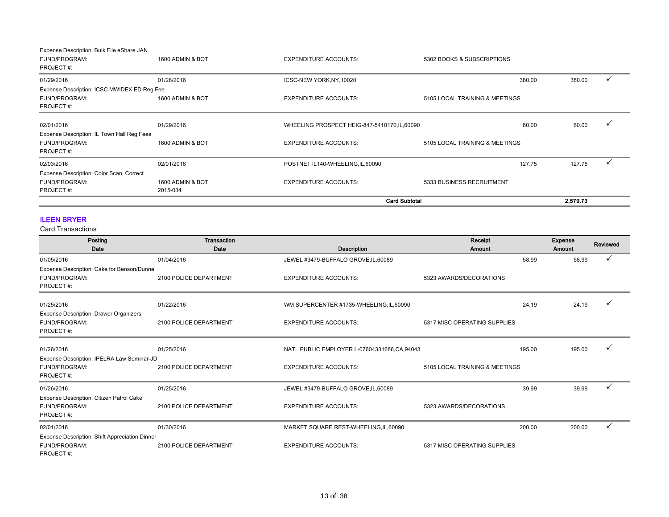| Expense Description: Bulk File eShare JAN   |                  |                                               |                                |          |  |
|---------------------------------------------|------------------|-----------------------------------------------|--------------------------------|----------|--|
| FUND/PROGRAM:                               | 1600 ADMIN & BOT | <b>EXPENDITURE ACCOUNTS:</b>                  | 5302 BOOKS & SUBSCRIPTIONS     |          |  |
| PROJECT#:                                   |                  |                                               |                                |          |  |
| 01/29/2016                                  | 01/28/2016       | ICSC-NEW YORK, NY, 10020                      | 380.00                         | 380.00   |  |
| Expense Description: ICSC MWIDEX ED Reg Fee |                  |                                               |                                |          |  |
| FUND/PROGRAM:                               | 1600 ADMIN & BOT | <b>EXPENDITURE ACCOUNTS:</b>                  | 5105 LOCAL TRAINING & MEETINGS |          |  |
| PROJECT#:                                   |                  |                                               |                                |          |  |
| 02/01/2016                                  | 01/29/2016       | WHEELING PROSPECT HEIG-847-5410170, IL, 60090 | 60.00                          | 60.00    |  |
| Expense Description: IL Town Hall Reg Fees  |                  |                                               |                                |          |  |
| FUND/PROGRAM:                               | 1600 ADMIN & BOT | <b>EXPENDITURE ACCOUNTS:</b>                  | 5105 LOCAL TRAINING & MEETINGS |          |  |
| PROJECT#:                                   |                  |                                               |                                |          |  |
| 02/03/2016                                  | 02/01/2016       | POSTNET IL140-WHEELING,IL,60090               | 127.75                         | 127.75   |  |
| Expense Description: Color Scan, Correct    |                  |                                               |                                |          |  |
| FUND/PROGRAM:                               | 1600 ADMIN & BOT | <b>EXPENDITURE ACCOUNTS:</b>                  | 5333 BUSINESS RECRUITMENT      |          |  |
| PROJECT#:                                   | 2015-034         |                                               |                                |          |  |
|                                             |                  |                                               | <b>Card Subtotal</b>           | 2.579.73 |  |

### ILEEN BRYER

| Posting                                        | <b>Transaction</b>     |                                             | Receipt                        |        | <b>Expense</b> | Reviewed |
|------------------------------------------------|------------------------|---------------------------------------------|--------------------------------|--------|----------------|----------|
| Date                                           | Date                   | Description                                 | Amount                         |        | Amount         |          |
| 01/05/2016                                     | 01/04/2016             | JEWEL #3479-BUFFALO GROVE, IL, 60089        |                                | 58.99  | 58.99          |          |
| Expense Description: Cake for Benson/Dunne     |                        |                                             |                                |        |                |          |
| FUND/PROGRAM:                                  | 2100 POLICE DEPARTMENT | <b>EXPENDITURE ACCOUNTS:</b>                | 5323 AWARDS/DECORATIONS        |        |                |          |
| PROJECT#:                                      |                        |                                             |                                |        |                |          |
| 01/25/2016                                     | 01/22/2016             | WM SUPERCENTER #1735-WHEELING, IL, 60090    |                                | 24.19  | 24.19          |          |
| <b>Expense Description: Drawer Organizers</b>  |                        |                                             |                                |        |                |          |
| FUND/PROGRAM:                                  | 2100 POLICE DEPARTMENT | <b>EXPENDITURE ACCOUNTS:</b>                | 5317 MISC OPERATING SUPPLIES   |        |                |          |
| PROJECT#:                                      |                        |                                             |                                |        |                |          |
| 01/26/2016                                     | 01/25/2016             | NATL PUBLIC EMPLOYER L-07604331686,CA,94043 |                                | 195.00 | 195.00         |          |
| Expense Description: IPELRA Law Seminar-JD     |                        |                                             |                                |        |                |          |
| FUND/PROGRAM:                                  | 2100 POLICE DEPARTMENT | <b>EXPENDITURE ACCOUNTS:</b>                | 5105 LOCAL TRAINING & MEETINGS |        |                |          |
| PROJECT#:                                      |                        |                                             |                                |        |                |          |
| 01/26/2016                                     | 01/25/2016             | JEWEL #3479-BUFFALO GROVE, IL, 60089        |                                | 39.99  | 39.99          |          |
| Expense Description: Citizen Patrol Cake       |                        |                                             |                                |        |                |          |
| FUND/PROGRAM:                                  | 2100 POLICE DEPARTMENT | <b>EXPENDITURE ACCOUNTS:</b>                | 5323 AWARDS/DECORATIONS        |        |                |          |
| PROJECT#:                                      |                        |                                             |                                |        |                |          |
| 02/01/2016                                     | 01/30/2016             | MARKET SQUARE REST-WHEELING, IL, 60090      |                                | 200.00 | 200.00         | ✓        |
| Expense Description: Shift Appreciation Dinner |                        |                                             |                                |        |                |          |
| FUND/PROGRAM:                                  | 2100 POLICE DEPARTMENT | <b>EXPENDITURE ACCOUNTS:</b>                | 5317 MISC OPERATING SUPPLIES   |        |                |          |
| PROJECT#:                                      |                        |                                             |                                |        |                |          |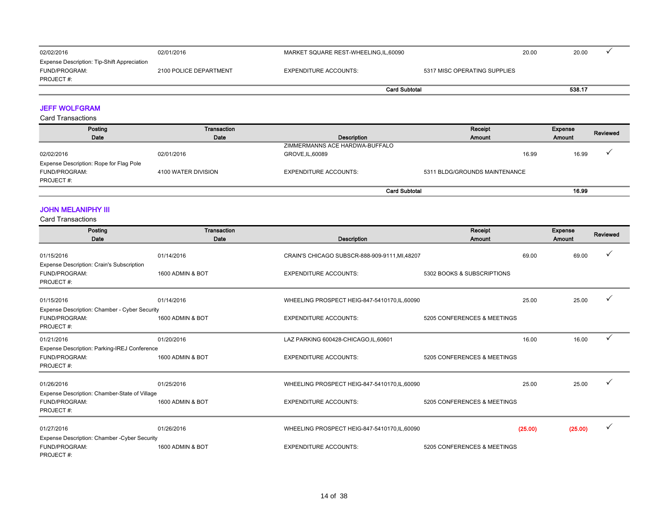| 02/02/2016                                                                | 02/01/2016             |                              | MARKET SQUARE REST-WHEELING,IL,60090 |         |  |
|---------------------------------------------------------------------------|------------------------|------------------------------|--------------------------------------|---------|--|
| Expense Description: Tip-Shift Appreciation<br>FUND/PROGRAM:<br>PROJECT#: | 2100 POLICE DEPARTMENT | <b>EXPENDITURE ACCOUNTS:</b> | 5317 MISC OPERATING SUPPLIES         |         |  |
|                                                                           |                        |                              | <b>Card Subtotal</b>                 | 538.17  |  |
| <b>JEFF WOLFGRAM</b>                                                      |                        |                              |                                      |         |  |
| <b>Card Transactions</b>                                                  |                        |                              |                                      |         |  |
| Posting                                                                   | Transaction            |                              | Receipt                              | Expense |  |

| .                                       | -------------       |                                | .                             | $-1$   | Reviewed |
|-----------------------------------------|---------------------|--------------------------------|-------------------------------|--------|----------|
| Date                                    | Date                | Description                    | Amount                        | Amount |          |
|                                         |                     | ZIMMERMANNS ACE HARDWA-BUFFALO |                               |        |          |
| 02/02/2016                              | 02/01/2016          | GROVE, IL, 60089               | 16.99                         | 16.99  |          |
| Expense Description: Rope for Flag Pole |                     |                                |                               |        |          |
| <b>FUND/PROGRAM:</b>                    | 4100 WATER DIVISION | <b>EXPENDITURE ACCOUNTS:</b>   | 5311 BLDG/GROUNDS MAINTENANCE |        |          |
| PROJECT#:                               |                     |                                |                               |        |          |
|                                         |                     | <b>Card Subtotal</b>           |                               | 16.99  |          |

### **JOHN MELANIPHY III**

| Posting                                                                            | <b>Transaction</b> |                                                | Receipt                     | <b>Expense</b>     | Reviewed |
|------------------------------------------------------------------------------------|--------------------|------------------------------------------------|-----------------------------|--------------------|----------|
| Date                                                                               | Date               | <b>Description</b>                             | Amount                      | <b>Amount</b>      |          |
| 01/15/2016                                                                         | 01/14/2016         | CRAIN'S CHICAGO SUBSCR-888-909-9111, MI, 48207 |                             | 69.00<br>69.00     |          |
| Expense Description: Crain's Subscription<br>FUND/PROGRAM:<br>PROJECT#:            | 1600 ADMIN & BOT   | <b>EXPENDITURE ACCOUNTS:</b>                   | 5302 BOOKS & SUBSCRIPTIONS  |                    |          |
| 01/15/2016                                                                         | 01/14/2016         | WHEELING PROSPECT HEIG-847-5410170, IL, 60090  |                             | 25.00<br>25.00     |          |
| Expense Description: Chamber - Cyber Security<br>FUND/PROGRAM:<br>PROJECT#:        | 1600 ADMIN & BOT   | <b>EXPENDITURE ACCOUNTS:</b>                   | 5205 CONFERENCES & MEETINGS |                    |          |
| 01/21/2016                                                                         | 01/20/2016         | LAZ PARKING 600428-CHICAGO,IL,60601            |                             | 16.00<br>16.00     | ✓        |
| Expense Description: Parking-IREJ Conference<br>FUND/PROGRAM:<br>PROJECT#:         | 1600 ADMIN & BOT   | <b>EXPENDITURE ACCOUNTS:</b>                   | 5205 CONFERENCES & MEETINGS |                    |          |
| 01/26/2016                                                                         | 01/25/2016         | WHEELING PROSPECT HEIG-847-5410170,IL,60090    |                             | 25.00<br>25.00     |          |
| Expense Description: Chamber-State of Village<br>FUND/PROGRAM:<br>PROJECT#:        | 1600 ADMIN & BOT   | <b>EXPENDITURE ACCOUNTS:</b>                   | 5205 CONFERENCES & MEETINGS |                    |          |
| 01/27/2016                                                                         | 01/26/2016         | WHEELING PROSPECT HEIG-847-5410170, IL, 60090  |                             | (25.00)<br>(25.00) |          |
| <b>Expense Description: Chamber - Cyber Security</b><br>FUND/PROGRAM:<br>PROJECT#: | 1600 ADMIN & BOT   | <b>EXPENDITURE ACCOUNTS:</b>                   | 5205 CONFERENCES & MEETINGS |                    |          |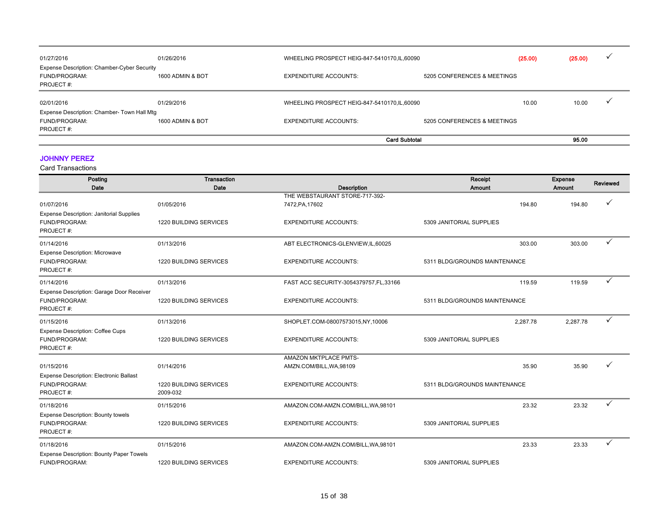| 01/27/2016                                  | 01/26/2016       | WHEELING PROSPECT HEIG-847-5410170, IL, 60090 |                             | (25.00) | (25.00) | $\overline{\phantom{a}}$ |
|---------------------------------------------|------------------|-----------------------------------------------|-----------------------------|---------|---------|--------------------------|
| Expense Description: Chamber-Cyber Security |                  |                                               |                             |         |         |                          |
| FUND/PROGRAM:<br><b>PROJECT#:</b>           | 1600 ADMIN & BOT | <b>EXPENDITURE ACCOUNTS:</b>                  | 5205 CONFERENCES & MEETINGS |         |         |                          |
| 02/01/2016                                  | 01/29/2016       | WHEELING PROSPECT HEIG-847-5410170, IL, 60090 |                             | 10.00   | 10.00   | M                        |
| Expense Description: Chamber- Town Hall Mtg |                  |                                               |                             |         |         |                          |
| FUND/PROGRAM:                               | 1600 ADMIN & BOT | <b>EXPENDITURE ACCOUNTS:</b>                  | 5205 CONFERENCES & MEETINGS |         |         |                          |
| PROJECT#:                                   |                  |                                               |                             |         |         |                          |
|                                             |                  |                                               | <b>Card Subtotal</b>        |         | 95.00   |                          |

### JOHNNY PEREZ

| Posting                                         | Transaction                   |                                         | Receipt                       | <b>Expense</b> | Reviewed |
|-------------------------------------------------|-------------------------------|-----------------------------------------|-------------------------------|----------------|----------|
| Date                                            | Date                          | Description                             | Amount                        | Amount         |          |
|                                                 |                               | THE WEBSTAURANT STORE-717-392-          |                               |                |          |
| 01/07/2016                                      | 01/05/2016                    | 7472, PA, 17602                         | 194.80                        | 194.80         |          |
| <b>Expense Description: Janitorial Supplies</b> |                               |                                         |                               |                |          |
| FUND/PROGRAM:<br>PROJECT#:                      | 1220 BUILDING SERVICES        | <b>EXPENDITURE ACCOUNTS:</b>            | 5309 JANITORIAL SUPPLIES      |                |          |
|                                                 |                               |                                         |                               |                |          |
| 01/14/2016                                      | 01/13/2016                    | ABT ELECTRONICS-GLENVIEW,IL,60025       | 303.00                        | 303.00         | ✓        |
| <b>Expense Description: Microwave</b>           |                               |                                         |                               |                |          |
| FUND/PROGRAM:                                   | <b>1220 BUILDING SERVICES</b> | <b>EXPENDITURE ACCOUNTS:</b>            | 5311 BLDG/GROUNDS MAINTENANCE |                |          |
| PROJECT#:                                       |                               |                                         |                               |                |          |
| 01/14/2016                                      | 01/13/2016                    | FAST ACC SECURITY-3054379757, FL, 33166 | 119.59                        | 119.59         | ✓        |
| Expense Description: Garage Door Receiver       |                               |                                         |                               |                |          |
| FUND/PROGRAM:                                   | 1220 BUILDING SERVICES        | <b>EXPENDITURE ACCOUNTS:</b>            | 5311 BLDG/GROUNDS MAINTENANCE |                |          |
| PROJECT#:                                       |                               |                                         |                               |                |          |
| 01/15/2016                                      | 01/13/2016                    | SHOPLET.COM-08007573015,NY,10006        | 2.287.78                      | 2,287.78       | ✓        |
| <b>Expense Description: Coffee Cups</b>         |                               |                                         |                               |                |          |
| FUND/PROGRAM:                                   | 1220 BUILDING SERVICES        | <b>EXPENDITURE ACCOUNTS:</b>            | 5309 JANITORIAL SUPPLIES      |                |          |
| PROJECT#:                                       |                               |                                         |                               |                |          |
|                                                 |                               | AMAZON MKTPLACE PMTS-                   |                               |                |          |
| 01/15/2016                                      | 01/14/2016                    | AMZN.COM/BILL, WA, 98109                | 35.90                         | 35.90          |          |
| Expense Description: Electronic Ballast         |                               |                                         |                               |                |          |
| FUND/PROGRAM:                                   | <b>1220 BUILDING SERVICES</b> | <b>EXPENDITURE ACCOUNTS:</b>            | 5311 BLDG/GROUNDS MAINTENANCE |                |          |
| PROJECT#:                                       | 2009-032                      |                                         |                               |                |          |
| 01/18/2016                                      | 01/15/2016                    | AMAZON.COM-AMZN.COM/BILL, WA, 98101     | 23.32                         | 23.32          |          |
| <b>Expense Description: Bounty towels</b>       |                               |                                         |                               |                |          |
| FUND/PROGRAM:                                   | <b>1220 BUILDING SERVICES</b> | <b>EXPENDITURE ACCOUNTS:</b>            | 5309 JANITORIAL SUPPLIES      |                |          |
| PROJECT#:                                       |                               |                                         |                               |                |          |
| 01/18/2016                                      | 01/15/2016                    | AMAZON.COM-AMZN.COM/BILL, WA, 98101     | 23.33                         | 23.33          | ✓        |
| <b>Expense Description: Bounty Paper Towels</b> |                               |                                         |                               |                |          |
| FUND/PROGRAM:                                   | 1220 BUILDING SERVICES        | <b>EXPENDITURE ACCOUNTS:</b>            | 5309 JANITORIAL SUPPLIES      |                |          |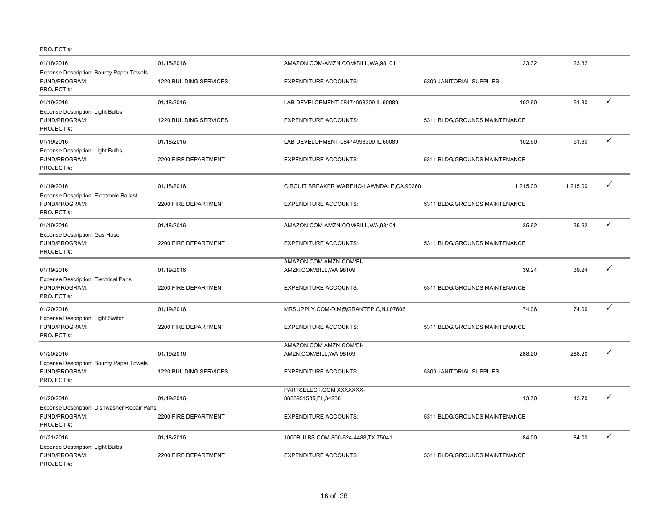| 01/18/2016                                                                               | 01/15/2016                           | AMAZON.COM-AMZN.COM/BILL, WA, 98101                      | 23.32                                  | 23.32    |              |
|------------------------------------------------------------------------------------------|--------------------------------------|----------------------------------------------------------|----------------------------------------|----------|--------------|
| <b>Expense Description: Bounty Paper Towels</b><br>FUND/PROGRAM:<br>PROJECT#:            | 1220 BUILDING SERVICES               | <b>EXPENDITURE ACCOUNTS:</b>                             | 5309 JANITORIAL SUPPLIES               |          |              |
| 01/19/2016                                                                               | 01/18/2016                           | LAB DEVELOPMENT-08474998309,IL,60089                     | 102.60                                 | 51.30    | ✓            |
| <b>Expense Description: Light Bulbs</b><br>FUND/PROGRAM:<br>PROJECT#:                    | 1220 BUILDING SERVICES               | <b>EXPENDITURE ACCOUNTS:</b>                             | 5311 BLDG/GROUNDS MAINTENANCE          |          |              |
| 01/19/2016                                                                               | 01/18/2016                           | LAB DEVELOPMENT-08474998309,IL,60089                     | 102.60                                 | 51.30    | $\checkmark$ |
| Expense Description: Light Bulbs<br>FUND/PROGRAM:<br>PROJECT#:                           | 2200 FIRE DEPARTMENT                 | <b>EXPENDITURE ACCOUNTS:</b>                             | 5311 BLDG/GROUNDS MAINTENANCE          |          |              |
| 01/19/2016<br>Expense Description: Electronic Ballast                                    | 01/18/2016                           | CIRCUIT BREAKER WAREHO-LAWNDALE, CA, 90260               | 1,215.00                               | 1,215.00 | $\checkmark$ |
| FUND/PROGRAM:<br>PROJECT#:                                                               | 2200 FIRE DEPARTMENT                 | <b>EXPENDITURE ACCOUNTS:</b>                             | 5311 BLDG/GROUNDS MAINTENANCE          |          |              |
| 01/19/2016                                                                               | 01/18/2016                           | AMAZON.COM-AMZN.COM/BILL, WA, 98101                      | 35.62                                  | 35.62    | ✓            |
| Expense Description: Gas Hose<br>FUND/PROGRAM:<br>PROJECT#:                              | 2200 FIRE DEPARTMENT                 | <b>EXPENDITURE ACCOUNTS:</b>                             | 5311 BLDG/GROUNDS MAINTENANCE          |          |              |
|                                                                                          |                                      | AMAZON.COM AMZN.COM/BI-                                  |                                        |          | ✓            |
| 01/19/2016<br><b>Expense Description: Electrical Parts</b><br>FUND/PROGRAM:<br>PROJECT#: | 01/19/2016<br>2200 FIRE DEPARTMENT   | AMZN.COM/BILL, WA, 98109<br><b>EXPENDITURE ACCOUNTS:</b> | 39.24<br>5311 BLDG/GROUNDS MAINTENANCE | 39.24    |              |
| 01/20/2016                                                                               | 01/19/2016                           | MRSUPPLY.COM-DIM@GRANTEP.C,NJ,07606                      | 74.06                                  | 74.06    | ✓            |
| Expense Description: Light Switch<br>FUND/PROGRAM:<br>PROJECT#:                          | 2200 FIRE DEPARTMENT                 | <b>EXPENDITURE ACCOUNTS:</b>                             | 5311 BLDG/GROUNDS MAINTENANCE          |          |              |
|                                                                                          |                                      | AMAZON.COM AMZN.COM/BI-                                  |                                        |          |              |
| 01/20/2016<br>Expense Description: Bounty Paper Towels<br>FUND/PROGRAM:<br>PROJECT#:     | 01/19/2016<br>1220 BUILDING SERVICES | AMZN.COM/BILL, WA, 98109<br><b>EXPENDITURE ACCOUNTS:</b> | 288.20<br>5309 JANITORIAL SUPPLIES     | 288.20   |              |
|                                                                                          |                                      | PARTSELECT.COM XXXXXXX-                                  |                                        |          |              |
| 01/20/2016<br>Expense Description: Dishwasher Repair Parts<br>FUND/PROGRAM:<br>PROJECT#: | 01/19/2016<br>2200 FIRE DEPARTMENT   | 8888951535, FL, 34238<br><b>EXPENDITURE ACCOUNTS:</b>    | 13.70<br>5311 BLDG/GROUNDS MAINTENANCE | 13.70    |              |
| 01/21/2016                                                                               | 01/18/2016                           | 1000BULBS.COM-800-624-4488,TX,75041                      | 84.00                                  | 84.00    | ✓            |
| Expense Description: Light Bulbs<br>FUND/PROGRAM:<br>PROJECT#:                           | 2200 FIRE DEPARTMENT                 | <b>EXPENDITURE ACCOUNTS:</b>                             | 5311 BLDG/GROUNDS MAINTENANCE          |          |              |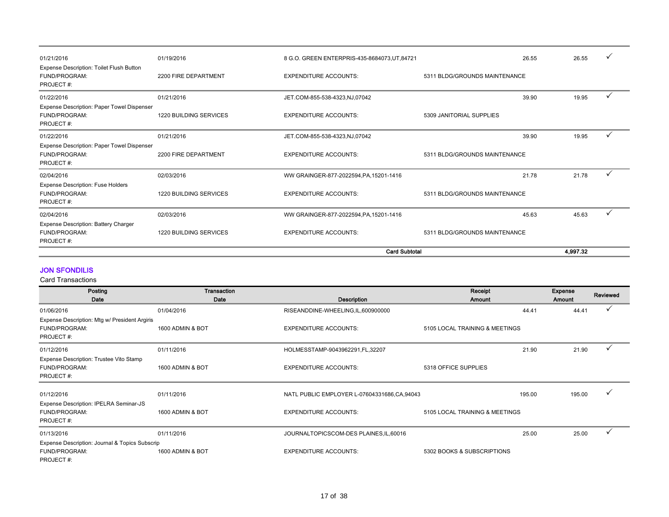|                                                                               |                               | <b>Card Subtotal</b>                          |                               | 4,997.32 |   |
|-------------------------------------------------------------------------------|-------------------------------|-----------------------------------------------|-------------------------------|----------|---|
| Expense Description: Battery Charger<br>FUND/PROGRAM:<br>PROJECT#:            | <b>1220 BUILDING SERVICES</b> | <b>EXPENDITURE ACCOUNTS:</b>                  | 5311 BLDG/GROUNDS MAINTENANCE |          |   |
| 02/04/2016                                                                    | 02/03/2016                    | WW GRAINGER-877-2022594, PA, 15201-1416       | 45.63                         | 45.63    | ✓ |
| <b>Expense Description: Fuse Holders</b><br>FUND/PROGRAM:<br>PROJECT#:        | 1220 BUILDING SERVICES        | <b>EXPENDITURE ACCOUNTS:</b>                  | 5311 BLDG/GROUNDS MAINTENANCE |          |   |
| 02/04/2016                                                                    | 02/03/2016                    | WW GRAINGER-877-2022594, PA, 15201-1416       | 21.78                         | 21.78    | ✓ |
| Expense Description: Paper Towel Dispenser<br>FUND/PROGRAM:<br>PROJECT#:      | 2200 FIRE DEPARTMENT          | <b>EXPENDITURE ACCOUNTS:</b>                  | 5311 BLDG/GROUNDS MAINTENANCE |          |   |
| 01/22/2016                                                                    | 01/21/2016                    | JET.COM-855-538-4323,NJ,07042                 | 39.90                         | 19.95    |   |
| Expense Description: Paper Towel Dispenser<br>FUND/PROGRAM:<br>PROJECT#:      | <b>1220 BUILDING SERVICES</b> | <b>EXPENDITURE ACCOUNTS:</b>                  | 5309 JANITORIAL SUPPLIES      |          |   |
| 01/22/2016                                                                    | 01/21/2016                    | JET.COM-855-538-4323,NJ,07042                 | 39.90                         | 19.95    |   |
| <b>Expense Description: Toilet Flush Button</b><br>FUND/PROGRAM:<br>PROJECT#: | 2200 FIRE DEPARTMENT          | <b>EXPENDITURE ACCOUNTS:</b>                  | 5311 BLDG/GROUNDS MAINTENANCE |          |   |
| 01/21/2016                                                                    | 01/19/2016                    | 8 G.O. GREEN ENTERPRIS-435-8684073, UT, 84721 | 26.55                         | 26.55    |   |

### JON SFONDILIS

| Posting                                        | Transaction      |                                             | Receipt                        |        | Expense | Reviewed |
|------------------------------------------------|------------------|---------------------------------------------|--------------------------------|--------|---------|----------|
| Date                                           | Date             | Description                                 | <b>Amount</b>                  |        | Amount  |          |
| 01/06/2016                                     | 01/04/2016       | RISEANDDINE-WHEELING,IL,600900000           |                                | 44.41  | 44.41   |          |
| Expense Description: Mtg w/ President Argiris  |                  |                                             |                                |        |         |          |
| FUND/PROGRAM:                                  | 1600 ADMIN & BOT | <b>EXPENDITURE ACCOUNTS:</b>                | 5105 LOCAL TRAINING & MEETINGS |        |         |          |
| PROJECT#:                                      |                  |                                             |                                |        |         |          |
| 01/12/2016                                     | 01/11/2016       | HOLMESSTAMP-9043962291,FL,32207             |                                | 21.90  | 21.90   |          |
| Expense Description: Trustee Vito Stamp        |                  |                                             |                                |        |         |          |
| FUND/PROGRAM:                                  | 1600 ADMIN & BOT | <b>EXPENDITURE ACCOUNTS:</b>                | 5318 OFFICE SUPPLIES           |        |         |          |
| PROJECT#:                                      |                  |                                             |                                |        |         |          |
| 01/12/2016                                     | 01/11/2016       | NATL PUBLIC EMPLOYER L-07604331686,CA,94043 |                                | 195.00 | 195.00  |          |
| Expense Description: IPELRA Seminar-JS         |                  |                                             |                                |        |         |          |
| FUND/PROGRAM:                                  | 1600 ADMIN & BOT | <b>EXPENDITURE ACCOUNTS:</b>                | 5105 LOCAL TRAINING & MEETINGS |        |         |          |
| PROJECT#:                                      |                  |                                             |                                |        |         |          |
| 01/13/2016                                     | 01/11/2016       | JOURNALTOPICSCOM-DES PLAINES, IL, 60016     |                                | 25.00  | 25.00   |          |
| Expense Description: Journal & Topics Subscrip |                  |                                             |                                |        |         |          |
| FUND/PROGRAM:                                  | 1600 ADMIN & BOT | <b>EXPENDITURE ACCOUNTS:</b>                | 5302 BOOKS & SUBSCRIPTIONS     |        |         |          |
| PROJECT#:                                      |                  |                                             |                                |        |         |          |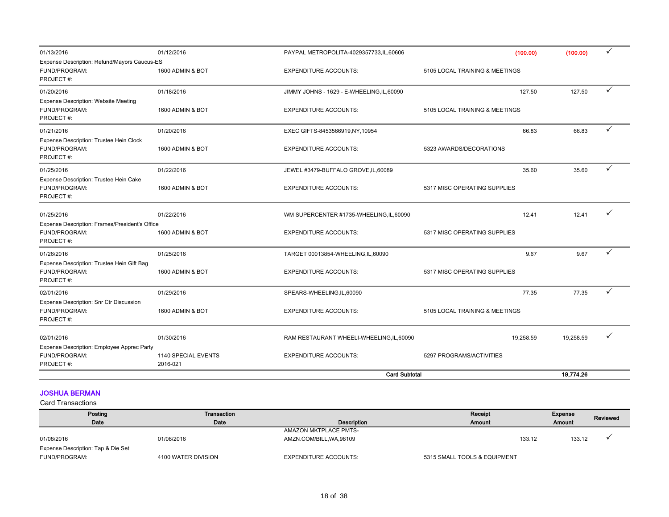| 01/13/2016                                                                   | 01/12/2016                      | PAYPAL METROPOLITA-4029357733,IL,60606     | (100.00)                       | (100.00)  | ✓ |
|------------------------------------------------------------------------------|---------------------------------|--------------------------------------------|--------------------------------|-----------|---|
| Expense Description: Refund/Mayors Caucus-ES<br>FUND/PROGRAM:<br>PROJECT#:   | 1600 ADMIN & BOT                | <b>EXPENDITURE ACCOUNTS:</b>               | 5105 LOCAL TRAINING & MEETINGS |           |   |
| 01/20/2016                                                                   | 01/18/2016                      | JIMMY JOHNS - 1629 - E-WHEELING, IL, 60090 | 127.50                         | 127.50    | ✓ |
| <b>Expense Description: Website Meeting</b><br>FUND/PROGRAM:<br>PROJECT#:    | 1600 ADMIN & BOT                | <b>EXPENDITURE ACCOUNTS:</b>               | 5105 LOCAL TRAINING & MEETINGS |           |   |
| 01/21/2016                                                                   | 01/20/2016                      | EXEC GIFTS-8453566919,NY,10954             | 66.83                          | 66.83     | ✓ |
| Expense Description: Trustee Hein Clock<br>FUND/PROGRAM:<br>PROJECT#:        | 1600 ADMIN & BOT                | <b>EXPENDITURE ACCOUNTS:</b>               | 5323 AWARDS/DECORATIONS        |           |   |
| 01/25/2016                                                                   | 01/22/2016                      | JEWEL #3479-BUFFALO GROVE, IL, 60089       | 35.60                          | 35.60     | ✓ |
| Expense Description: Trustee Hein Cake<br>FUND/PROGRAM:<br>PROJECT#:         | 1600 ADMIN & BOT                | <b>EXPENDITURE ACCOUNTS:</b>               | 5317 MISC OPERATING SUPPLIES   |           |   |
| 01/25/2016                                                                   | 01/22/2016                      | WM SUPERCENTER #1735-WHEELING,IL,60090     | 12.41                          | 12.41     |   |
| Expense Description: Frames/President's Office<br>FUND/PROGRAM:<br>PROJECT#: | 1600 ADMIN & BOT                | <b>EXPENDITURE ACCOUNTS:</b>               | 5317 MISC OPERATING SUPPLIES   |           |   |
| 01/26/2016                                                                   | 01/25/2016                      | TARGET 00013854-WHEELING,IL,60090          | 9.67                           | 9.67      | ✓ |
| Expense Description: Trustee Hein Gift Bag<br>FUND/PROGRAM:<br>PROJECT#:     | 1600 ADMIN & BOT                | <b>EXPENDITURE ACCOUNTS:</b>               | 5317 MISC OPERATING SUPPLIES   |           |   |
| 02/01/2016                                                                   | 01/29/2016                      | SPEARS-WHEELING,IL,60090                   | 77.35                          | 77.35     | ✓ |
| Expense Description: Snr Ctr Discussion<br>FUND/PROGRAM:<br>PROJECT#:        | 1600 ADMIN & BOT                | <b>EXPENDITURE ACCOUNTS:</b>               | 5105 LOCAL TRAINING & MEETINGS |           |   |
| 02/01/2016                                                                   | 01/30/2016                      | RAM RESTAURANT WHEELI-WHEELING, IL, 60090  | 19.258.59                      | 19,258.59 | ✓ |
| Expense Description: Employee Apprec Party<br>FUND/PROGRAM:<br>PROJECT#:     | 1140 SPECIAL EVENTS<br>2016-021 | <b>EXPENDITURE ACCOUNTS:</b>               | 5297 PROGRAMS/ACTIVITIES       |           |   |
|                                                                              |                                 | <b>Card Subtotal</b>                       |                                | 19,774.26 |   |

### JOSHUA BERMAN

| Posting                            | Transaction         |                              | Receipt                      | Expense | Reviewed |
|------------------------------------|---------------------|------------------------------|------------------------------|---------|----------|
| Date                               | Date                | Description                  | <b>Amount</b>                | Amount  |          |
|                                    |                     | AMAZON MKTPLACE PMTS-        |                              |         |          |
| 01/08/2016                         | 01/08/2016          | AMZN.COM/BILL, WA, 98109     | 133.12                       | 133.12  |          |
| Expense Description: Tap & Die Set |                     |                              |                              |         |          |
| FUND/PROGRAM:                      | 4100 WATER DIVISION | <b>EXPENDITURE ACCOUNTS:</b> | 5315 SMALL TOOLS & EQUIPMENT |         |          |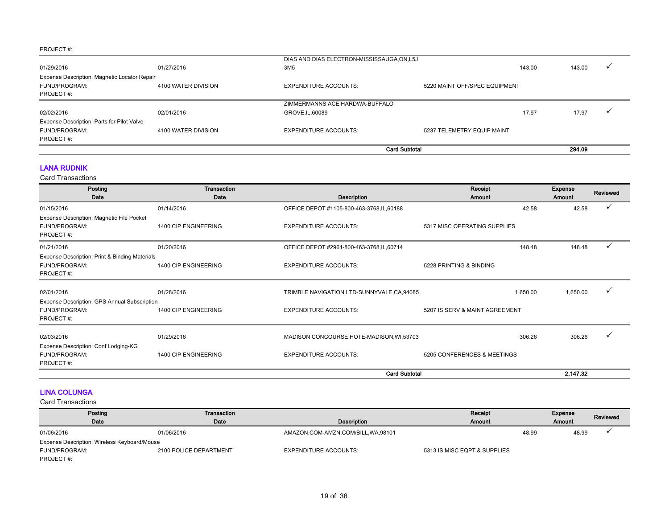|                                              |                     | DIAS AND DIAS ELECTRON-MISSISSAUGA, ON, L5J |                               |        |  |
|----------------------------------------------|---------------------|---------------------------------------------|-------------------------------|--------|--|
| 01/29/2016                                   | 01/27/2016          | 3M5                                         | 143.00                        | 143.00 |  |
| Expense Description: Magnetic Locator Repair |                     |                                             |                               |        |  |
| <b>FUND/PROGRAM:</b>                         | 4100 WATER DIVISION | <b>EXPENDITURE ACCOUNTS:</b>                | 5220 MAINT OFF/SPEC EQUIPMENT |        |  |
| PROJECT#:                                    |                     |                                             |                               |        |  |
|                                              |                     | ZIMMERMANNS ACE HARDWA-BUFFALO              |                               |        |  |
| 02/02/2016                                   | 02/01/2016          | GROVE, IL, 60089                            | 17.97                         | 17.97  |  |
| Expense Description: Parts for Pilot Valve   |                     |                                             |                               |        |  |
| FUND/PROGRAM:                                | 4100 WATER DIVISION | <b>EXPENDITURE ACCOUNTS:</b>                | 5237 TELEMETRY EQUIP MAINT    |        |  |
| PROJECT#:                                    |                     |                                             |                               |        |  |
|                                              |                     |                                             | <b>Card Subtotal</b>          | 294.09 |  |

### LANA RUDNIK

Card Transactions

| Posting                                        | Transaction          |                                             | Receipt                        | Expense       | Reviewed |
|------------------------------------------------|----------------------|---------------------------------------------|--------------------------------|---------------|----------|
| Date                                           | Date                 | Description                                 | Amount                         | <b>Amount</b> |          |
| 01/15/2016                                     | 01/14/2016           | OFFICE DEPOT #1105-800-463-3768, IL, 60188  | 42.58                          | 42.58         |          |
| Expense Description: Magnetic File Pocket      |                      |                                             |                                |               |          |
| FUND/PROGRAM:                                  | 1400 CIP ENGINEERING | <b>EXPENDITURE ACCOUNTS:</b>                | 5317 MISC OPERATING SUPPLIES   |               |          |
| PROJECT#:                                      |                      |                                             |                                |               |          |
| 01/21/2016                                     | 01/20/2016           | OFFICE DEPOT #2961-800-463-3768,IL,60714    | 148.48                         | 148.48        |          |
| Expense Description: Print & Binding Materials |                      |                                             |                                |               |          |
| FUND/PROGRAM:                                  | 1400 CIP ENGINEERING | <b>EXPENDITURE ACCOUNTS:</b>                | 5228 PRINTING & BINDING        |               |          |
| PROJECT#:                                      |                      |                                             |                                |               |          |
| 02/01/2016                                     | 01/28/2016           | TRIMBLE NAVIGATION LTD-SUNNYVALE, CA, 94085 | 1,650.00                       | 1,650.00      | ✓        |
| Expense Description: GPS Annual Subscription   |                      |                                             |                                |               |          |
| FUND/PROGRAM:                                  | 1400 CIP ENGINEERING | <b>EXPENDITURE ACCOUNTS:</b>                | 5207 IS SERV & MAINT AGREEMENT |               |          |
| PROJECT#:                                      |                      |                                             |                                |               |          |
| 02/03/2016                                     | 01/29/2016           | MADISON CONCOURSE HOTE-MADISON, WI,53703    | 306.26                         | 306.26        |          |
| Expense Description: Conf Lodging-KG           |                      |                                             |                                |               |          |
| FUND/PROGRAM:                                  | 1400 CIP ENGINEERING | <b>EXPENDITURE ACCOUNTS:</b>                | 5205 CONFERENCES & MEETINGS    |               |          |
| PROJECT#:                                      |                      |                                             |                                |               |          |
|                                                |                      | <b>Card Subtotal</b>                        |                                | 2,147.32      |          |

#### LINA COLUNGA

| Posting                                      | Transaction            |                                     | Receipt                      | Expense |        |  |  | Reviewed |
|----------------------------------------------|------------------------|-------------------------------------|------------------------------|---------|--------|--|--|----------|
| Date                                         | Date                   | Description                         | <b>Amount</b>                |         | Amount |  |  |          |
| 01/06/2016                                   | 01/06/2016             | AMAZON.COM-AMZN.COM/BILL, WA, 98101 |                              | 48.99   | 48.99  |  |  |          |
| Expense Description: Wireless Keyboard/Mouse |                        |                                     |                              |         |        |  |  |          |
| FUND/PROGRAM:                                | 2100 POLICE DEPARTMENT | <b>EXPENDITURE ACCOUNTS:</b>        | 5313 IS MISC EQPT & SUPPLIES |         |        |  |  |          |
| PROJECT#:                                    |                        |                                     |                              |         |        |  |  |          |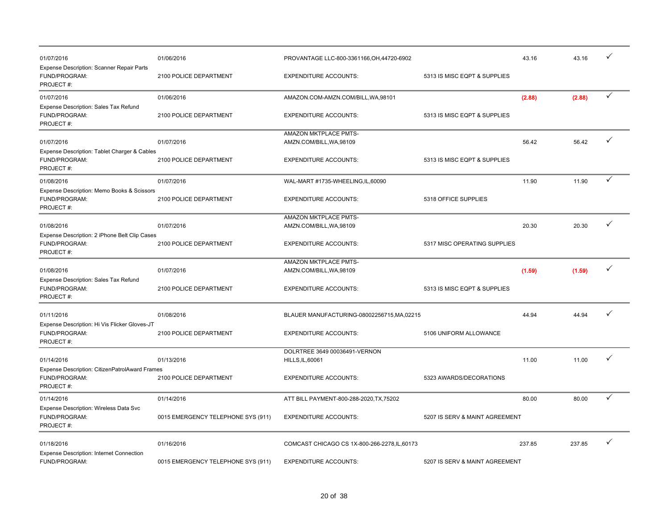| 01/07/2016<br>Expense Description: Scanner Repair Parts                      | 01/06/2016                         | PROVANTAGE LLC-800-3361166, OH, 44720-6902        |                                | 43.16  | 43.16  |              |
|------------------------------------------------------------------------------|------------------------------------|---------------------------------------------------|--------------------------------|--------|--------|--------------|
| FUND/PROGRAM:<br>PROJECT#:                                                   | 2100 POLICE DEPARTMENT             | <b>EXPENDITURE ACCOUNTS:</b>                      | 5313 IS MISC EQPT & SUPPLIES   |        |        |              |
| 01/07/2016                                                                   | 01/06/2016                         | AMAZON.COM-AMZN.COM/BILL, WA, 98101               |                                | (2.88) | (2.88) | $\checkmark$ |
| Expense Description: Sales Tax Refund<br>FUND/PROGRAM:<br>PROJECT#:          | 2100 POLICE DEPARTMENT             | <b>EXPENDITURE ACCOUNTS:</b>                      | 5313 IS MISC EQPT & SUPPLIES   |        |        |              |
| 01/07/2016                                                                   | 01/07/2016                         | AMAZON MKTPLACE PMTS-<br>AMZN.COM/BILL, WA, 98109 |                                | 56.42  | 56.42  | ✓            |
| Expense Description: Tablet Charger & Cables<br>FUND/PROGRAM:<br>PROJECT#:   | 2100 POLICE DEPARTMENT             | <b>EXPENDITURE ACCOUNTS:</b>                      | 5313 IS MISC EQPT & SUPPLIES   |        |        |              |
| 01/08/2016                                                                   | 01/07/2016                         | WAL-MART #1735-WHEELING,IL,60090                  |                                | 11.90  | 11.90  | ✓            |
| Expense Description: Memo Books & Scissors<br>FUND/PROGRAM:<br>PROJECT#:     | 2100 POLICE DEPARTMENT             | <b>EXPENDITURE ACCOUNTS:</b>                      | 5318 OFFICE SUPPLIES           |        |        |              |
|                                                                              |                                    | AMAZON MKTPLACE PMTS-                             |                                |        |        |              |
| 01/08/2016                                                                   | 01/07/2016                         | AMZN.COM/BILL, WA, 98109                          |                                | 20.30  | 20.30  | ✓            |
| Expense Description: 2 iPhone Belt Clip Cases<br>FUND/PROGRAM:<br>PROJECT#:  | 2100 POLICE DEPARTMENT             | <b>EXPENDITURE ACCOUNTS:</b>                      | 5317 MISC OPERATING SUPPLIES   |        |        |              |
|                                                                              |                                    | AMAZON MKTPLACE PMTS-                             |                                |        |        | $\checkmark$ |
| 01/08/2016<br>Expense Description: Sales Tax Refund                          | 01/07/2016                         | AMZN.COM/BILL, WA, 98109                          |                                | (1.59) | (1.59) |              |
| FUND/PROGRAM:<br>PROJECT#:                                                   | 2100 POLICE DEPARTMENT             | <b>EXPENDITURE ACCOUNTS:</b>                      | 5313 IS MISC EQPT & SUPPLIES   |        |        |              |
| 01/11/2016                                                                   | 01/08/2016                         | BLAUER MANUFACTURING-08002256715, MA, 02215       |                                | 44.94  | 44.94  | ✓            |
| Expense Description: Hi Vis Flicker Gloves-JT<br>FUND/PROGRAM:<br>PROJECT#:  | 2100 POLICE DEPARTMENT             | <b>EXPENDITURE ACCOUNTS:</b>                      | 5106 UNIFORM ALLOWANCE         |        |        |              |
|                                                                              |                                    | DOLRTREE 3649 00036491-VERNON                     |                                |        |        |              |
| 01/14/2016                                                                   | 01/13/2016                         | <b>HILLS, IL, 60061</b>                           |                                | 11.00  | 11.00  | ✓            |
| Expense Description: CitizenPatrolAward Frames<br>FUND/PROGRAM:<br>PROJECT#: | 2100 POLICE DEPARTMENT             | <b>EXPENDITURE ACCOUNTS:</b>                      | 5323 AWARDS/DECORATIONS        |        |        |              |
| 01/14/2016                                                                   | 01/14/2016                         | ATT BILL PAYMENT-800-288-2020, TX, 75202          |                                | 80.00  | 80.00  | ✓            |
| Expense Description: Wireless Data Svc<br>FUND/PROGRAM:<br>PROJECT#:         | 0015 EMERGENCY TELEPHONE SYS (911) | <b>EXPENDITURE ACCOUNTS:</b>                      | 5207 IS SERV & MAINT AGREEMENT |        |        |              |
| 01/18/2016                                                                   | 01/16/2016                         | COMCAST CHICAGO CS 1X-800-266-2278, IL, 60173     |                                | 237.85 | 237.85 | $\checkmark$ |
| <b>Expense Description: Internet Connection</b><br>FUND/PROGRAM:             | 0015 EMERGENCY TELEPHONE SYS (911) | <b>EXPENDITURE ACCOUNTS:</b>                      | 5207 IS SERV & MAINT AGREEMENT |        |        |              |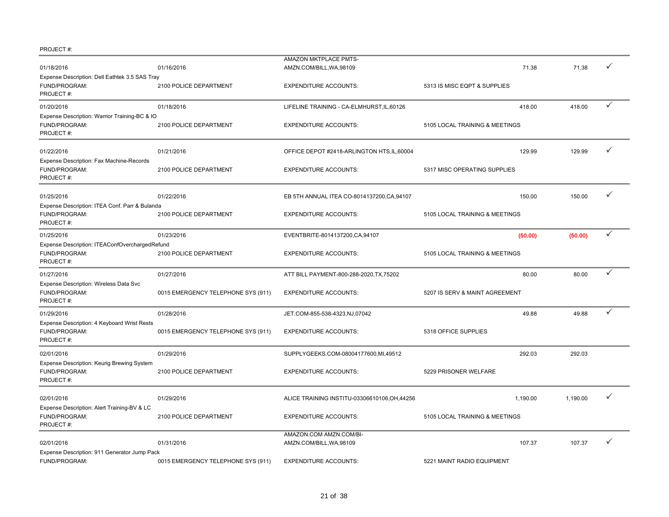|                                                                              |                                    | <b>AMAZON MKTPLACE PMTS-</b>                        |                                |          |              |
|------------------------------------------------------------------------------|------------------------------------|-----------------------------------------------------|--------------------------------|----------|--------------|
| 01/18/2016                                                                   | 01/16/2016                         | AMZN.COM/BILL, WA, 98109                            | 71.38                          | 71.38    |              |
| Expense Description: Dell Eathtek 3.5 SAS Tray<br>FUND/PROGRAM:<br>PROJECT#: | 2100 POLICE DEPARTMENT             | <b>EXPENDITURE ACCOUNTS:</b>                        | 5313 IS MISC EQPT & SUPPLIES   |          |              |
| 01/20/2016                                                                   | 01/18/2016                         | LIFELINE TRAINING - CA-ELMHURST, IL, 60126          | 418.00                         | 418.00   | ✓            |
| Expense Description: Warrior Training-BC & IO<br>FUND/PROGRAM:<br>PROJECT#:  | 2100 POLICE DEPARTMENT             | <b>EXPENDITURE ACCOUNTS:</b>                        | 5105 LOCAL TRAINING & MEETINGS |          |              |
| 01/22/2016                                                                   | 01/21/2016                         | OFFICE DEPOT #2418-ARLINGTON HTS,IL,60004           | 129.99                         | 129.99   | ✓            |
| Expense Description: Fax Machine-Records<br>FUND/PROGRAM:<br>PROJECT#:       | 2100 POLICE DEPARTMENT             | <b>EXPENDITURE ACCOUNTS:</b>                        | 5317 MISC OPERATING SUPPLIES   |          |              |
| 01/25/2016                                                                   | 01/22/2016                         | EB 5TH ANNUAL ITEA CO-8014137200, CA, 94107         | 150.00                         | 150.00   | $\checkmark$ |
| Expense Description: ITEA Conf. Parr & Bulanda<br>FUND/PROGRAM:<br>PROJECT#: | 2100 POLICE DEPARTMENT             | <b>EXPENDITURE ACCOUNTS:</b>                        | 5105 LOCAL TRAINING & MEETINGS |          |              |
| 01/25/2016                                                                   | 01/23/2016                         | EVENTBRITE-8014137200, CA, 94107                    | (50.00)                        | (50.00)  | ✓            |
| Expense Description: ITEAConfOverchargedRefund<br>FUND/PROGRAM:<br>PROJECT#: | 2100 POLICE DEPARTMENT             | <b>EXPENDITURE ACCOUNTS:</b>                        | 5105 LOCAL TRAINING & MEETINGS |          |              |
| 01/27/2016                                                                   | 01/27/2016                         | ATT BILL PAYMENT-800-288-2020, TX, 75202            | 80.00                          | 80.00    | ✓            |
| Expense Description: Wireless Data Svc<br>FUND/PROGRAM:<br>PROJECT#:         | 0015 EMERGENCY TELEPHONE SYS (911) | <b>EXPENDITURE ACCOUNTS:</b>                        | 5207 IS SERV & MAINT AGREEMENT |          |              |
| 01/29/2016                                                                   | 01/28/2016                         | JET.COM-855-538-4323,NJ,07042                       | 49.88                          | 49.88    | ✓            |
| Expense Description: 4 Keyboard Wrist Rests<br>FUND/PROGRAM:<br>PROJECT#:    | 0015 EMERGENCY TELEPHONE SYS (911) | <b>EXPENDITURE ACCOUNTS:</b>                        | 5318 OFFICE SUPPLIES           |          |              |
| 02/01/2016                                                                   | 01/29/2016                         | SUPPLYGEEKS.COM-08004177600,MI,49512                | 292.03                         | 292.03   |              |
| Expense Description: Keurig Brewing System<br>FUND/PROGRAM:<br>PROJECT#:     | 2100 POLICE DEPARTMENT             | <b>EXPENDITURE ACCOUNTS:</b>                        | 5229 PRISONER WELFARE          |          |              |
| 02/01/2016                                                                   | 01/29/2016                         | ALICE TRAINING INSTITU-03306610106, OH, 44256       | 1.190.00                       | 1.190.00 |              |
| Expense Description: Alert Training-BV & LC<br>FUND/PROGRAM:<br>PROJECT#:    | 2100 POLICE DEPARTMENT             | <b>EXPENDITURE ACCOUNTS:</b>                        | 5105 LOCAL TRAINING & MEETINGS |          |              |
| 02/01/2016                                                                   | 01/31/2016                         | AMAZON.COM AMZN.COM/BI-<br>AMZN.COM/BILL, WA, 98109 | 107.37                         | 107.37   | $\checkmark$ |
| Expense Description: 911 Generator Jump Pack<br>FUND/PROGRAM:                | 0015 EMERGENCY TELEPHONE SYS (911) | <b>EXPENDITURE ACCOUNTS:</b>                        | 5221 MAINT RADIO EQUIPMENT     |          |              |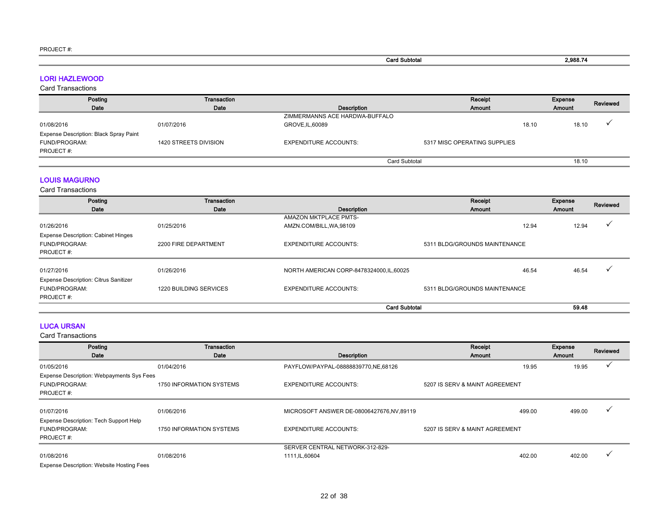| . <del>.</del> . <i></i> . |                      |          |
|----------------------------|----------------------|----------|
|                            | <b>Card Subtotal</b> | 2,988.74 |
|                            |                      |          |

LORI HAZLEWOOD

Card Transactions

| Posting                                | Transaction           |                                | Receipt                      |       | <b>Expense</b> | Reviewed |
|----------------------------------------|-----------------------|--------------------------------|------------------------------|-------|----------------|----------|
| Date                                   | Date                  | <b>Description</b>             | Amount                       |       | <b>Amount</b>  |          |
|                                        |                       | ZIMMERMANNS ACE HARDWA-BUFFALO |                              |       |                |          |
| 01/08/2016                             | 01/07/2016            | GROVE, IL, 60089               |                              | 18.10 | 18.10          |          |
| Expense Description: Black Spray Paint |                       |                                |                              |       |                |          |
| <b>FUND/PROGRAM:</b>                   | 1420 STREETS DIVISION | <b>EXPENDITURE ACCOUNTS:</b>   | 5317 MISC OPERATING SUPPLIES |       |                |          |
| PROJECT#:                              |                       |                                |                              |       |                |          |
|                                        |                       | <b>Card Subtotal</b>           |                              |       | 18.10          |          |

### LOUIS MAGURNO

Card Transactions

| Posting                                                                  | Transaction            |                                           | Receipt                       | Expense | Reviewed |
|--------------------------------------------------------------------------|------------------------|-------------------------------------------|-------------------------------|---------|----------|
| Date                                                                     | Date                   | Description                               | Amount                        | Amount  |          |
|                                                                          |                        | <b>AMAZON MKTPLACE PMTS-</b>              |                               |         |          |
| 01/26/2016                                                               | 01/25/2016             | AMZN.COM/BILL, WA, 98109                  | 12.94                         | 12.94   |          |
| <b>Expense Description: Cabinet Hinges</b><br>FUND/PROGRAM:<br>PROJECT#: | 2200 FIRE DEPARTMENT   | <b>EXPENDITURE ACCOUNTS:</b>              | 5311 BLDG/GROUNDS MAINTENANCE |         |          |
| 01/27/2016                                                               | 01/26/2016             | NORTH AMERICAN CORP-8478324000, IL, 60025 | 46.54                         | 46.54   |          |
| <b>Expense Description: Citrus Sanitizer</b>                             |                        |                                           |                               |         |          |
| FUND/PROGRAM:<br>PROJECT#:                                               | 1220 BUILDING SERVICES | <b>EXPENDITURE ACCOUNTS:</b>              | 5311 BLDG/GROUNDS MAINTENANCE |         |          |
|                                                                          |                        | <b>Card Subtotal</b>                      |                               | 59.48   |          |

### LUCA URSAN

| Posting                                          | <b>Transaction</b>       |                                          | Receipt                        | Expense | Reviewed |
|--------------------------------------------------|--------------------------|------------------------------------------|--------------------------------|---------|----------|
| Date                                             | Date                     | Description                              | Amount                         | Amount  |          |
| 01/05/2016                                       | 01/04/2016               | PAYFLOW/PAYPAL-08888839770,NE,68126      | 19.95                          | 19.95   |          |
| Expense Description: Webpayments Sys Fees        |                          |                                          |                                |         |          |
| FUND/PROGRAM:                                    | 1750 INFORMATION SYSTEMS | <b>EXPENDITURE ACCOUNTS:</b>             | 5207 IS SERV & MAINT AGREEMENT |         |          |
| PROJECT#:                                        |                          |                                          |                                |         |          |
|                                                  |                          |                                          |                                |         |          |
| 01/07/2016                                       | 01/06/2016               | MICROSOFT ANSWER DE-08006427676,NV,89119 | 499.00                         | 499.00  |          |
| Expense Description: Tech Support Help           |                          |                                          |                                |         |          |
| FUND/PROGRAM:                                    | 1750 INFORMATION SYSTEMS | <b>EXPENDITURE ACCOUNTS:</b>             | 5207 IS SERV & MAINT AGREEMENT |         |          |
| PROJECT#:                                        |                          |                                          |                                |         |          |
|                                                  |                          | SERVER CENTRAL NETWORK-312-829-          |                                |         |          |
| 01/08/2016                                       | 01/08/2016               | 1111, IL, 60604                          | 402.00                         | 402.00  |          |
| <b>Expense Description: Website Hosting Fees</b> |                          |                                          |                                |         |          |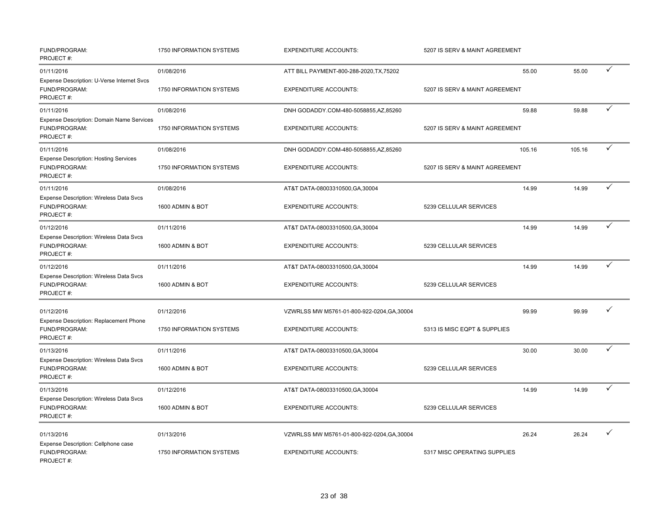| FUND/PROGRAM:<br>PROJECT#:                                                 | 1750 INFORMATION SYSTEMS        | <b>EXPENDITURE ACCOUNTS:</b>                | 5207 IS SERV & MAINT AGREEMENT |        |              |
|----------------------------------------------------------------------------|---------------------------------|---------------------------------------------|--------------------------------|--------|--------------|
| 01/11/2016                                                                 | 01/08/2016                      | ATT BILL PAYMENT-800-288-2020, TX, 75202    | 55.00                          | 55.00  | ✓            |
| Expense Description: U-Verse Internet Svcs<br>FUND/PROGRAM:<br>PROJECT#:   | 1750 INFORMATION SYSTEMS        | <b>EXPENDITURE ACCOUNTS:</b>                | 5207 IS SERV & MAINT AGREEMENT |        |              |
| 01/11/2016                                                                 | 01/08/2016                      | DNH GODADDY.COM-480-5058855,AZ,85260        | 59.88                          | 59.88  | $\checkmark$ |
| Expense Description: Domain Name Services<br>FUND/PROGRAM:<br>PROJECT#:    | 1750 INFORMATION SYSTEMS        | <b>EXPENDITURE ACCOUNTS:</b>                | 5207 IS SERV & MAINT AGREEMENT |        |              |
| 01/11/2016                                                                 | 01/08/2016                      | DNH GODADDY.COM-480-5058855,AZ,85260        | 105.16                         | 105.16 | ✓            |
| <b>Expense Description: Hosting Services</b><br>FUND/PROGRAM:<br>PROJECT#: | <b>1750 INFORMATION SYSTEMS</b> | <b>EXPENDITURE ACCOUNTS:</b>                | 5207 IS SERV & MAINT AGREEMENT |        |              |
| 01/11/2016                                                                 | 01/08/2016                      | AT&T DATA-08003310500, GA, 30004            | 14.99                          | 14.99  | $\checkmark$ |
| Expense Description: Wireless Data Svcs<br>FUND/PROGRAM:<br>PROJECT#:      | 1600 ADMIN & BOT                | <b>EXPENDITURE ACCOUNTS:</b>                | 5239 CELLULAR SERVICES         |        |              |
| 01/12/2016                                                                 | 01/11/2016                      | AT&T DATA-08003310500, GA, 30004            | 14.99                          | 14.99  | ✓            |
| Expense Description: Wireless Data Svcs<br>FUND/PROGRAM:<br>PROJECT#:      | 1600 ADMIN & BOT                | <b>EXPENDITURE ACCOUNTS:</b>                | 5239 CELLULAR SERVICES         |        |              |
| 01/12/2016                                                                 | 01/11/2016                      | AT&T DATA-08003310500, GA, 30004            | 14.99                          | 14.99  | $\checkmark$ |
| Expense Description: Wireless Data Svcs<br>FUND/PROGRAM:<br>PROJECT#:      | 1600 ADMIN & BOT                | <b>EXPENDITURE ACCOUNTS:</b>                | 5239 CELLULAR SERVICES         |        |              |
| 01/12/2016                                                                 | 01/12/2016                      | VZWRLSS MW M5761-01-800-922-0204, GA, 30004 | 99.99                          | 99.99  | ✓            |
| Expense Description: Replacement Phone<br>FUND/PROGRAM:<br>PROJECT#:       | 1750 INFORMATION SYSTEMS        | <b>EXPENDITURE ACCOUNTS:</b>                | 5313 IS MISC EQPT & SUPPLIES   |        |              |
| 01/13/2016                                                                 | 01/11/2016                      | AT&T DATA-08003310500, GA, 30004            | 30.00                          | 30.00  | ✓            |
| Expense Description: Wireless Data Svcs<br>FUND/PROGRAM:<br>PROJECT#:      | 1600 ADMIN & BOT                | <b>EXPENDITURE ACCOUNTS:</b>                | 5239 CELLULAR SERVICES         |        |              |
| 01/13/2016                                                                 | 01/12/2016                      | AT&T DATA-08003310500, GA, 30004            | 14.99                          | 14.99  | ✓            |
| Expense Description: Wireless Data Svcs<br>FUND/PROGRAM:<br>PROJECT#:      | 1600 ADMIN & BOT                | <b>EXPENDITURE ACCOUNTS:</b>                | 5239 CELLULAR SERVICES         |        |              |
| 01/13/2016                                                                 | 01/13/2016                      | VZWRLSS MW M5761-01-800-922-0204, GA, 30004 | 26.24                          | 26.24  | ✓            |
| Expense Description: Cellphone case<br>FUND/PROGRAM:<br>PROJECT#:          | 1750 INFORMATION SYSTEMS        | <b>EXPENDITURE ACCOUNTS:</b>                | 5317 MISC OPERATING SUPPLIES   |        |              |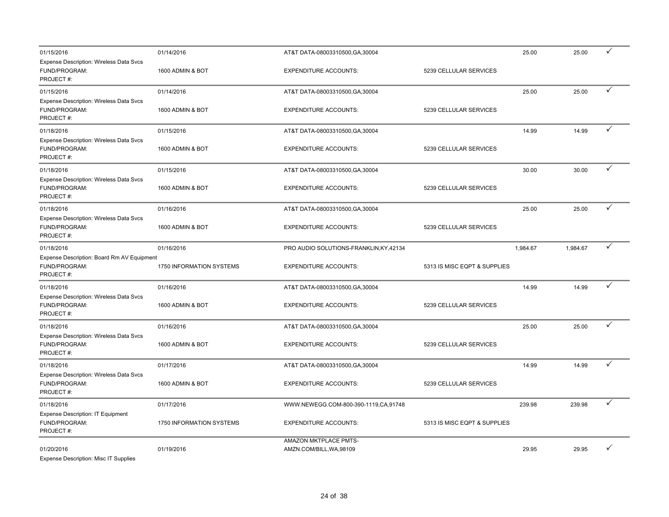| 01/15/2016<br>Expense Description: Wireless Data Svcs                    | 01/14/2016               | AT&T DATA-08003310500, GA, 30004        |                              | 25.00    | 25.00    | ✓            |
|--------------------------------------------------------------------------|--------------------------|-----------------------------------------|------------------------------|----------|----------|--------------|
| FUND/PROGRAM:<br>PROJECT#:                                               | 1600 ADMIN & BOT         | <b>EXPENDITURE ACCOUNTS:</b>            | 5239 CELLULAR SERVICES       |          |          |              |
| 01/15/2016                                                               | 01/14/2016               | AT&T DATA-08003310500, GA, 30004        |                              | 25.00    | 25.00    | ✓            |
| Expense Description: Wireless Data Svcs<br>FUND/PROGRAM:<br>PROJECT#:    | 1600 ADMIN & BOT         | <b>EXPENDITURE ACCOUNTS:</b>            | 5239 CELLULAR SERVICES       |          |          |              |
| 01/18/2016                                                               | 01/15/2016               | AT&T DATA-08003310500, GA, 30004        |                              | 14.99    | 14.99    | ✓            |
| Expense Description: Wireless Data Svcs<br>FUND/PROGRAM:<br>PROJECT#:    | 1600 ADMIN & BOT         | <b>EXPENDITURE ACCOUNTS:</b>            | 5239 CELLULAR SERVICES       |          |          |              |
| 01/18/2016                                                               | 01/15/2016               | AT&T DATA-08003310500, GA, 30004        |                              | 30.00    | 30.00    | ✓            |
| Expense Description: Wireless Data Svcs<br>FUND/PROGRAM:<br>PROJECT#:    | 1600 ADMIN & BOT         | <b>EXPENDITURE ACCOUNTS:</b>            | 5239 CELLULAR SERVICES       |          |          |              |
| 01/18/2016                                                               | 01/16/2016               | AT&T DATA-08003310500, GA, 30004        |                              | 25.00    | 25.00    | ✓            |
| Expense Description: Wireless Data Svcs<br>FUND/PROGRAM:<br>PROJECT#:    | 1600 ADMIN & BOT         | <b>EXPENDITURE ACCOUNTS:</b>            | 5239 CELLULAR SERVICES       |          |          |              |
| 01/18/2016                                                               | 01/16/2016               | PRO AUDIO SOLUTIONS-FRANKLIN, KY, 42134 |                              | 1,984.67 | 1.984.67 | $\checkmark$ |
| Expense Description: Board Rm AV Equipment<br>FUND/PROGRAM:<br>PROJECT#: | 1750 INFORMATION SYSTEMS | <b>EXPENDITURE ACCOUNTS:</b>            | 5313 IS MISC EQPT & SUPPLIES |          |          |              |
| 01/18/2016                                                               | 01/16/2016               | AT&T DATA-08003310500, GA, 30004        |                              | 14.99    | 14.99    | $\checkmark$ |
| Expense Description: Wireless Data Svcs<br>FUND/PROGRAM:<br>PROJECT#:    | 1600 ADMIN & BOT         | <b>EXPENDITURE ACCOUNTS:</b>            | 5239 CELLULAR SERVICES       |          |          |              |
| 01/18/2016                                                               | 01/16/2016               | AT&T DATA-08003310500, GA, 30004        |                              | 25.00    | 25.00    | ✓            |
| Expense Description: Wireless Data Svcs<br>FUND/PROGRAM:<br>PROJECT#:    | 1600 ADMIN & BOT         | <b>EXPENDITURE ACCOUNTS:</b>            | 5239 CELLULAR SERVICES       |          |          |              |
| 01/18/2016                                                               | 01/17/2016               | AT&T DATA-08003310500, GA, 30004        |                              | 14.99    | 14.99    | ✓            |
| Expense Description: Wireless Data Svcs<br>FUND/PROGRAM:<br>PROJECT#:    | 1600 ADMIN & BOT         | <b>EXPENDITURE ACCOUNTS:</b>            | 5239 CELLULAR SERVICES       |          |          |              |
| 01/18/2016                                                               | 01/17/2016               | WWW.NEWEGG.COM-800-390-1119,CA,91748    |                              | 239.98   | 239.98   | ✓            |
| Expense Description: IT Equipment<br>FUND/PROGRAM:<br>PROJECT#:          | 1750 INFORMATION SYSTEMS | <b>EXPENDITURE ACCOUNTS:</b>            | 5313 IS MISC EQPT & SUPPLIES |          |          |              |
| 01/20/2016                                                               | 01/19/2016               | AMAZON MKTPLACE PMTS-                   |                              | 29.95    | 29.95    | ✓            |
|                                                                          |                          | AMZN.COM/BILL, WA, 98109                |                              |          |          |              |

Expense Description: Misc IT Supplies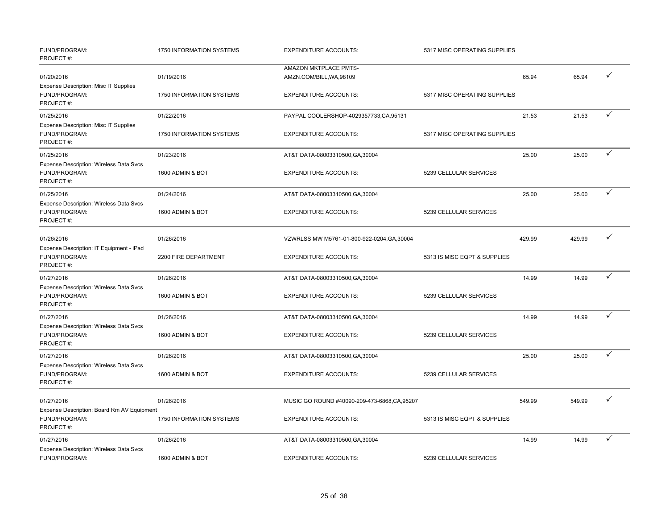| FUND/PROGRAM:<br>PROJECT#:                                                   | 1750 INFORMATION SYSTEMS | <b>EXPENDITURE ACCOUNTS:</b>                      | 5317 MISC OPERATING SUPPLIES |        |        |              |
|------------------------------------------------------------------------------|--------------------------|---------------------------------------------------|------------------------------|--------|--------|--------------|
| 01/20/2016<br>Expense Description: Misc IT Supplies                          | 01/19/2016               | AMAZON MKTPLACE PMTS-<br>AMZN.COM/BILL, WA, 98109 |                              | 65.94  | 65.94  | ✓            |
| FUND/PROGRAM:<br>PROJECT#:                                                   | 1750 INFORMATION SYSTEMS | <b>EXPENDITURE ACCOUNTS:</b>                      | 5317 MISC OPERATING SUPPLIES |        |        |              |
| 01/25/2016                                                                   | 01/22/2016               | PAYPAL COOLERSHOP-4029357733,CA,95131             |                              | 21.53  | 21.53  | ✓            |
| <b>Expense Description: Misc IT Supplies</b><br>FUND/PROGRAM:<br>PROJECT#:   | 1750 INFORMATION SYSTEMS | <b>EXPENDITURE ACCOUNTS:</b>                      | 5317 MISC OPERATING SUPPLIES |        |        |              |
| 01/25/2016                                                                   | 01/23/2016               | AT&T DATA-08003310500, GA, 30004                  |                              | 25.00  | 25.00  | $\checkmark$ |
| Expense Description: Wireless Data Svcs<br>FUND/PROGRAM:<br>PROJECT#:        | 1600 ADMIN & BOT         | <b>EXPENDITURE ACCOUNTS:</b>                      | 5239 CELLULAR SERVICES       |        |        |              |
| 01/25/2016                                                                   | 01/24/2016               | AT&T DATA-08003310500, GA, 30004                  |                              | 25.00  | 25.00  | ✓            |
| <b>Expense Description: Wireless Data Svcs</b><br>FUND/PROGRAM:<br>PROJECT#: | 1600 ADMIN & BOT         | <b>EXPENDITURE ACCOUNTS:</b>                      | 5239 CELLULAR SERVICES       |        |        |              |
| 01/26/2016                                                                   | 01/26/2016               | VZWRLSS MW M5761-01-800-922-0204, GA, 30004       |                              | 429.99 | 429.99 | $\checkmark$ |
| Expense Description: IT Equipment - iPad<br>FUND/PROGRAM:<br>PROJECT#:       | 2200 FIRE DEPARTMENT     | <b>EXPENDITURE ACCOUNTS:</b>                      | 5313 IS MISC EQPT & SUPPLIES |        |        |              |
| 01/27/2016                                                                   | 01/26/2016               | AT&T DATA-08003310500, GA, 30004                  |                              | 14.99  | 14.99  | $\checkmark$ |
| Expense Description: Wireless Data Svcs<br>FUND/PROGRAM:<br>PROJECT#:        | 1600 ADMIN & BOT         | <b>EXPENDITURE ACCOUNTS:</b>                      | 5239 CELLULAR SERVICES       |        |        |              |
| 01/27/2016                                                                   | 01/26/2016               | AT&T DATA-08003310500, GA, 30004                  |                              | 14.99  | 14.99  | $\checkmark$ |
| Expense Description: Wireless Data Svcs<br>FUND/PROGRAM:<br>PROJECT#:        | 1600 ADMIN & BOT         | <b>EXPENDITURE ACCOUNTS:</b>                      | 5239 CELLULAR SERVICES       |        |        |              |
| 01/27/2016                                                                   | 01/26/2016               | AT&T DATA-08003310500, GA, 30004                  |                              | 25.00  | 25.00  | $\checkmark$ |
| Expense Description: Wireless Data Svcs<br>FUND/PROGRAM:<br>PROJECT#:        | 1600 ADMIN & BOT         | <b>EXPENDITURE ACCOUNTS:</b>                      | 5239 CELLULAR SERVICES       |        |        |              |
| 01/27/2016                                                                   | 01/26/2016               | MUSIC GO ROUND #40090-209-473-6868, CA, 95207     |                              | 549.99 | 549.99 |              |
| Expense Description: Board Rm AV Equipment<br>FUND/PROGRAM:<br>PROJECT#:     | 1750 INFORMATION SYSTEMS | <b>EXPENDITURE ACCOUNTS:</b>                      | 5313 IS MISC EQPT & SUPPLIES |        |        |              |
| 01/27/2016                                                                   | 01/26/2016               | AT&T DATA-08003310500, GA, 30004                  |                              | 14.99  | 14.99  | ✓            |
| <b>Expense Description: Wireless Data Svcs</b><br>FUND/PROGRAM:              | 1600 ADMIN & BOT         | <b>EXPENDITURE ACCOUNTS:</b>                      | 5239 CELLULAR SERVICES       |        |        |              |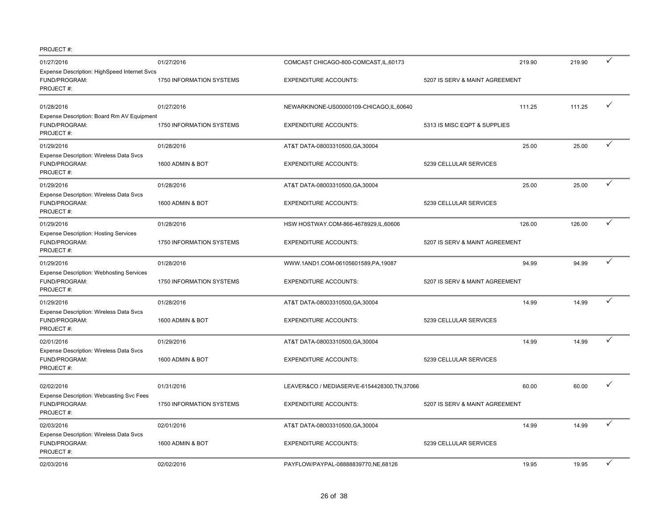| 01/27/2016                                                                    | 01/27/2016                      | COMCAST CHICAGO-800-COMCAST, IL, 60173     | 219.90                         | 219.90 |   |
|-------------------------------------------------------------------------------|---------------------------------|--------------------------------------------|--------------------------------|--------|---|
| Expense Description: HighSpeed Internet Svcs<br>FUND/PROGRAM:<br>PROJECT#:    | 1750 INFORMATION SYSTEMS        | <b>EXPENDITURE ACCOUNTS:</b>               | 5207 IS SERV & MAINT AGREEMENT |        |   |
| 01/28/2016                                                                    | 01/27/2016                      | NEWARKINONE-US00000109-CHICAGO,IL,60640    | 111.25                         | 111.25 | ✓ |
| Expense Description: Board Rm AV Equipment<br>FUND/PROGRAM:<br>PROJECT#:      | <b>1750 INFORMATION SYSTEMS</b> | <b>EXPENDITURE ACCOUNTS:</b>               | 5313 IS MISC EQPT & SUPPLIES   |        |   |
| 01/29/2016                                                                    | 01/28/2016                      | AT&T DATA-08003310500, GA, 30004           | 25.00                          | 25.00  |   |
| Expense Description: Wireless Data Svcs<br>FUND/PROGRAM:<br>PROJECT#:         | 1600 ADMIN & BOT                | <b>EXPENDITURE ACCOUNTS:</b>               | 5239 CELLULAR SERVICES         |        |   |
| 01/29/2016                                                                    | 01/28/2016                      | AT&T DATA-08003310500, GA, 30004           | 25.00                          | 25.00  |   |
| Expense Description: Wireless Data Svcs<br>FUND/PROGRAM:<br>PROJECT#:         | 1600 ADMIN & BOT                | <b>EXPENDITURE ACCOUNTS:</b>               | 5239 CELLULAR SERVICES         |        |   |
| 01/29/2016                                                                    | 01/28/2016                      | HSW HOSTWAY.COM-866-4678929,IL,60606       | 126.00                         | 126.00 |   |
| <b>Expense Description: Hosting Services</b><br>FUND/PROGRAM:<br>PROJECT#:    | 1750 INFORMATION SYSTEMS        | <b>EXPENDITURE ACCOUNTS:</b>               | 5207 IS SERV & MAINT AGREEMENT |        |   |
| 01/29/2016                                                                    | 01/28/2016                      | WWW.1AND1.COM-06105601589,PA,19087         | 94.99                          | 94.99  | ✓ |
| <b>Expense Description: Webhosting Services</b><br>FUND/PROGRAM:<br>PROJECT#: | 1750 INFORMATION SYSTEMS        | <b>EXPENDITURE ACCOUNTS:</b>               | 5207 IS SERV & MAINT AGREEMENT |        |   |
| 01/29/2016                                                                    | 01/28/2016                      | AT&T DATA-08003310500, GA, 30004           | 14.99                          | 14.99  | ✓ |
| Expense Description: Wireless Data Svcs<br>FUND/PROGRAM:<br>PROJECT#:         | 1600 ADMIN & BOT                | <b>EXPENDITURE ACCOUNTS:</b>               | 5239 CELLULAR SERVICES         |        |   |
| 02/01/2016                                                                    | 01/29/2016                      | AT&T DATA-08003310500, GA, 30004           | 14.99                          | 14.99  | ✓ |
| Expense Description: Wireless Data Svcs<br>FUND/PROGRAM:<br>PROJECT#:         | 1600 ADMIN & BOT                | <b>EXPENDITURE ACCOUNTS:</b>               | 5239 CELLULAR SERVICES         |        |   |
| 02/02/2016<br>Expense Description: Webcasting Svc Fees                        | 01/31/2016                      | LEAVER&CO / MEDIASERVE-6154428300,TN,37066 | 60.00                          | 60.00  |   |
| FUND/PROGRAM:<br>PROJECT#:                                                    | 1750 INFORMATION SYSTEMS        | <b>EXPENDITURE ACCOUNTS:</b>               | 5207 IS SERV & MAINT AGREEMENT |        |   |
| 02/03/2016                                                                    | 02/01/2016                      | AT&T DATA-08003310500, GA, 30004           | 14.99                          | 14.99  | ✓ |
| Expense Description: Wireless Data Svcs<br>FUND/PROGRAM:<br>PROJECT#:         | 1600 ADMIN & BOT                | <b>EXPENDITURE ACCOUNTS:</b>               | 5239 CELLULAR SERVICES         |        |   |
| 02/03/2016                                                                    | 02/02/2016                      | PAYFLOW/PAYPAL-08888839770,NE,68126        | 19.95                          | 19.95  | ✓ |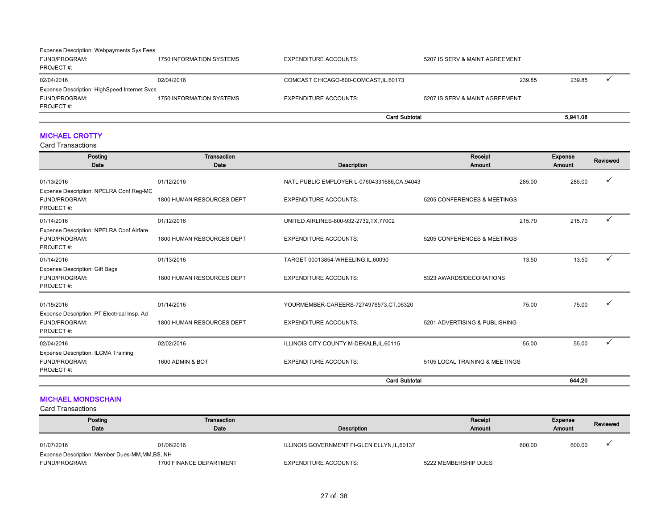| <b>Expense Description: Webpayments Sys Fees</b> |                          |                                        |                                |          |  |
|--------------------------------------------------|--------------------------|----------------------------------------|--------------------------------|----------|--|
| FUND/PROGRAM:                                    | 1750 INFORMATION SYSTEMS | <b>EXPENDITURE ACCOUNTS:</b>           | 5207 IS SERV & MAINT AGREEMENT |          |  |
| PROJECT #:                                       |                          |                                        |                                |          |  |
| 02/04/2016                                       | 02/04/2016               | COMCAST CHICAGO-800-COMCAST, IL, 60173 | 239.85                         | 239.85   |  |
| Expense Description: HighSpeed Internet Svcs     |                          |                                        |                                |          |  |
| FUND/PROGRAM:                                    | 1750 INFORMATION SYSTEMS | <b>EXPENDITURE ACCOUNTS:</b>           | 5207 IS SERV & MAINT AGREEMENT |          |  |
| PROJECT#:                                        |                          |                                        |                                |          |  |
|                                                  |                          |                                        | <b>Card Subtotal</b>           | 5,941.08 |  |

### MICHAEL CROTTY

Card Transactions

| Posting<br>Date                                                           | Transaction<br>Date       | Description                                 | Receipt<br>Amount              | Expense<br>Amount | Reviewed |
|---------------------------------------------------------------------------|---------------------------|---------------------------------------------|--------------------------------|-------------------|----------|
| 01/13/2016                                                                | 01/12/2016                | NATL PUBLIC EMPLOYER L-07604331686,CA,94043 | 285.00                         | 285.00            |          |
| Expense Description: NPELRA Conf Reg-MC<br>FUND/PROGRAM:<br>PROJECT#:     | 1800 HUMAN RESOURCES DEPT | <b>EXPENDITURE ACCOUNTS:</b>                | 5205 CONFERENCES & MEETINGS    |                   |          |
| 01/14/2016                                                                | 01/12/2016                | UNITED AIRLINES-800-932-2732, TX, 77002     | 215.70                         | 215.70            |          |
| Expense Description: NPELRA Conf Airfare<br>FUND/PROGRAM:<br>PROJECT#:    | 1800 HUMAN RESOURCES DEPT | <b>EXPENDITURE ACCOUNTS:</b>                | 5205 CONFERENCES & MEETINGS    |                   |          |
| 01/14/2016                                                                | 01/13/2016                | TARGET 00013854-WHEELING,IL,60090           | 13.50                          | 13.50             |          |
| <b>Expense Description: Gift Bags</b><br>FUND/PROGRAM:<br>PROJECT#:       | 1800 HUMAN RESOURCES DEPT | <b>EXPENDITURE ACCOUNTS:</b>                | 5323 AWARDS/DECORATIONS        |                   |          |
| 01/15/2016                                                                | 01/14/2016                | YOURMEMBER-CAREERS-7274976573,CT,06320      | 75.00                          | 75.00             |          |
| Expense Description: PT Electrical Insp. Ad<br>FUND/PROGRAM:<br>PROJECT#: | 1800 HUMAN RESOURCES DEPT | <b>EXPENDITURE ACCOUNTS:</b>                | 5201 ADVERTISING & PUBLISHING  |                   |          |
| 02/04/2016                                                                | 02/02/2016                | ILLINOIS CITY COUNTY M-DEKALB, IL, 60115    | 55.00                          | 55.00             | ✓        |
| <b>Expense Description: ILCMA Training</b><br>FUND/PROGRAM:<br>PROJECT#:  | 1600 ADMIN & BOT          | <b>EXPENDITURE ACCOUNTS:</b>                | 5105 LOCAL TRAINING & MEETINGS |                   |          |
|                                                                           |                           | <b>Card Subtotal</b>                        |                                | 644.20            |          |

### MICHAEL MONDSCHAIN

| Posting                                         | Transaction             |                                              | Receipt              |        | Expense       | Reviewed |
|-------------------------------------------------|-------------------------|----------------------------------------------|----------------------|--------|---------------|----------|
| Date                                            | Date                    | Description                                  | <b>Amount</b>        |        | <b>Amount</b> |          |
|                                                 |                         |                                              |                      |        |               |          |
| 01/07/2016                                      | 01/06/2016              | ILLINOIS GOVERNMENT FI-GLEN ELLYN, IL, 60137 |                      | 600.00 | 600.00        |          |
| Expense Description: Member Dues-MM, MM, BS, NH |                         |                                              |                      |        |               |          |
| FUND/PROGRAM:                                   | 1700 FINANCE DEPARTMENT | <b>EXPENDITURE ACCOUNTS:</b>                 | 5222 MEMBERSHIP DUES |        |               |          |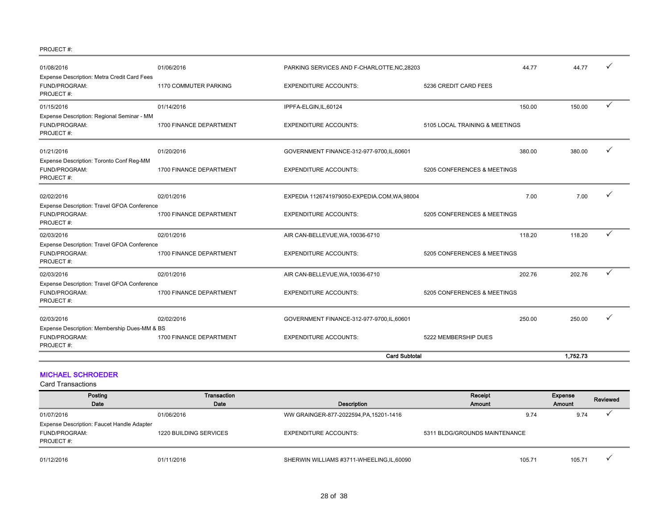| 01/08/2016                                                                | 01/06/2016              | PARKING SERVICES AND F-CHARLOTTE, NC, 28203  | 44.77                          | 44.77    |   |
|---------------------------------------------------------------------------|-------------------------|----------------------------------------------|--------------------------------|----------|---|
| Expense Description: Metra Credit Card Fees<br>FUND/PROGRAM:<br>PROJECT#: | 1170 COMMUTER PARKING   | <b>EXPENDITURE ACCOUNTS:</b>                 | 5236 CREDIT CARD FEES          |          |   |
| 01/15/2016                                                                | 01/14/2016              | IPPFA-ELGIN,IL,60124                         | 150.00                         | 150.00   | ✓ |
| Expense Description: Regional Seminar - MM<br>FUND/PROGRAM:<br>PROJECT#:  | 1700 FINANCE DEPARTMENT | <b>EXPENDITURE ACCOUNTS:</b>                 | 5105 LOCAL TRAINING & MEETINGS |          |   |
| 01/21/2016                                                                | 01/20/2016              | GOVERNMENT FINANCE-312-977-9700, IL, 60601   | 380.00                         | 380.00   |   |
| Expense Description: Toronto Conf Reg-MM<br>FUND/PROGRAM:<br>PROJECT#:    | 1700 FINANCE DEPARTMENT | <b>EXPENDITURE ACCOUNTS:</b>                 | 5205 CONFERENCES & MEETINGS    |          |   |
| 02/02/2016                                                                | 02/01/2016              | EXPEDIA 1126741979050-EXPEDIA.COM, WA, 98004 | 7.00                           | 7.00     |   |
| Expense Description: Travel GFOA Conference<br>FUND/PROGRAM:<br>PROJECT#: | 1700 FINANCE DEPARTMENT | <b>EXPENDITURE ACCOUNTS:</b>                 | 5205 CONFERENCES & MEETINGS    |          |   |
| 02/03/2016                                                                | 02/01/2016              | AIR CAN-BELLEVUE, WA, 10036-6710             | 118.20                         | 118.20   | ✓ |
| Expense Description: Travel GFOA Conference<br>FUND/PROGRAM:<br>PROJECT#: | 1700 FINANCE DEPARTMENT | <b>EXPENDITURE ACCOUNTS:</b>                 | 5205 CONFERENCES & MEETINGS    |          |   |
| 02/03/2016                                                                | 02/01/2016              | AIR CAN-BELLEVUE, WA, 10036-6710             | 202.76                         | 202.76   | ✓ |
| Expense Description: Travel GFOA Conference<br>FUND/PROGRAM:<br>PROJECT#: | 1700 FINANCE DEPARTMENT | <b>EXPENDITURE ACCOUNTS:</b>                 | 5205 CONFERENCES & MEETINGS    |          |   |
| 02/03/2016                                                                | 02/02/2016              | GOVERNMENT FINANCE-312-977-9700,IL,60601     | 250.00                         | 250.00   |   |
| Expense Description: Membership Dues-MM & BS                              |                         |                                              |                                |          |   |
| FUND/PROGRAM:<br>PROJECT#:                                                | 1700 FINANCE DEPARTMENT | <b>EXPENDITURE ACCOUNTS:</b>                 | 5222 MEMBERSHIP DUES           |          |   |
|                                                                           |                         | <b>Card Subtotal</b>                         |                                | 1,752.73 |   |

### MICHAEL SCHROEDER

| Posting                                           | Transaction            |                                          | Receipt                       | Expense | Reviewed |
|---------------------------------------------------|------------------------|------------------------------------------|-------------------------------|---------|----------|
| Date                                              | Date                   | Description                              | Amount                        | Amount  |          |
| 01/07/2016                                        | 01/06/2016             | WW GRAINGER-877-2022594, PA, 15201-1416  | 9.74                          | 9.74    |          |
| <b>Expense Description: Faucet Handle Adapter</b> |                        |                                          |                               |         |          |
| FUND/PROGRAM:                                     | 1220 BUILDING SERVICES | <b>EXPENDITURE ACCOUNTS:</b>             | 5311 BLDG/GROUNDS MAINTENANCE |         |          |
| PROJECT#:                                         |                        |                                          |                               |         |          |
|                                                   |                        |                                          |                               |         |          |
| 01/12/2016                                        | 01/11/2016             | SHERWIN WILLIAMS #3711-WHEELING,IL,60090 | 105.71                        | 105.71  |          |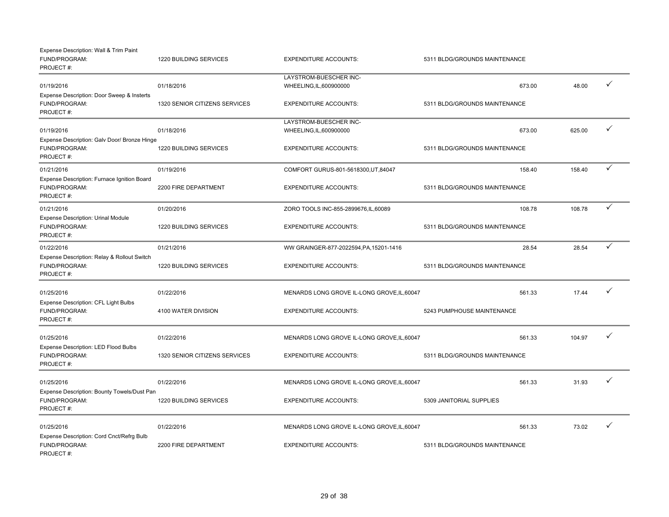| Expense Description: Wall & Trim Paint<br>FUND/PROGRAM:<br>PROJECT#:                   | 1220 BUILDING SERVICES                      | <b>EXPENDITURE ACCOUNTS:</b>                            | 5311 BLDG/GROUNDS MAINTENANCE           |        |              |
|----------------------------------------------------------------------------------------|---------------------------------------------|---------------------------------------------------------|-----------------------------------------|--------|--------------|
|                                                                                        |                                             | LAYSTROM-BUESCHER INC-                                  |                                         |        | ✓            |
| 01/19/2016<br>Expense Description: Door Sweep & Insterts<br>FUND/PROGRAM:<br>PROJECT#: | 01/18/2016<br>1320 SENIOR CITIZENS SERVICES | WHEELING, IL, 600900000<br><b>EXPENDITURE ACCOUNTS:</b> | 673.00<br>5311 BLDG/GROUNDS MAINTENANCE | 48.00  |              |
| 01/19/2016<br>Expense Description: Galv Door/ Bronze Hinge                             | 01/18/2016                                  | LAYSTROM-BUESCHER INC-<br>WHEELING, IL, 600900000       | 673.00                                  | 625.00 |              |
| FUND/PROGRAM:<br>PROJECT#:                                                             | <b>1220 BUILDING SERVICES</b>               | <b>EXPENDITURE ACCOUNTS:</b>                            | 5311 BLDG/GROUNDS MAINTENANCE           |        |              |
| 01/21/2016<br>Expense Description: Furnace Ignition Board                              | 01/19/2016                                  | COMFORT GURUS-801-5618300, UT, 84047                    | 158.40                                  | 158.40 | ✓            |
| FUND/PROGRAM:<br>PROJECT#:                                                             | 2200 FIRE DEPARTMENT                        | <b>EXPENDITURE ACCOUNTS:</b>                            | 5311 BLDG/GROUNDS MAINTENANCE           |        |              |
| 01/21/2016                                                                             | 01/20/2016                                  | ZORO TOOLS INC-855-2899676, IL, 60089                   | 108.78                                  | 108.78 | $\checkmark$ |
| <b>Expense Description: Urinal Module</b><br>FUND/PROGRAM:<br>PROJECT#:                | 1220 BUILDING SERVICES                      | <b>EXPENDITURE ACCOUNTS:</b>                            | 5311 BLDG/GROUNDS MAINTENANCE           |        |              |
| 01/22/2016                                                                             | 01/21/2016                                  | WW GRAINGER-877-2022594, PA, 15201-1416                 | 28.54                                   | 28.54  |              |
| Expense Description: Relay & Rollout Switch<br>FUND/PROGRAM:<br>PROJECT#:              | 1220 BUILDING SERVICES                      | <b>EXPENDITURE ACCOUNTS:</b>                            | 5311 BLDG/GROUNDS MAINTENANCE           |        |              |
| 01/25/2016                                                                             | 01/22/2016                                  | MENARDS LONG GROVE IL-LONG GROVE, IL, 60047             | 561.33                                  | 17.44  | ✓            |
| Expense Description: CFL Light Bulbs<br>FUND/PROGRAM:<br>PROJECT#:                     | 4100 WATER DIVISION                         | <b>EXPENDITURE ACCOUNTS:</b>                            | 5243 PUMPHOUSE MAINTENANCE              |        |              |
| 01/25/2016                                                                             | 01/22/2016                                  | MENARDS LONG GROVE IL-LONG GROVE, IL, 60047             | 561.33                                  | 104.97 |              |
| Expense Description: LED Flood Bulbs<br>FUND/PROGRAM:<br>PROJECT#:                     | 1320 SENIOR CITIZENS SERVICES               | <b>EXPENDITURE ACCOUNTS:</b>                            | 5311 BLDG/GROUNDS MAINTENANCE           |        |              |
| 01/25/2016                                                                             | 01/22/2016                                  | MENARDS LONG GROVE IL-LONG GROVE, IL, 60047             | 561.33                                  | 31.93  |              |
| Expense Description: Bounty Towels/Dust Pan<br>FUND/PROGRAM:<br>PROJECT#:              | 1220 BUILDING SERVICES                      | <b>EXPENDITURE ACCOUNTS:</b>                            | 5309 JANITORIAL SUPPLIES                |        |              |
| 01/25/2016                                                                             | 01/22/2016                                  | MENARDS LONG GROVE IL-LONG GROVE, IL, 60047             | 561.33                                  | 73.02  |              |
| Expense Description: Cord Cnct/Refrg Bulb<br>FUND/PROGRAM:<br>PROJECT#:                | 2200 FIRE DEPARTMENT                        | <b>EXPENDITURE ACCOUNTS:</b>                            | 5311 BLDG/GROUNDS MAINTENANCE           |        |              |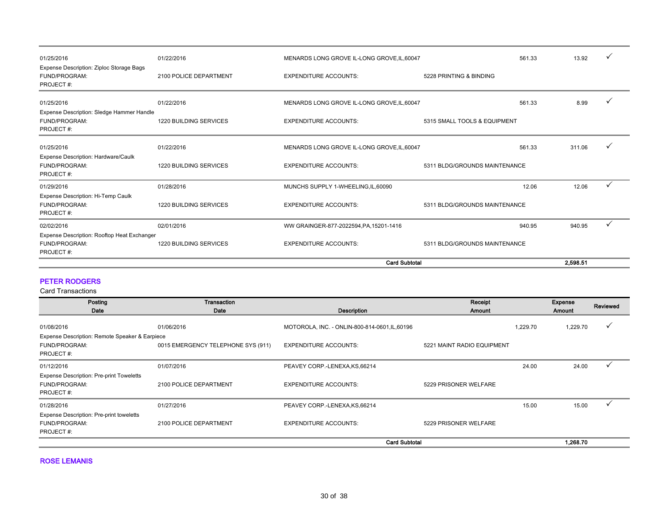| 01/25/2016                                                                | 01/22/2016                    | MENARDS LONG GROVE IL-LONG GROVE, IL, 60047 |                               | 561.33 | 13.92    |   |
|---------------------------------------------------------------------------|-------------------------------|---------------------------------------------|-------------------------------|--------|----------|---|
| Expense Description: Ziploc Storage Bags<br>FUND/PROGRAM:<br>PROJECT#:    | 2100 POLICE DEPARTMENT        | <b>EXPENDITURE ACCOUNTS:</b>                | 5228 PRINTING & BINDING       |        |          |   |
| 01/25/2016<br>Expense Description: Sledge Hammer Handle                   | 01/22/2016                    | MENARDS LONG GROVE IL-LONG GROVE, IL, 60047 |                               | 561.33 | 8.99     |   |
| FUND/PROGRAM:<br>PROJECT#:                                                | 1220 BUILDING SERVICES        | <b>EXPENDITURE ACCOUNTS:</b>                | 5315 SMALL TOOLS & EQUIPMENT  |        |          |   |
| 01/25/2016<br>Expense Description: Hardware/Caulk                         | 01/22/2016                    | MENARDS LONG GROVE IL-LONG GROVE, IL, 60047 |                               | 561.33 | 311.06   | ✓ |
| FUND/PROGRAM:<br>PROJECT#:                                                | <b>1220 BUILDING SERVICES</b> | <b>EXPENDITURE ACCOUNTS:</b>                | 5311 BLDG/GROUNDS MAINTENANCE |        |          |   |
| 01/29/2016                                                                | 01/28/2016                    | MUNCHS SUPPLY 1-WHEELING, IL, 60090         |                               | 12.06  | 12.06    |   |
| Expense Description: Hi-Temp Caulk<br>FUND/PROGRAM:<br>PROJECT#:          | <b>1220 BUILDING SERVICES</b> | <b>EXPENDITURE ACCOUNTS:</b>                | 5311 BLDG/GROUNDS MAINTENANCE |        |          |   |
| 02/02/2016                                                                | 02/01/2016                    | WW GRAINGER-877-2022594, PA, 15201-1416     |                               | 940.95 | 940.95   |   |
| Expense Description: Rooftop Heat Exchanger<br>FUND/PROGRAM:<br>PROJECT#: | <b>1220 BUILDING SERVICES</b> | <b>EXPENDITURE ACCOUNTS:</b>                | 5311 BLDG/GROUNDS MAINTENANCE |        |          |   |
|                                                                           |                               |                                             | <b>Card Subtotal</b>          |        | 2.598.51 |   |

### PETER RODGERS

Card Transactions

| Posting                                                                | Transaction                        |                                                | Receipt                    |          | Expense  | Reviewed |
|------------------------------------------------------------------------|------------------------------------|------------------------------------------------|----------------------------|----------|----------|----------|
| Date                                                                   | Date                               | Description                                    | Amount                     |          | Amount   |          |
| 01/08/2016                                                             | 01/06/2016                         | MOTOROLA, INC. - ONLIN-800-814-0601, IL, 60196 |                            | 1,229.70 | 1,229.70 |          |
| Expense Description: Remote Speaker & Earpiece                         |                                    |                                                |                            |          |          |          |
| FUND/PROGRAM:                                                          | 0015 EMERGENCY TELEPHONE SYS (911) | <b>EXPENDITURE ACCOUNTS:</b>                   | 5221 MAINT RADIO EQUIPMENT |          |          |          |
| PROJECT#:                                                              |                                    |                                                |                            |          |          |          |
| 01/12/2016                                                             | 01/07/2016                         | PEAVEY CORP.-LENEXA, KS, 66214                 |                            | 24.00    | 24.00    |          |
| Expense Description: Pre-print Toweletts<br>FUND/PROGRAM:<br>PROJECT#: | 2100 POLICE DEPARTMENT             | <b>EXPENDITURE ACCOUNTS:</b>                   | 5229 PRISONER WELFARE      |          |          |          |
| 01/28/2016                                                             | 01/27/2016                         | PEAVEY CORP.-LENEXA, KS, 66214                 |                            | 15.00    | 15.00    |          |
| Expense Description: Pre-print toweletts                               |                                    |                                                |                            |          |          |          |
| FUND/PROGRAM:                                                          | 2100 POLICE DEPARTMENT             | <b>EXPENDITURE ACCOUNTS:</b>                   | 5229 PRISONER WELFARE      |          |          |          |
| PROJECT#:                                                              |                                    |                                                |                            |          |          |          |
|                                                                        |                                    | <b>Card Subtotal</b>                           |                            |          | 1.268.70 |          |

ROSE LEMANIS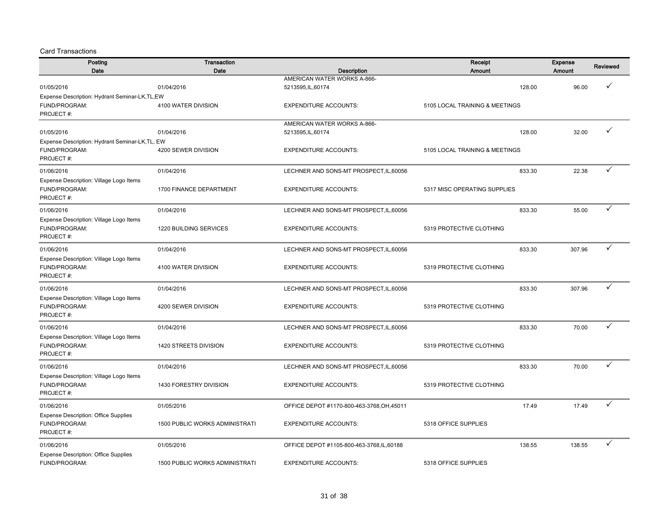| Posting                                                     | Transaction                           |                                            | Receipt                        | Expense | Reviewed |
|-------------------------------------------------------------|---------------------------------------|--------------------------------------------|--------------------------------|---------|----------|
| Date                                                        | Date                                  | Description                                | Amount                         | Amount  |          |
|                                                             |                                       | AMERICAN WATER WORKS A-866-                |                                |         |          |
| 01/05/2016<br>Expense Description: Hydrant Seminar-LK,TL,EW | 01/04/2016                            | 5213595, IL, 60174                         | 128.00                         | 96.00   |          |
| FUND/PROGRAM:                                               | 4100 WATER DIVISION                   | <b>EXPENDITURE ACCOUNTS:</b>               | 5105 LOCAL TRAINING & MEETINGS |         |          |
| PROJECT#:                                                   |                                       |                                            |                                |         |          |
|                                                             |                                       | AMERICAN WATER WORKS A-866-                |                                |         |          |
| 01/05/2016                                                  | 01/04/2016                            | 5213595, IL, 60174                         | 128.00                         | 32.00   | ✓        |
| Expense Description: Hydrant Seminar-LK,TL, EW              |                                       |                                            |                                |         |          |
| FUND/PROGRAM:                                               | 4200 SEWER DIVISION                   | <b>EXPENDITURE ACCOUNTS:</b>               | 5105 LOCAL TRAINING & MEETINGS |         |          |
| PROJECT#:                                                   |                                       |                                            |                                |         |          |
| 01/06/2016                                                  | 01/04/2016                            | LECHNER AND SONS-MT PROSPECT, IL, 60056    | 833.30                         | 22.38   | ✓        |
| Expense Description: Village Logo Items                     |                                       |                                            |                                |         |          |
| FUND/PROGRAM:                                               | 1700 FINANCE DEPARTMENT               | <b>EXPENDITURE ACCOUNTS:</b>               | 5317 MISC OPERATING SUPPLIES   |         |          |
| PROJECT#:                                                   |                                       |                                            |                                |         |          |
| 01/06/2016                                                  | 01/04/2016                            | LECHNER AND SONS-MT PROSPECT, IL, 60056    | 833.30                         | 55.00   | ✓        |
| Expense Description: Village Logo Items                     |                                       |                                            |                                |         |          |
| FUND/PROGRAM:                                               | 1220 BUILDING SERVICES                | <b>EXPENDITURE ACCOUNTS:</b>               | 5319 PROTECTIVE CLOTHING       |         |          |
| PROJECT#:                                                   |                                       |                                            |                                |         |          |
| 01/06/2016                                                  | 01/04/2016                            | LECHNER AND SONS-MT PROSPECT, IL, 60056    | 833.30                         | 307.96  | ✓        |
| Expense Description: Village Logo Items                     |                                       |                                            |                                |         |          |
| FUND/PROGRAM:                                               | 4100 WATER DIVISION                   | <b>EXPENDITURE ACCOUNTS:</b>               | 5319 PROTECTIVE CLOTHING       |         |          |
| PROJECT#:                                                   |                                       |                                            |                                |         |          |
| 01/06/2016                                                  | 01/04/2016                            | LECHNER AND SONS-MT PROSPECT, IL, 60056    | 833.30                         | 307.96  | ✓        |
| Expense Description: Village Logo Items                     |                                       |                                            |                                |         |          |
| FUND/PROGRAM:                                               | 4200 SEWER DIVISION                   | <b>EXPENDITURE ACCOUNTS:</b>               | 5319 PROTECTIVE CLOTHING       |         |          |
| PROJECT#:                                                   |                                       |                                            |                                |         |          |
| 01/06/2016                                                  | 01/04/2016                            | LECHNER AND SONS-MT PROSPECT, IL, 60056    | 833.30                         | 70.00   | ✓        |
| Expense Description: Village Logo Items                     |                                       |                                            |                                |         |          |
| FUND/PROGRAM:                                               | 1420 STREETS DIVISION                 | <b>EXPENDITURE ACCOUNTS:</b>               | 5319 PROTECTIVE CLOTHING       |         |          |
| PROJECT#:                                                   |                                       |                                            |                                |         |          |
| 01/06/2016                                                  | 01/04/2016                            | LECHNER AND SONS-MT PROSPECT, IL, 60056    | 833.30                         | 70.00   | ✓        |
| Expense Description: Village Logo Items                     |                                       |                                            |                                |         |          |
| FUND/PROGRAM:                                               | 1430 FORESTRY DIVISION                | <b>EXPENDITURE ACCOUNTS:</b>               | 5319 PROTECTIVE CLOTHING       |         |          |
| PROJECT#:                                                   |                                       |                                            |                                |         |          |
| 01/06/2016                                                  | 01/05/2016                            | OFFICE DEPOT #1170-800-463-3768, OH, 45011 | 17.49                          | 17.49   | ✓        |
| <b>Expense Description: Office Supplies</b>                 |                                       |                                            |                                |         |          |
| FUND/PROGRAM:                                               | <b>1500 PUBLIC WORKS ADMINISTRATI</b> | <b>EXPENDITURE ACCOUNTS:</b>               | 5318 OFFICE SUPPLIES           |         |          |
| PROJECT#:                                                   |                                       |                                            |                                |         |          |
| 01/06/2016                                                  | 01/05/2016                            | OFFICE DEPOT #1105-800-463-3768,IL,60188   | 138.55                         | 138.55  | ✓        |
| <b>Expense Description: Office Supplies</b>                 |                                       |                                            |                                |         |          |
| FUND/PROGRAM:                                               | <b>1500 PUBLIC WORKS ADMINISTRATI</b> | <b>EXPENDITURE ACCOUNTS:</b>               | 5318 OFFICE SUPPLIES           |         |          |
|                                                             |                                       |                                            |                                |         |          |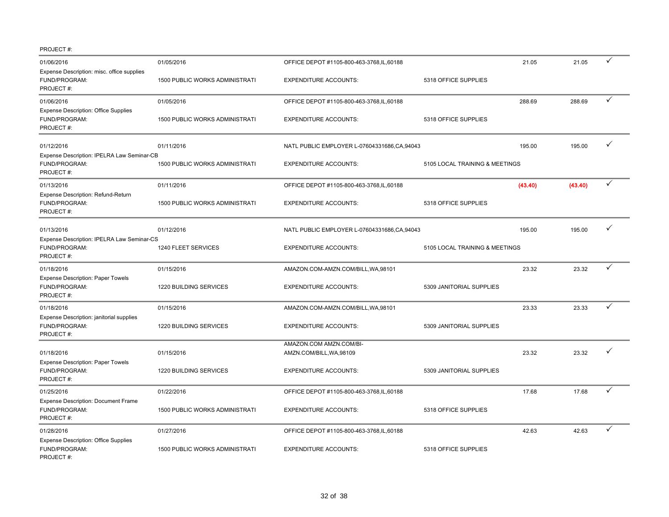| 01/06/2016                                                                | 01/05/2016                            | OFFICE DEPOT #1105-800-463-3768, IL, 60188          |                                | 21.05   | 21.05   | ✓            |
|---------------------------------------------------------------------------|---------------------------------------|-----------------------------------------------------|--------------------------------|---------|---------|--------------|
| Expense Description: misc. office supplies<br>FUND/PROGRAM:<br>PROJECT#:  | 1500 PUBLIC WORKS ADMINISTRATI        | <b>EXPENDITURE ACCOUNTS:</b>                        | 5318 OFFICE SUPPLIES           |         |         |              |
| 01/06/2016                                                                | 01/05/2016                            | OFFICE DEPOT #1105-800-463-3768,IL,60188            |                                | 288.69  | 288.69  | $\checkmark$ |
| <b>Expense Description: Office Supplies</b><br>FUND/PROGRAM:<br>PROJECT#: | <b>1500 PUBLIC WORKS ADMINISTRATI</b> | <b>EXPENDITURE ACCOUNTS:</b>                        | 5318 OFFICE SUPPLIES           |         |         |              |
| 01/12/2016                                                                | 01/11/2016                            | NATL PUBLIC EMPLOYER L-07604331686, CA, 94043       |                                | 195.00  | 195.00  | ✓            |
| Expense Description: IPELRA Law Seminar-CB<br>FUND/PROGRAM:<br>PROJECT#:  | 1500 PUBLIC WORKS ADMINISTRATI        | <b>EXPENDITURE ACCOUNTS:</b>                        | 5105 LOCAL TRAINING & MEETINGS |         |         |              |
| 01/13/2016                                                                | 01/11/2016                            | OFFICE DEPOT #1105-800-463-3768,IL,60188            |                                | (43.40) | (43.40) | ✓            |
| Expense Description: Refund-Return<br>FUND/PROGRAM:<br>PROJECT#:          | 1500 PUBLIC WORKS ADMINISTRATI        | <b>EXPENDITURE ACCOUNTS:</b>                        | 5318 OFFICE SUPPLIES           |         |         |              |
| 01/13/2016<br>Expense Description: IPELRA Law Seminar-CS                  | 01/12/2016                            | NATL PUBLIC EMPLOYER L-07604331686, CA, 94043       |                                | 195.00  | 195.00  |              |
| FUND/PROGRAM:<br>PROJECT#:                                                | 1240 FLEET SERVICES                   | <b>EXPENDITURE ACCOUNTS:</b>                        | 5105 LOCAL TRAINING & MEETINGS |         |         |              |
| 01/18/2016                                                                | 01/15/2016                            | AMAZON.COM-AMZN.COM/BILL, WA, 98101                 |                                | 23.32   | 23.32   | $\checkmark$ |
| Expense Description: Paper Towels<br>FUND/PROGRAM:<br>PROJECT#:           | 1220 BUILDING SERVICES                | <b>EXPENDITURE ACCOUNTS:</b>                        | 5309 JANITORIAL SUPPLIES       |         |         |              |
| 01/18/2016                                                                | 01/15/2016                            | AMAZON.COM-AMZN.COM/BILL, WA, 98101                 |                                | 23.33   | 23.33   | $\checkmark$ |
| Expense Description: janitorial supplies<br>FUND/PROGRAM:<br>PROJECT#:    | 1220 BUILDING SERVICES                | <b>EXPENDITURE ACCOUNTS:</b>                        | 5309 JANITORIAL SUPPLIES       |         |         |              |
| 01/18/2016<br><b>Expense Description: Paper Towels</b>                    | 01/15/2016                            | AMAZON.COM AMZN.COM/BI-<br>AMZN.COM/BILL, WA, 98109 |                                | 23.32   | 23.32   | ✓            |
| FUND/PROGRAM:<br>PROJECT#:                                                | 1220 BUILDING SERVICES                | <b>EXPENDITURE ACCOUNTS:</b>                        | 5309 JANITORIAL SUPPLIES       |         |         |              |
| 01/25/2016                                                                | 01/22/2016                            | OFFICE DEPOT #1105-800-463-3768,IL,60188            |                                | 17.68   | 17.68   | ✓            |
| Expense Description: Document Frame<br>FUND/PROGRAM:<br>PROJECT#:         | 1500 PUBLIC WORKS ADMINISTRATI        | <b>EXPENDITURE ACCOUNTS:</b>                        | 5318 OFFICE SUPPLIES           |         |         |              |
| 01/28/2016                                                                | 01/27/2016                            | OFFICE DEPOT #1105-800-463-3768,IL,60188            |                                | 42.63   | 42.63   | ✓            |
| <b>Expense Description: Office Supplies</b><br>FUND/PROGRAM:<br>PROJECT#: | 1500 PUBLIC WORKS ADMINISTRATI        | <b>EXPENDITURE ACCOUNTS:</b>                        | 5318 OFFICE SUPPLIES           |         |         |              |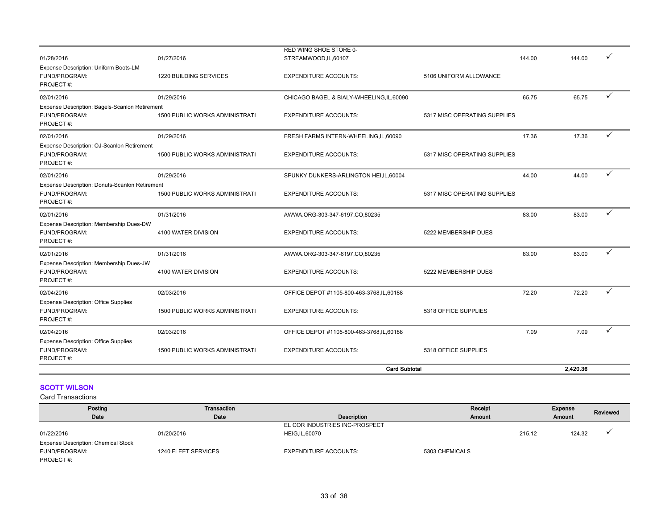|                                                                              |                                       | RED WING SHOE STORE 0-                     |                              |        |          |              |
|------------------------------------------------------------------------------|---------------------------------------|--------------------------------------------|------------------------------|--------|----------|--------------|
| 01/28/2016                                                                   | 01/27/2016                            | STREAMWOOD,IL,60107                        |                              | 144.00 | 144.00   |              |
| Expense Description: Uniform Boots-LM<br>FUND/PROGRAM:<br>PROJECT#:          | 1220 BUILDING SERVICES                | <b>EXPENDITURE ACCOUNTS:</b>               | 5106 UNIFORM ALLOWANCE       |        |          |              |
| 02/01/2016                                                                   | 01/29/2016                            | CHICAGO BAGEL & BIALY-WHEELING, IL, 60090  |                              | 65.75  | 65.75    | $\checkmark$ |
| Expense Description: Bagels-Scanlon Retirement<br>FUND/PROGRAM:<br>PROJECT#: | <b>1500 PUBLIC WORKS ADMINISTRATI</b> | <b>EXPENDITURE ACCOUNTS:</b>               | 5317 MISC OPERATING SUPPLIES |        |          |              |
| 02/01/2016                                                                   | 01/29/2016                            | FRESH FARMS INTERN-WHEELING,IL,60090       |                              | 17.36  | 17.36    | ✓            |
| Expense Description: OJ-Scanlon Retirement<br>FUND/PROGRAM:<br>PROJECT#:     | <b>1500 PUBLIC WORKS ADMINISTRATI</b> | <b>EXPENDITURE ACCOUNTS:</b>               | 5317 MISC OPERATING SUPPLIES |        |          |              |
| 02/01/2016                                                                   | 01/29/2016                            | SPUNKY DUNKERS-ARLINGTON HEI, IL, 60004    |                              | 44.00  | 44.00    | ✓            |
| Expense Description: Donuts-Scanlon Retirement<br>FUND/PROGRAM:<br>PROJECT#: | <b>1500 PUBLIC WORKS ADMINISTRATI</b> | <b>EXPENDITURE ACCOUNTS:</b>               | 5317 MISC OPERATING SUPPLIES |        |          |              |
| 02/01/2016                                                                   | 01/31/2016                            | AWWA.ORG-303-347-6197,CO.80235             |                              | 83.00  | 83.00    | ✓            |
| Expense Description: Membership Dues-DW<br>FUND/PROGRAM:<br>PROJECT#:        | 4100 WATER DIVISION                   | <b>EXPENDITURE ACCOUNTS:</b>               | 5222 MEMBERSHIP DUES         |        |          |              |
| 02/01/2016                                                                   | 01/31/2016                            | AWWA.ORG-303-347-6197,CO,80235             |                              | 83.00  | 83.00    | ✓            |
| Expense Description: Membership Dues-JW<br>FUND/PROGRAM:<br>PROJECT#:        | 4100 WATER DIVISION                   | <b>EXPENDITURE ACCOUNTS:</b>               | 5222 MEMBERSHIP DUES         |        |          |              |
| 02/04/2016                                                                   | 02/03/2016                            | OFFICE DEPOT #1105-800-463-3768,IL,60188   |                              | 72.20  | 72.20    | ✓            |
| <b>Expense Description: Office Supplies</b><br>FUND/PROGRAM:<br>PROJECT#:    | <b>1500 PUBLIC WORKS ADMINISTRATI</b> | <b>EXPENDITURE ACCOUNTS:</b>               | 5318 OFFICE SUPPLIES         |        |          |              |
| 02/04/2016                                                                   | 02/03/2016                            | OFFICE DEPOT #1105-800-463-3768, IL, 60188 |                              | 7.09   | 7.09     |              |
| <b>Expense Description: Office Supplies</b><br>FUND/PROGRAM:<br>PROJECT#:    | <b>1500 PUBLIC WORKS ADMINISTRATI</b> | <b>EXPENDITURE ACCOUNTS:</b>               | 5318 OFFICE SUPPLIES         |        |          |              |
|                                                                              |                                       | <b>Card Subtotal</b>                       |                              |        | 2.420.36 |              |

### **SCOTT WILSON**

| Posting                                    | Transaction         |                                | Receipt        | Expense | Reviewed |
|--------------------------------------------|---------------------|--------------------------------|----------------|---------|----------|
| Date                                       | Date                | Description                    | <b>Amount</b>  | Amount  |          |
|                                            |                     | EL COR INDUSTRIES INC-PROSPECT |                |         |          |
| 01/22/2016                                 | 01/20/2016          | <b>HEIG, IL, 60070</b>         | 215.12         | 124.32  |          |
| <b>Expense Description: Chemical Stock</b> |                     |                                |                |         |          |
| FUND/PROGRAM:                              | 1240 FLEET SERVICES | <b>EXPENDITURE ACCOUNTS:</b>   | 5303 CHEMICALS |         |          |
| PROJECT#:                                  |                     |                                |                |         |          |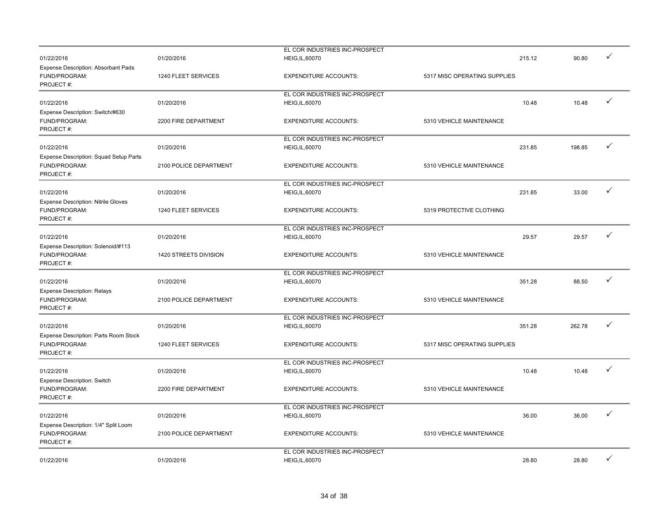|                                            |                        | EL COR INDUSTRIES INC-PROSPECT |                              |        |              |
|--------------------------------------------|------------------------|--------------------------------|------------------------------|--------|--------------|
| 01/22/2016                                 | 01/20/2016             |                                | 215.12                       | 90.80  | ✓            |
|                                            |                        | <b>HEIG, IL, 60070</b>         |                              |        |              |
| Expense Description: Absorbant Pads        |                        |                                |                              |        |              |
| FUND/PROGRAM:                              | 1240 FLEET SERVICES    | <b>EXPENDITURE ACCOUNTS:</b>   | 5317 MISC OPERATING SUPPLIES |        |              |
| PROJECT#:                                  |                        |                                |                              |        |              |
|                                            |                        | EL COR INDUSTRIES INC-PROSPECT |                              |        |              |
| 01/22/2016                                 | 01/20/2016             | <b>HEIG, IL, 60070</b>         | 10.48                        | 10.48  | ✓            |
| Expense Description: Switch/#630           |                        |                                |                              |        |              |
| FUND/PROGRAM:                              | 2200 FIRE DEPARTMENT   | <b>EXPENDITURE ACCOUNTS:</b>   | 5310 VEHICLE MAINTENANCE     |        |              |
|                                            |                        |                                |                              |        |              |
| PROJECT#:                                  |                        |                                |                              |        |              |
|                                            |                        | EL COR INDUSTRIES INC-PROSPECT |                              |        |              |
| 01/22/2016                                 | 01/20/2016             | <b>HEIG, IL, 60070</b>         | 231.85                       | 198.85 | ✓            |
| Expense Description: Squad Setup Parts     |                        |                                |                              |        |              |
| FUND/PROGRAM:                              | 2100 POLICE DEPARTMENT | <b>EXPENDITURE ACCOUNTS:</b>   | 5310 VEHICLE MAINTENANCE     |        |              |
| PROJECT#:                                  |                        |                                |                              |        |              |
|                                            |                        | EL COR INDUSTRIES INC-PROSPECT |                              |        |              |
|                                            | 01/20/2016             |                                | 231.85                       | 33.00  | ✓            |
| 01/22/2016                                 |                        | <b>HEIG, IL, 60070</b>         |                              |        |              |
| <b>Expense Description: Nitrile Gloves</b> |                        |                                |                              |        |              |
| FUND/PROGRAM:                              | 1240 FLEET SERVICES    | <b>EXPENDITURE ACCOUNTS:</b>   | 5319 PROTECTIVE CLOTHING     |        |              |
| PROJECT#:                                  |                        |                                |                              |        |              |
|                                            |                        | EL COR INDUSTRIES INC-PROSPECT |                              |        |              |
| 01/22/2016                                 | 01/20/2016             | <b>HEIG, IL, 60070</b>         | 29.57                        | 29.57  | ✓            |
| Expense Description: Solenoid/#113         |                        |                                |                              |        |              |
| FUND/PROGRAM:                              | 1420 STREETS DIVISION  | <b>EXPENDITURE ACCOUNTS:</b>   | 5310 VEHICLE MAINTENANCE     |        |              |
|                                            |                        |                                |                              |        |              |
| PROJECT#:                                  |                        |                                |                              |        |              |
|                                            |                        | EL COR INDUSTRIES INC-PROSPECT |                              |        |              |
| 01/22/2016                                 | 01/20/2016             | HEIG, IL, 60070                | 351.28                       | 88.50  | $\checkmark$ |
| <b>Expense Description: Relays</b>         |                        |                                |                              |        |              |
| FUND/PROGRAM:                              | 2100 POLICE DEPARTMENT | <b>EXPENDITURE ACCOUNTS:</b>   | 5310 VEHICLE MAINTENANCE     |        |              |
| PROJECT#:                                  |                        |                                |                              |        |              |
|                                            |                        | EL COR INDUSTRIES INC-PROSPECT |                              |        |              |
| 01/22/2016                                 | 01/20/2016             | HEIG, IL, 60070                | 351.28                       | 262.78 | $\checkmark$ |
|                                            |                        |                                |                              |        |              |
| Expense Description: Parts Room Stock      |                        |                                |                              |        |              |
| FUND/PROGRAM:                              | 1240 FLEET SERVICES    | <b>EXPENDITURE ACCOUNTS:</b>   | 5317 MISC OPERATING SUPPLIES |        |              |
| PROJECT#:                                  |                        |                                |                              |        |              |
|                                            |                        | EL COR INDUSTRIES INC-PROSPECT |                              |        |              |
| 01/22/2016                                 | 01/20/2016             | <b>HEIG, IL, 60070</b>         | 10.48                        | 10.48  | $\checkmark$ |
| Expense Description: Switch                |                        |                                |                              |        |              |
| FUND/PROGRAM:                              | 2200 FIRE DEPARTMENT   | <b>EXPENDITURE ACCOUNTS:</b>   | 5310 VEHICLE MAINTENANCE     |        |              |
| PROJECT#:                                  |                        |                                |                              |        |              |
|                                            |                        |                                |                              |        |              |
|                                            |                        | EL COR INDUSTRIES INC-PROSPECT |                              |        |              |
| 01/22/2016                                 | 01/20/2016             | HEIG, IL, 60070                | 36.00                        | 36.00  | ✓            |
| Expense Description: 1/4" Split Loom       |                        |                                |                              |        |              |
| FUND/PROGRAM:                              | 2100 POLICE DEPARTMENT | <b>EXPENDITURE ACCOUNTS:</b>   | 5310 VEHICLE MAINTENANCE     |        |              |
| PROJECT#:                                  |                        |                                |                              |        |              |
|                                            |                        | EL COR INDUSTRIES INC-PROSPECT |                              |        |              |
| 01/22/2016                                 | 01/20/2016             | <b>HEIG, IL, 60070</b>         | 28.80                        | 28.80  | ✓            |
|                                            |                        |                                |                              |        |              |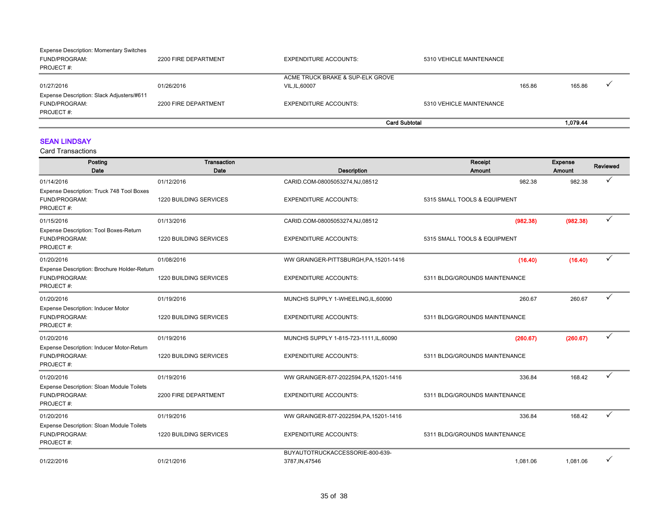| <b>Expense Description: Momentary Switches</b> |                      |                                  |                          |        |          |  |
|------------------------------------------------|----------------------|----------------------------------|--------------------------|--------|----------|--|
| FUND/PROGRAM:                                  | 2200 FIRE DEPARTMENT | <b>EXPENDITURE ACCOUNTS:</b>     | 5310 VEHICLE MAINTENANCE |        |          |  |
| PROJECT#:                                      |                      |                                  |                          |        |          |  |
|                                                |                      | ACME TRUCK BRAKE & SUP-ELK GROVE |                          |        |          |  |
| 01/27/2016                                     | 01/26/2016           | VIL, IL, 60007                   |                          | 165.86 | 165.86   |  |
| Expense Description: Slack Adjusters/#611      |                      |                                  |                          |        |          |  |
| FUND/PROGRAM:                                  | 2200 FIRE DEPARTMENT | <b>EXPENDITURE ACCOUNTS:</b>     | 5310 VEHICLE MAINTENANCE |        |          |  |
| PROJECT#:                                      |                      |                                  |                          |        |          |  |
|                                                |                      |                                  | <b>Card Subtotal</b>     |        | 1.079.44 |  |

### SEAN LINDSAY

| Posting<br>Date                                                                | <b>Transaction</b><br>Date | <b>Description</b>                                 | Receipt<br>Amount             | <b>Expense</b><br>Amount | Reviewed |
|--------------------------------------------------------------------------------|----------------------------|----------------------------------------------------|-------------------------------|--------------------------|----------|
| 01/14/2016                                                                     | 01/12/2016                 | CARID.COM-08005053274,NJ,08512                     | 982.38                        | 982.38                   | ✓        |
| Expense Description: Truck 748 Tool Boxes<br>FUND/PROGRAM:<br>PROJECT#:        | 1220 BUILDING SERVICES     | <b>EXPENDITURE ACCOUNTS:</b>                       | 5315 SMALL TOOLS & EQUIPMENT  |                          |          |
| 01/15/2016                                                                     | 01/13/2016                 | CARID.COM-08005053274,NJ,08512                     | (982.38)                      | (982.38)                 | ✓        |
| Expense Description: Tool Boxes-Return<br>FUND/PROGRAM:<br>PROJECT#:           | 1220 BUILDING SERVICES     | <b>EXPENDITURE ACCOUNTS:</b>                       | 5315 SMALL TOOLS & EQUIPMENT  |                          |          |
| 01/20/2016                                                                     | 01/08/2016                 | WW GRAINGER-PITTSBURGH, PA, 15201-1416             | (16.40)                       | (16.40)                  | ✓        |
| Expense Description: Brochure Holder-Return<br>FUND/PROGRAM:<br>PROJECT#:      | 1220 BUILDING SERVICES     | <b>EXPENDITURE ACCOUNTS:</b>                       | 5311 BLDG/GROUNDS MAINTENANCE |                          |          |
| 01/20/2016                                                                     | 01/19/2016                 | MUNCHS SUPPLY 1-WHEELING, IL, 60090                | 260.67                        | 260.67                   | ✓        |
| <b>Expense Description: Inducer Motor</b><br>FUND/PROGRAM:<br>PROJECT#:        | 1220 BUILDING SERVICES     | <b>EXPENDITURE ACCOUNTS:</b>                       | 5311 BLDG/GROUNDS MAINTENANCE |                          |          |
| 01/20/2016                                                                     | 01/19/2016                 | MUNCHS SUPPLY 1-815-723-1111, IL, 60090            | (260.67)                      | (260.67)                 | ✓        |
| Expense Description: Inducer Motor-Return<br>FUND/PROGRAM:<br>PROJECT#:        | 1220 BUILDING SERVICES     | <b>EXPENDITURE ACCOUNTS:</b>                       | 5311 BLDG/GROUNDS MAINTENANCE |                          |          |
| 01/20/2016                                                                     | 01/19/2016                 | WW GRAINGER-877-2022594, PA, 15201-1416            | 336.84                        | 168.42                   |          |
| Expense Description: Sloan Module Toilets<br>FUND/PROGRAM:<br>PROJECT#:        | 2200 FIRE DEPARTMENT       | <b>EXPENDITURE ACCOUNTS:</b>                       | 5311 BLDG/GROUNDS MAINTENANCE |                          |          |
| 01/20/2016                                                                     | 01/19/2016                 | WW GRAINGER-877-2022594, PA, 15201-1416            | 336.84                        | 168.42                   | ✓        |
| <b>Expense Description: Sloan Module Toilets</b><br>FUND/PROGRAM:<br>PROJECT#: | 1220 BUILDING SERVICES     | <b>EXPENDITURE ACCOUNTS:</b>                       | 5311 BLDG/GROUNDS MAINTENANCE |                          |          |
| 01/22/2016                                                                     | 01/21/2016                 | BUYAUTOTRUCKACCESSORIE-800-639-<br>3787, IN, 47546 | 1,081.06                      | 1,081.06                 |          |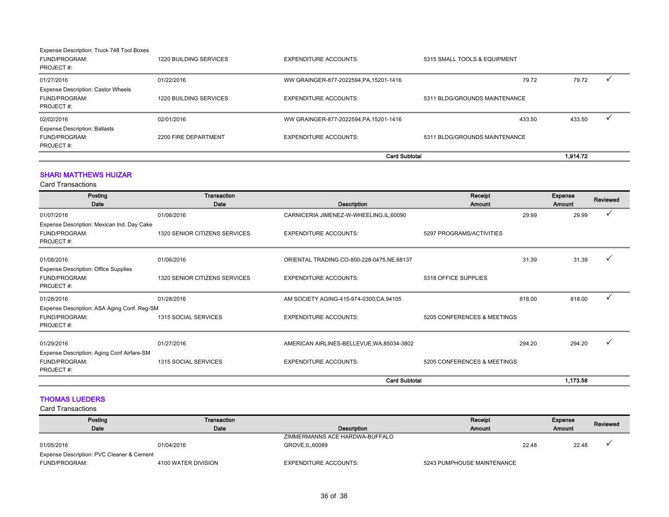|                                                                         |                        | <b>Card Subtotal</b>                    |                               | 1.914.72 |  |
|-------------------------------------------------------------------------|------------------------|-----------------------------------------|-------------------------------|----------|--|
| <b>Expense Description: Ballasts</b><br>FUND/PROGRAM:<br>PROJECT#:      | 2200 FIRE DEPARTMENT   | <b>EXPENDITURE ACCOUNTS:</b>            | 5311 BLDG/GROUNDS MAINTENANCE |          |  |
| 02/02/2016                                                              | 02/01/2016             | WW GRAINGER-877-2022594.PA.15201-1416   | 433.50                        | 433.50   |  |
| <b>Expense Description: Castor Wheels</b><br>FUND/PROGRAM:<br>PROJECT#: | 1220 BUILDING SERVICES | <b>EXPENDITURE ACCOUNTS:</b>            | 5311 BLDG/GROUNDS MAINTENANCE |          |  |
| 01/27/2016                                                              | 01/22/2016             | WW GRAINGER-877-2022594, PA, 15201-1416 | 79.72                         | 79.72    |  |
| Expense Description: Truck 748 Tool Boxes<br>FUND/PROGRAM:<br>PROJECT#: | 1220 BUILDING SERVICES | <b>EXPENDITURE ACCOUNTS:</b>            | 5315 SMALL TOOLS & EQUIPMENT  |          |  |

### SHARI MATTHEWS HUIZAR

Card Transactions

| Posting                                     | Transaction                   |                                             | Receipt                     | <b>Expense</b>   | Reviewed     |
|---------------------------------------------|-------------------------------|---------------------------------------------|-----------------------------|------------------|--------------|
| Date                                        | Date                          | Description                                 | Amount                      | Amount           |              |
| 01/07/2016                                  | 01/06/2016                    | CARNICERIA JIMENEZ-W-WHEELING,IL,60090      |                             | 29.99<br>29.99   |              |
| Expense Description: Mexican Ind. Day Cake  |                               |                                             |                             |                  |              |
| FUND/PROGRAM:                               | 1320 SENIOR CITIZENS SERVICES | <b>EXPENDITURE ACCOUNTS:</b>                | 5297 PROGRAMS/ACTIVITIES    |                  |              |
| PROJECT#:                                   |                               |                                             |                             |                  |              |
| 01/08/2016                                  | 01/06/2016                    | ORIENTAL TRADING CO-800-228-0475, NE, 68137 |                             | 31.39<br>31.39   |              |
| <b>Expense Description: Office Supplies</b> |                               |                                             |                             |                  |              |
| FUND/PROGRAM:                               | 1320 SENIOR CITIZENS SERVICES | <b>EXPENDITURE ACCOUNTS:</b>                | 5318 OFFICE SUPPLIES        |                  |              |
| PROJECT#:                                   |                               |                                             |                             |                  |              |
| 01/28/2016                                  | 01/28/2016                    | AM SOCIETY AGING-415-974-0300, CA, 94105    |                             | 818.00<br>818.00 | $\checkmark$ |
| Expense Description: ASA Aging Conf. Reg-SM |                               |                                             |                             |                  |              |
| FUND/PROGRAM:                               | 1315 SOCIAL SERVICES          | <b>EXPENDITURE ACCOUNTS:</b>                | 5205 CONFERENCES & MEETINGS |                  |              |
| PROJECT#:                                   |                               |                                             |                             |                  |              |
| 01/29/2016                                  | 01/27/2016                    | AMERICAN AIRLINES-BELLEVUE, WA, 85034-3802  |                             | 294.20<br>294.20 |              |
| Expense Description: Aging Conf Airfare-SM  |                               |                                             |                             |                  |              |
| FUND/PROGRAM:                               | 1315 SOCIAL SERVICES          | <b>EXPENDITURE ACCOUNTS:</b>                | 5205 CONFERENCES & MEETINGS |                  |              |
| PROJECT#:                                   |                               |                                             |                             |                  |              |
|                                             |                               | <b>Card Subtotal</b>                        |                             | 1,173.58         |              |

### THOMAS LUEDERS

| Posting                                   | Transaction         |                                | Receipt                    |       | Expense       | Reviewed |
|-------------------------------------------|---------------------|--------------------------------|----------------------------|-------|---------------|----------|
| Date                                      | Date                | Description                    | <b>Amount</b>              |       | <b>Amount</b> |          |
|                                           |                     | ZIMMERMANNS ACE HARDWA-BUFFALO |                            |       |               |          |
| 01/05/2016                                | 01/04/2016          | GROVE, IL, 60089               |                            | 22.48 | 22.48         |          |
| Expense Description: PVC Cleaner & Cement |                     |                                |                            |       |               |          |
| FUND/PROGRAM:                             | 4100 WATER DIVISION | <b>EXPENDITURE ACCOUNTS:</b>   | 5243 PUMPHOUSE MAINTENANCE |       |               |          |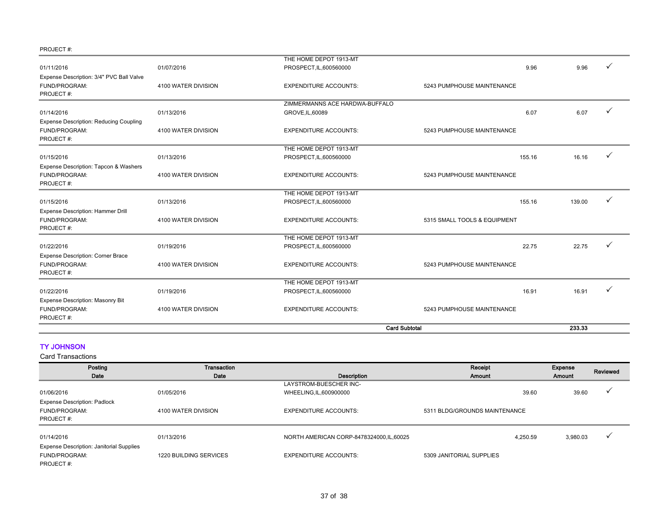|                                               |                     | THE HOME DEPOT 1913-MT         |                              |        |  |
|-----------------------------------------------|---------------------|--------------------------------|------------------------------|--------|--|
| 01/11/2016                                    | 01/07/2016          | PROSPECT, IL, 600560000        | 9.96                         | 9.96   |  |
| Expense Description: 3/4" PVC Ball Valve      |                     |                                |                              |        |  |
| FUND/PROGRAM:                                 | 4100 WATER DIVISION | <b>EXPENDITURE ACCOUNTS:</b>   | 5243 PUMPHOUSE MAINTENANCE   |        |  |
| PROJECT#:                                     |                     |                                |                              |        |  |
|                                               |                     | ZIMMERMANNS ACE HARDWA-BUFFALO |                              |        |  |
| 01/14/2016                                    | 01/13/2016          | GROVE, IL, 60089               | 6.07                         | 6.07   |  |
| <b>Expense Description: Reducing Coupling</b> |                     |                                |                              |        |  |
| FUND/PROGRAM:                                 | 4100 WATER DIVISION | <b>EXPENDITURE ACCOUNTS:</b>   | 5243 PUMPHOUSE MAINTENANCE   |        |  |
| PROJECT#:                                     |                     |                                |                              |        |  |
|                                               |                     | THE HOME DEPOT 1913-MT         |                              |        |  |
| 01/15/2016                                    | 01/13/2016          | PROSPECT, IL, 600560000        | 155.16                       | 16.16  |  |
| Expense Description: Tapcon & Washers         |                     |                                |                              |        |  |
| FUND/PROGRAM:                                 | 4100 WATER DIVISION | <b>EXPENDITURE ACCOUNTS:</b>   | 5243 PUMPHOUSE MAINTENANCE   |        |  |
| PROJECT#:                                     |                     |                                |                              |        |  |
|                                               |                     | THE HOME DEPOT 1913-MT         |                              |        |  |
| 01/15/2016                                    | 01/13/2016          | PROSPECT, IL, 600560000        | 155.16                       | 139.00 |  |
| Expense Description: Hammer Drill             |                     |                                |                              |        |  |
| FUND/PROGRAM:                                 | 4100 WATER DIVISION | <b>EXPENDITURE ACCOUNTS:</b>   | 5315 SMALL TOOLS & EQUIPMENT |        |  |
| PROJECT#:                                     |                     |                                |                              |        |  |
|                                               |                     | THE HOME DEPOT 1913-MT         |                              |        |  |
| 01/22/2016                                    | 01/19/2016          | PROSPECT, IL, 600560000        | 22.75                        | 22.75  |  |
| <b>Expense Description: Corner Brace</b>      |                     |                                |                              |        |  |
| FUND/PROGRAM:                                 | 4100 WATER DIVISION | <b>EXPENDITURE ACCOUNTS:</b>   | 5243 PUMPHOUSE MAINTENANCE   |        |  |
| PROJECT#:                                     |                     |                                |                              |        |  |
|                                               |                     | THE HOME DEPOT 1913-MT         |                              |        |  |
| 01/22/2016                                    | 01/19/2016          | PROSPECT, IL, 600560000        | 16.91                        | 16.91  |  |
| Expense Description: Masonry Bit              |                     |                                |                              |        |  |
| FUND/PROGRAM:                                 | 4100 WATER DIVISION | <b>EXPENDITURE ACCOUNTS:</b>   | 5243 PUMPHOUSE MAINTENANCE   |        |  |
| PROJECT#:                                     |                     |                                |                              |        |  |
|                                               |                     | <b>Card Subtotal</b>           |                              | 233.33 |  |

### TY JOHNSON

| Posting                                         | Transaction                   |                                           | Receipt                       | Expense  | Reviewed |
|-------------------------------------------------|-------------------------------|-------------------------------------------|-------------------------------|----------|----------|
| Date                                            | Date                          | Description                               | Amount                        | Amount   |          |
|                                                 |                               | LAYSTROM-BUESCHER INC-                    |                               |          |          |
| 01/06/2016                                      | 01/05/2016                    | WHEELING, IL, 600900000                   | 39.60                         | 39.60    |          |
| <b>Expense Description: Padlock</b>             |                               |                                           |                               |          |          |
| FUND/PROGRAM:                                   | 4100 WATER DIVISION           | <b>EXPENDITURE ACCOUNTS:</b>              | 5311 BLDG/GROUNDS MAINTENANCE |          |          |
| PROJECT#:                                       |                               |                                           |                               |          |          |
|                                                 |                               |                                           |                               |          |          |
| 01/14/2016                                      | 01/13/2016                    | NORTH AMERICAN CORP-8478324000, IL, 60025 | 4.250.59                      | 3,980.03 |          |
| <b>Expense Description: Janitorial Supplies</b> |                               |                                           |                               |          |          |
| <b>FUND/PROGRAM:</b>                            | <b>1220 BUILDING SERVICES</b> | <b>EXPENDITURE ACCOUNTS:</b>              | 5309 JANITORIAL SUPPLIES      |          |          |
| PROJECT#:                                       |                               |                                           |                               |          |          |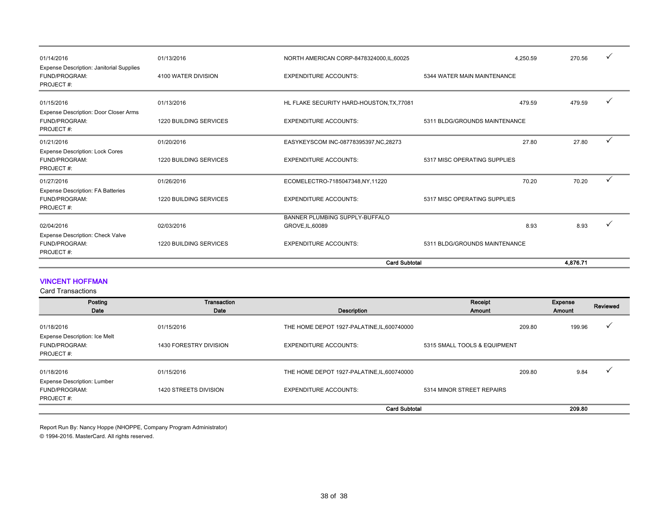| 01/14/2016                                                                    | 01/13/2016                    | NORTH AMERICAN CORP-8478324000, IL, 60025 | 4.250.59                      | 270.56   |   |
|-------------------------------------------------------------------------------|-------------------------------|-------------------------------------------|-------------------------------|----------|---|
| <b>Expense Description: Janitorial Supplies</b><br>FUND/PROGRAM:<br>PROJECT#: | 4100 WATER DIVISION           | <b>EXPENDITURE ACCOUNTS:</b>              | 5344 WATER MAIN MAINTENANCE   |          |   |
| 01/15/2016<br><b>Expense Description: Door Closer Arms</b>                    | 01/13/2016                    | HL FLAKE SECURITY HARD-HOUSTON, TX, 77081 | 479.59                        | 479.59   |   |
| FUND/PROGRAM:<br>PROJECT#:                                                    | <b>1220 BUILDING SERVICES</b> | <b>EXPENDITURE ACCOUNTS:</b>              | 5311 BLDG/GROUNDS MAINTENANCE |          |   |
| 01/21/2016                                                                    | 01/20/2016                    | EASYKEYSCOM INC-08778395397, NC, 28273    | 27.80                         | 27.80    | ✓ |
| <b>Expense Description: Lock Cores</b><br>FUND/PROGRAM:<br>PROJECT#:          | <b>1220 BUILDING SERVICES</b> | <b>EXPENDITURE ACCOUNTS:</b>              | 5317 MISC OPERATING SUPPLIES  |          |   |
| 01/27/2016                                                                    | 01/26/2016                    | ECOMELECTRO-7185047348,NY,11220           | 70.20                         | 70.20    | ✓ |
| <b>Expense Description: FA Batteries</b><br>FUND/PROGRAM:<br>PROJECT#:        | <b>1220 BUILDING SERVICES</b> | <b>EXPENDITURE ACCOUNTS:</b>              | 5317 MISC OPERATING SUPPLIES  |          |   |
|                                                                               |                               | BANNER PLUMBING SUPPLY-BUFFALO            |                               |          |   |
| 02/04/2016                                                                    | 02/03/2016                    | GROVE, IL, 60089                          | 8.93                          | 8.93     |   |
| Expense Description: Check Valve<br>FUND/PROGRAM:<br>PROJECT#:                | <b>1220 BUILDING SERVICES</b> | <b>EXPENDITURE ACCOUNTS:</b>              | 5311 BLDG/GROUNDS MAINTENANCE |          |   |
|                                                                               |                               | <b>Card Subtotal</b>                      |                               | 4,876.71 |   |

### VINCENT HOFFMAN

Card Transactions

| Posting<br>Date                                                                  | Transaction<br>Date                  | Description                                                                 | Receipt<br>Amount                      | Expense<br>Amount | Reviewed |
|----------------------------------------------------------------------------------|--------------------------------------|-----------------------------------------------------------------------------|----------------------------------------|-------------------|----------|
| 01/18/2016<br><b>Expense Description: Ice Melt</b><br>FUND/PROGRAM:<br>PROJECT#: | 01/15/2016<br>1430 FORESTRY DIVISION | THE HOME DEPOT 1927-PALATINE, IL, 600740000<br><b>EXPENDITURE ACCOUNTS:</b> | 209.80<br>5315 SMALL TOOLS & EQUIPMENT | 199.96            |          |
| 01/18/2016                                                                       | 01/15/2016                           | THE HOME DEPOT 1927-PALATINE, IL, 600740000                                 | 209.80                                 | 9.84              |          |
| <b>Expense Description: Lumber</b><br>FUND/PROGRAM:<br>PROJECT#:                 | <b>1420 STREETS DIVISION</b>         | <b>EXPENDITURE ACCOUNTS:</b>                                                | 5314 MINOR STREET REPAIRS              |                   |          |
|                                                                                  |                                      | <b>Card Subtotal</b>                                                        |                                        | 209.80            |          |

Report Run By: Nancy Hoppe (NHOPPE, Company Program Administrator)

© 1994-2016. MasterCard. All rights reserved.